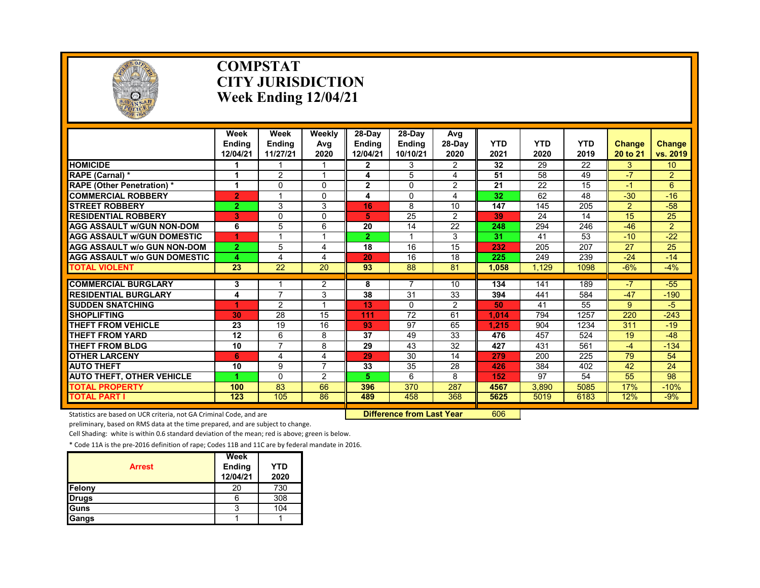

### **COMPSTAT CITY JURISDICTION Week Ending 12/04/21**

|                                                     | Week<br><b>Endina</b><br>12/04/21 | Week<br><b>Endina</b><br>11/27/21 | Weekly<br>Avg<br>2020         | 28-Dav<br><b>Endina</b><br>12/04/21 | 28-Dav<br><b>Ending</b><br>10/10/21 | Avg<br>$28-Dav$<br>2020 | <b>YTD</b><br>2021 | <b>YTD</b><br>2020 | <b>YTD</b><br>2019 | <b>Change</b><br>20 to 21 | Change<br>vs. 2019 |
|-----------------------------------------------------|-----------------------------------|-----------------------------------|-------------------------------|-------------------------------------|-------------------------------------|-------------------------|--------------------|--------------------|--------------------|---------------------------|--------------------|
| <b>HOMICIDE</b>                                     |                                   |                                   |                               | $\mathbf{2}$                        | 3                                   | $\overline{2}$          | 32                 | 29                 | 22                 | 3.                        | 10 <sup>°</sup>    |
| RAPE (Carnal) *                                     | 1                                 | $\overline{2}$                    | и                             | 4                                   | 5                                   | 4                       | 51                 | 58                 | 49                 | $-7$                      | $\overline{2}$     |
| <b>RAPE (Other Penetration) *</b>                   | 1                                 | $\Omega$                          | $\Omega$                      | $\overline{2}$                      | $\Omega$                            | $\overline{2}$          | 21                 | 22                 | 15                 | $-1$                      | 6                  |
| <b>COMMERCIAL ROBBERY</b>                           | $\overline{2}$                    |                                   | $\Omega$                      | 4                                   | $\Omega$                            | 4                       | 32                 | 62                 | 48                 | $-30$                     | $-16$              |
| <b>STREET ROBBERY</b>                               | $\overline{2}$                    | 3                                 | 3                             | 16                                  | 8                                   | 10                      | 147                | 145                | 205                | $\overline{2}$            | $-58$              |
| <b>RESIDENTIAL ROBBERY</b>                          | 3                                 | $\Omega$                          | $\Omega$                      | 5.                                  | 25                                  | $\mathfrak{p}$          | 39                 | 24                 | 14                 | 15                        | 25                 |
| <b>AGG ASSAULT W/GUN NON-DOM</b>                    | 6                                 | 5                                 | 6                             | 20                                  | 14                                  | 22                      | 248                | 294                | 246                | $-46$                     | $\overline{2}$     |
| <b>AGG ASSAULT W/GUN DOMESTIC</b>                   | 1                                 |                                   |                               | $\overline{2}$                      |                                     | 3                       | 31                 | 41                 | 53                 | $-10$                     | $-22$              |
| <b>AGG ASSAULT W/o GUN NON-DOM</b>                  | $\overline{2}$                    | 5                                 | 4                             | 18                                  | 16                                  | 15                      | 232                | 205                | 207                | 27                        | 25                 |
| <b>AGG ASSAULT W/o GUN DOMESTIC</b>                 | 4                                 | 4                                 | 4                             | 20                                  | 16                                  | 18                      | 225                | 249                | 239                | $-24$                     | $-14$              |
| <b>TOTAL VIOLENT</b>                                | 23                                | 22                                | 20                            | 93                                  | 88                                  | 81                      | 1.058              | 1.129              | 1098               | $-6%$                     | $-4%$              |
| <b>COMMERCIAL BURGLARY</b>                          |                                   |                                   |                               | 8                                   | 7                                   | 10                      | 134                | 141                | 189                | $-7$                      | $-55$              |
| <b>RESIDENTIAL BURGLARY</b>                         | 3                                 | $\overline{7}$                    | $\overline{2}$                | 38                                  | 31                                  |                         |                    |                    |                    |                           |                    |
| <b>SUDDEN SNATCHING</b>                             | 4                                 |                                   | 3                             |                                     |                                     | 33                      | 394                | 441                | 584<br>55          | $-47$                     | $-190$             |
|                                                     | 1                                 | $\overline{2}$                    |                               | 13                                  | 0                                   | $\overline{2}$          | 50                 | 41                 |                    | 9                         | -5                 |
| <b>SHOPLIFTING</b>                                  | 30                                | 28<br>19                          | 15<br>16                      | 111                                 | 72<br>97                            | 61<br>65                | 1.014              | 794<br>904         | 1257               | 220<br>311                | $-243$             |
| <b>THEFT FROM VEHICLE</b><br><b>THEFT FROM YARD</b> | 23<br>12                          |                                   |                               | 93<br>37                            | 49                                  | 33                      | 1.215<br>476       | 457                | 1234<br>524        | 19                        | $-19$<br>$-48$     |
|                                                     |                                   | 6<br>7                            | 8                             |                                     |                                     |                         |                    |                    |                    |                           |                    |
| THEFT FROM BLDG                                     | 10                                |                                   | 8                             | 29                                  | 43                                  | 32                      | 427                | 431                | 561                | -4                        | $-134$             |
| <b>OTHER LARCENY</b>                                | 6                                 | 4                                 | 4<br>$\overline{\phantom{a}}$ | 29                                  | 30                                  | 14                      | 279                | 200                | 225                | 79                        | 54                 |
| <b>AUTO THEFT</b>                                   | 10                                | 9                                 |                               | 33                                  | 35                                  | 28                      | 426                | 384                | 402                | 42                        | 24                 |
| <b>AUTO THEFT, OTHER VEHICLE</b>                    | 4                                 | 0                                 | 2                             | 5.                                  | 6                                   | 8                       | 152                | 97                 | 54                 | 55                        | 98                 |
| <b>TOTAL PROPERTY</b>                               | 100                               | 83                                | 66                            | 396                                 | 370                                 | 287                     | 4567               | 3.890              | 5085               | 17%                       | $-10%$             |
| <b>TOTAL PART I</b>                                 | 123                               | 105                               | 86                            | 489                                 | 458                                 | 368                     | 5625               | 5019               | 6183               | 12%                       | $-9%$              |

Statistics are based on UCR criteria, not GA Criminal Code, and are **Difference from Last Year** 606

preliminary, based on RMS data at the time prepared, and are subject to change.

Cell Shading: white is within 0.6 standard deviation of the mean; red is above; green is below.

| <b>Arrest</b> | Week<br><b>Ending</b><br>12/04/21 | YTD<br>2020 |
|---------------|-----------------------------------|-------------|
| Felony        | 20                                | 730         |
| Drugs         | 6                                 | 308         |
| Guns          | 3                                 | 104         |
| Gangs         |                                   |             |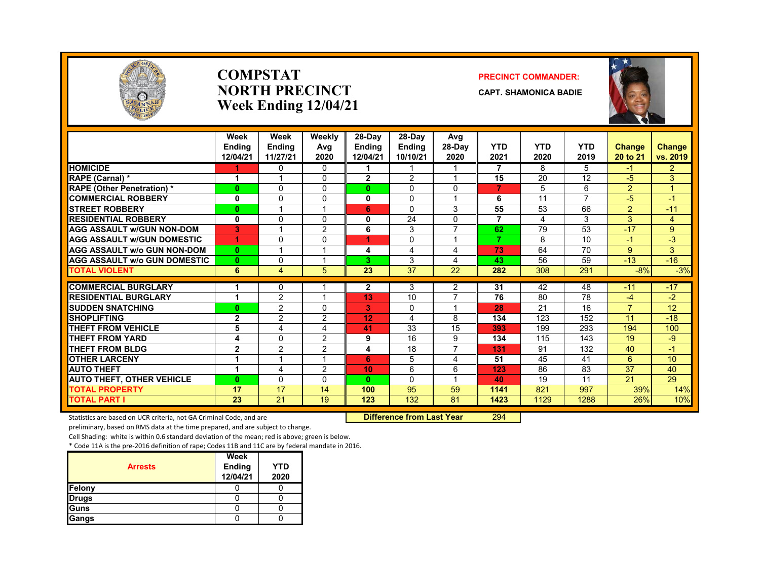

### **COMPSTATNORTH PRECINCTWeek Ending 12/04/21**

### **PRECINCT COMMANDER:**

**CAPT. SHAMONICA BADIE**



|                                     | Week<br><b>Endina</b><br>12/04/21 | Week<br><b>Endina</b><br>11/27/21 | Weekly<br>Avg<br>2020 | 28-Dav<br><b>Endina</b><br>12/04/21 | 28-Dav<br><b>Endina</b><br>10/10/21 | Avg<br>28-Day<br>2020 | <b>YTD</b><br>2021 | <b>YTD</b><br>2020 | <b>YTD</b><br>2019       | <b>Change</b><br>20 to 21 | <b>Change</b><br>vs. 2019 |
|-------------------------------------|-----------------------------------|-----------------------------------|-----------------------|-------------------------------------|-------------------------------------|-----------------------|--------------------|--------------------|--------------------------|---------------------------|---------------------------|
| <b>HOMICIDE</b>                     |                                   | $\mathbf{0}$                      | 0                     |                                     | 1                                   |                       | 7                  | 8                  | 5                        | $-1$                      | $\overline{2}$            |
| RAPE (Carnal) *                     | 1                                 |                                   | 0                     | $\mathbf{2}$                        | 2                                   | 1                     | 15                 | 20                 | $\overline{12}$          | $-5$                      | 3                         |
| <b>RAPE (Other Penetration) *</b>   | $\bf{0}$                          | $\Omega$                          | $\Omega$              | O.                                  | $\Omega$                            | 0                     | $\overline{7}$     | 5                  | 6                        | 2                         |                           |
| <b>COMMERCIAL ROBBERY</b>           | 0                                 | $\mathbf{0}$                      | $\Omega$              | 0                                   | 0                                   | 1                     | 6                  | 11                 | $\overline{\phantom{a}}$ | -5                        | $-1$                      |
| <b>STREET ROBBERY</b>               | $\bf{0}$                          | $\overline{\mathbf{A}}$           |                       | 6                                   | $\Omega$                            | 3                     | 55                 | 53                 | 66                       | 2                         | $-11$                     |
| <b>RESIDENTIAL ROBBERY</b>          | 0                                 | $\Omega$                          | $\Omega$              | 0                                   | 24                                  | 0                     | $\overline{7}$     | 4                  | 3                        | 3                         | 4                         |
| <b>AGG ASSAULT w/GUN NON-DOM</b>    | 3                                 |                                   | 2                     | 6                                   | 3                                   | $\overline{7}$        | 62                 | 79                 | 53                       | $-17$                     | 9                         |
| <b>AGG ASSAULT w/GUN DOMESTIC</b>   |                                   | $\Omega$                          | 0                     | 4                                   | $\Omega$                            | и                     | $\overline{7}$     | 8                  | 10                       | $-1$                      | $-3$                      |
| <b>AGG ASSAULT w/o GUN NON-DOM</b>  | $\bf{0}$                          | $\overline{ }$                    |                       | 4                                   | 4                                   | 4                     | 73                 | 64                 | 70                       | 9                         | 3                         |
| <b>AGG ASSAULT w/o GUN DOMESTIC</b> | $\bf{0}$                          | $\Omega$                          |                       | 3.                                  | 3                                   | 4                     | 43                 | 56                 | 59                       | $-13$                     | $-16$                     |
| <b>TOTAL VIOLENT</b>                | 6                                 | $\overline{4}$                    | 5                     | 23                                  | $\overline{37}$                     | 22                    | 282                | 308                | 291                      | $-8%$                     | $-3%$                     |
| <b>COMMERCIAL BURGLARY</b>          | 1                                 | $\mathbf{0}$                      |                       | $\mathbf{2}$                        | 3                                   | 2                     | 31                 | 42                 | 48                       | $-11$                     | $-17$                     |
| <b>RESIDENTIAL BURGLARY</b>         | 1                                 | $\overline{2}$                    |                       | 13                                  | 10                                  | $\overline{7}$        | 76                 | 80                 | 78                       | -4                        | $-2$                      |
| <b>SUDDEN SNATCHING</b>             | 0                                 | 2                                 | 0                     | 3                                   | $\Omega$                            | 1                     | 28                 | 21                 | 16                       | $\overline{7}$            | 12                        |
| <b>SHOPLIFTING</b>                  | $\overline{2}$                    | 2                                 | 2                     | 12                                  | 4                                   | 8                     | 134                | 123                | 152                      | 11                        | $-18$                     |
| <b>THEFT FROM VEHICLE</b>           | 5                                 | 4                                 | 4                     | 41                                  | 33                                  | 15                    | 393                | 199                | 293                      | 194                       | 100                       |
| <b>THEFT FROM YARD</b>              | 4                                 | $\Omega$                          | $\overline{2}$        | 9                                   | 16                                  | 9                     | 134                | 115                | 143                      | 19                        | -9                        |
| <b>THEFT FROM BLDG</b>              | $\mathbf{2}$                      | 2                                 | $\overline{2}$        | 4                                   | 18                                  | $\overline{7}$        | 131                | 91                 | 132                      | 40                        | $-1$                      |
| <b>OTHER LARCENY</b>                | 1                                 |                                   |                       | 6                                   | 5                                   | 4                     | 51                 | 45                 | 41                       | 6                         | 10 <sup>1</sup>           |
| <b>AUTO THEFT</b>                   | 1                                 | 4                                 | 2                     | 10                                  | 6                                   | 6                     | 123                | 86                 | 83                       | 37                        | 40                        |
| <b>AUTO THEFT, OTHER VEHICLE</b>    | $\bf{0}$                          | $\Omega$                          | 0                     | $\mathbf{0}$                        | $\Omega$                            | $\overline{ }$        | 40                 | 19                 | 11                       | 21                        | 29                        |
| <b>TOTAL PROPERTY</b>               | 17                                | 17                                | 14                    | 100                                 | 95                                  | 59                    | 1141               | 821                | 997                      | 39%                       | 14%                       |
| <b>TOTAL PART I</b>                 | 23                                | 21                                | 19                    | 123                                 | 132                                 | 81                    | 1423               | 1129               | 1288                     | 26%                       | 10%                       |

Statistics are based on UCR criteria, not GA Criminal Code, and are **Difference from Last Year** 294

preliminary, based on RMS data at the time prepared, and are subject to change.

Cell Shading: white is within 0.6 standard deviation of the mean; red is above; green is below.

|                | <b>Week</b>        |                    |
|----------------|--------------------|--------------------|
| <b>Arrests</b> | Ending<br>12/04/21 | <b>YTD</b><br>2020 |
| Felony         |                    |                    |
| <b>Drugs</b>   |                    |                    |
| Guns           |                    |                    |
| Gangs          |                    |                    |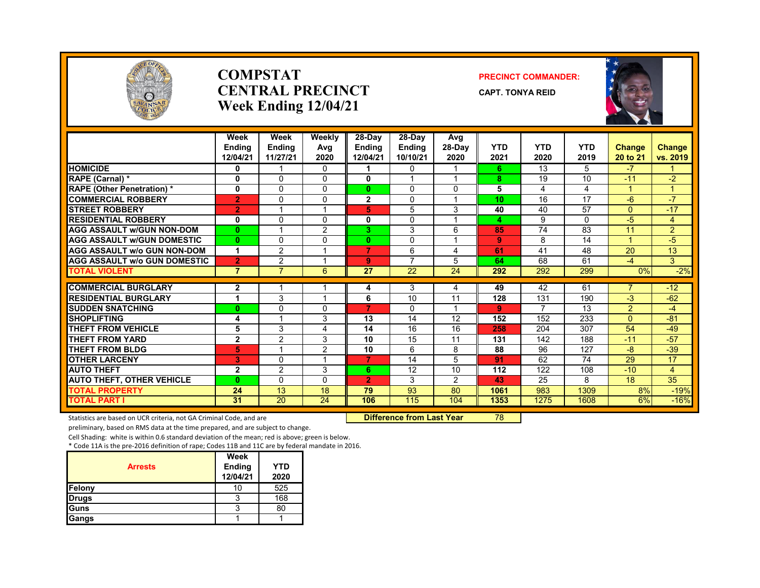

### **COMPSTATCENTRAL PRECINCTWeek Ending 12/04/21**

### **PRECINCT COMMANDER:**

**CAPT. TONYA REID**



|                                     | Week<br><b>Endina</b><br>12/04/21 | Week<br><b>Endina</b><br>11/27/21 | Weekly<br>Avg<br>2020 | 28-Dav<br><b>Endina</b><br>12/04/21 | 28-Day<br><b>Endina</b><br>10/10/21 | Avg<br>28-Dav<br>2020 | <b>YTD</b><br>2021 | <b>YTD</b><br>2020 | <b>YTD</b><br>2019 | <b>Change</b><br>20 to 21 | <b>Change</b><br>vs. 2019 |
|-------------------------------------|-----------------------------------|-----------------------------------|-----------------------|-------------------------------------|-------------------------------------|-----------------------|--------------------|--------------------|--------------------|---------------------------|---------------------------|
| <b>HOMICIDE</b>                     | 0                                 | 1                                 | 0                     | 1                                   | $\Omega$                            |                       | 6.                 | 13                 | 5                  | $-7$                      | 1                         |
| RAPE (Carnal) *                     | 0                                 | 0                                 | 0                     | $\bf{0}$                            |                                     |                       | 8                  | 19                 | 10                 | $-11$                     | $-2$                      |
| <b>RAPE (Other Penetration) *</b>   | 0                                 | 0                                 | 0                     | $\bf{0}$                            | $\Omega$                            | $\mathbf 0$           | 5                  | 4                  | 4                  | 1                         | $\mathbf{1}$              |
| <b>COMMERCIAL ROBBERY</b>           | $\overline{2}$                    | 0                                 | 0                     | $\mathbf{2}$                        | $\Omega$                            | $\overline{ }$        | 10                 | 16                 | 17                 | $-6$                      | $-7$                      |
| <b>STREET ROBBERY</b>               | $\overline{2}$                    | 1                                 |                       | 5                                   | 5                                   | 3                     | 40                 | 40                 | $\overline{57}$    | $\Omega$                  | $-17$                     |
| <b>RESIDENTIAL ROBBERY</b>          | 0                                 | $\Omega$                          | 0                     | 0                                   | $\Omega$                            |                       | 4                  | 9                  | $\Omega$           | -5                        | $\overline{4}$            |
| <b>AGG ASSAULT W/GUN NON-DOM</b>    | $\bf{0}$                          | ٠                                 | $\overline{2}$        | 3                                   | 3                                   | 6                     | 85                 | 74                 | 83                 | 11                        | $\overline{2}$            |
| <b>AGG ASSAULT W/GUN DOMESTIC</b>   | $\bf{0}$                          | 0                                 | $\Omega$              | $\bf{0}$                            | $\Omega$                            | $\overline{ }$        | 9                  | 8                  | 14                 | $\blacktriangleleft$      | $-5$                      |
| <b>AGG ASSAULT w/o GUN NON-DOM</b>  | $\blacktriangleleft$              | $\overline{2}$                    |                       | 7                                   | 6                                   | 4                     | 61                 | 41                 | 48                 | 20                        | 13                        |
| <b>AGG ASSAULT W/o GUN DOMESTIC</b> | $\overline{2}$                    | $\overline{2}$                    |                       | 9                                   | $\overline{\phantom{a}}$            | 5                     | 64                 | 68                 | 61                 | $-4$                      | 3                         |
| <b>TOTAL VIOLENT</b>                | $\overline{7}$                    | $\overline{7}$                    | 6                     | 27                                  | 22                                  | 24                    | 292                | 292                | 299                | 0%                        | $-2%$                     |
| <b>COMMERCIAL BURGLARY</b>          | $\mathbf{2}$                      |                                   |                       | 4                                   | 3                                   | 4                     | 49                 | 42                 | 61                 | 7                         | $-12$                     |
| <b>RESIDENTIAL BURGLARY</b>         | 1                                 | 3                                 |                       | 6                                   | 10                                  | 11                    | 128                | 131                | 190                | $-3$                      | $-62$                     |
| <b>SUDDEN SNATCHING</b>             | $\bf{0}$                          | 0                                 | 0                     | $\overline{7}$                      | 0                                   |                       | 9                  | $\overline{ }$     | 13                 | $\overline{2}$            | $-4$                      |
| <b>SHOPLIFTING</b>                  | 4                                 | 1                                 | 3                     | 13                                  | 14                                  | 12                    | 152                | 152                | 233                | $\Omega$                  | $-81$                     |
| <b>THEFT FROM VEHICLE</b>           | 5                                 | 3                                 | 4                     | 14                                  | 16                                  | 16                    | 258                | 204                | 307                | 54                        | $-49$                     |
| <b>THEFT FROM YARD</b>              | $\overline{2}$                    | $\overline{2}$                    | 3                     | 10                                  | 15                                  | 11                    | 131                | 142                | 188                | $-11$                     | $-57$                     |
| <b>THEFT FROM BLDG</b>              | 5                                 | 4                                 | $\overline{2}$        | 10                                  | 6                                   | 8                     | 88                 | 96                 | 127                | -8                        | $-39$                     |
| <b>OTHER LARCENY</b>                | 3                                 | 0                                 |                       | 7                                   | 14                                  | 5                     | 91                 | 62                 | 74                 | 29                        | 17                        |
| <b>AUTO THEFT</b>                   | $\mathbf{2}$                      | $\overline{2}$                    | 3                     | 6.                                  | 12                                  | 10                    | 112                | 122                | 108                | $-10$                     | 4                         |
| <b>AUTO THEFT, OTHER VEHICLE</b>    | $\bf{0}$                          | $\Omega$                          | 0                     | $\overline{2}$                      | 3                                   | 2                     | 43                 | 25                 | 8                  | 18                        | $\overline{35}$           |
| <b>TOTAL PROPERTY</b>               | 24                                | 13                                | 18                    | 79                                  | 93                                  | 80                    | 1061               | 983                | 1309               | 8%                        | $-19%$                    |
| <b>TOTAL PART I</b>                 | 31                                | 20                                | 24                    | 106                                 | 115                                 | 104                   | 1353               | 1275               | 1608               | 6%                        | $-16%$                    |

Statistics are based on UCR criteria, not GA Criminal Code, and are **Difference from Last Year** 78

preliminary, based on RMS data at the time prepared, and are subject to change.

Cell Shading: white is within 0.6 standard deviation of the mean; red is above; green is below.

| <b>Arrests</b> | Week<br>Ending<br>12/04/21 | <b>YTD</b><br>2020 |
|----------------|----------------------------|--------------------|
| Felony         |                            | 525                |
| <b>Drugs</b>   |                            | 168                |
| Guns           |                            | 80                 |
| Gangs          |                            |                    |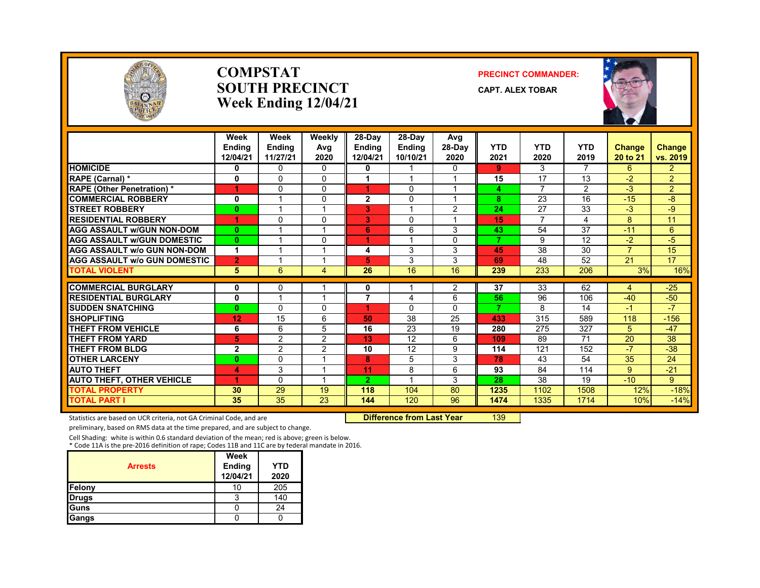

### **COMPSTATSOUTH PRECINCTWeek Ending 12/04/21**

### **PRECINCT COMMANDER:**

**CAPT. ALEX TOBAR**



|                                     | Week<br><b>Endina</b><br>12/04/21 | Week<br><b>Endina</b><br>11/27/21 | Weekly<br>Avg<br>2020 | $28-Day$<br><b>Endina</b><br>12/04/21 | 28-Day<br><b>Endina</b><br>10/10/21 | Avg<br>28-Dav<br>2020 | <b>YTD</b><br>2021 | <b>YTD</b><br>2020 | <b>YTD</b><br>2019 | <b>Change</b><br>20 to 21 | <b>Change</b><br>vs. 2019 |
|-------------------------------------|-----------------------------------|-----------------------------------|-----------------------|---------------------------------------|-------------------------------------|-----------------------|--------------------|--------------------|--------------------|---------------------------|---------------------------|
| <b>HOMICIDE</b>                     | 0                                 | $\mathbf{0}$                      | $\Omega$              | 0                                     |                                     | $\mathbf{0}$          | 9                  | 3                  | $\overline{7}$     | 6                         | $\overline{2}$            |
| RAPE (Carnal) *                     | 0                                 | $\Omega$                          | $\Omega$              |                                       |                                     |                       | 15                 | 17                 | 13                 | $-2$                      | $\overline{2}$            |
| <b>RAPE (Other Penetration) *</b>   | 4                                 | $\Omega$                          | $\Omega$              |                                       | $\Omega$                            |                       | 4                  | $\overline{ }$     | $\overline{2}$     | $-3$                      | $\overline{2}$            |
| <b>COMMERCIAL ROBBERY</b>           | 0                                 |                                   | $\Omega$              | $\overline{2}$                        | $\Omega$                            | -1                    | 8                  | 23                 | 16                 | $-15$                     | $-8$                      |
| <b>STREET ROBBERY</b>               | $\bf{0}$                          |                                   |                       | 3                                     |                                     | 2                     | 24                 | 27                 | 33                 | $-3$                      | -9                        |
| <b>RESIDENTIAL ROBBERY</b>          | 1                                 | $\Omega$                          | $\Omega$              | 3                                     | $\Omega$                            |                       | 15                 | $\overline{7}$     | 4                  | 8                         | 11                        |
| <b>AGG ASSAULT W/GUN NON-DOM</b>    | $\mathbf{0}$                      |                                   |                       | 6                                     | 6                                   | 3                     | 43                 | 54                 | 37                 | $-11$                     | 6                         |
| <b>AGG ASSAULT w/GUN DOMESTIC</b>   | $\bf{0}$                          |                                   | $\Omega$              | 4                                     |                                     | 0                     | 7                  | 9                  | 12                 | $-2$                      | $-5$                      |
| <b>AGG ASSAULT w/o GUN NON-DOM</b>  | 1                                 |                                   | ٠                     | 4                                     | 3                                   | 3                     | 45                 | 38                 | 30                 | $\overline{7}$            | 15                        |
| <b>AGG ASSAULT W/o GUN DOMESTIC</b> | $\overline{2}$                    |                                   |                       | 5                                     | 3                                   | 3                     | 69                 | 48                 | 52                 | 21                        | 17                        |
| <b>TOTAL VIOLENT</b>                | 5                                 | 6                                 | 4                     | 26                                    | 16                                  | 16                    | 239                | 233                | 206                | 3%                        | 16%                       |
| <b>COMMERCIAL BURGLARY</b>          | 0                                 | 0                                 |                       | 0                                     |                                     | 2                     | 37                 | $\overline{33}$    | 62                 | 4                         | $-25$                     |
| <b>RESIDENTIAL BURGLARY</b>         | $\mathbf 0$                       |                                   |                       | 7                                     | 4                                   | 6                     | 56                 | 96                 | 106                | $-40$                     | $-50$                     |
| <b>SUDDEN SNATCHING</b>             | $\mathbf{0}$                      | $\Omega$                          | $\Omega$              | 4                                     | $\Omega$                            | $\Omega$              | $\overline{7}$     | 8                  | 14                 | $-1$                      | $-7$                      |
| <b>SHOPLIFTING</b>                  | 12                                | 15                                | 6                     | 50                                    | 38                                  | 25                    | 433                | 315                | 589                | 118                       | $-156$                    |
| <b>THEFT FROM VEHICLE</b>           | 6                                 | 6                                 | 5                     | 16                                    | 23                                  | 19                    | 280                | 275                | 327                | 5                         | $-47$                     |
| <b>THEFT FROM YARD</b>              | 5                                 | $\overline{2}$                    | $\overline{2}$        | 13                                    | 12                                  | 6                     | 109                | 89                 | 71                 | 20                        | 38                        |
| <b>THEFT FROM BLDG</b>              | $\overline{2}$                    | $\mathfrak{p}$                    | $\mathcal{P}$         | 10                                    | 12                                  | 9                     | 114                | 121                | 152                | $-7$                      | $-38$                     |
| <b>OTHER LARCENY</b>                | $\bf{0}$                          | $\Omega$                          |                       | 8                                     | 5                                   | 3                     | 78                 | 43                 | 54                 | 35                        | 24                        |
| <b>AUTO THEFT</b>                   | 4                                 | 3                                 | ◢                     | 11                                    | 8                                   | 6                     | 93                 | 84                 | 114                | 9                         | $-21$                     |
| <b>AUTO THEFT, OTHER VEHICLE</b>    | 4                                 | $\Omega$                          | и                     | $\overline{2}$                        |                                     | 3                     | 28                 | 38                 | 19                 | $-10$                     | 9                         |
| <b>TOTAL PROPERTY</b>               | 30                                | 29                                | 19                    | 118                                   | 104                                 | 80                    | 1235               | 1102               | 1508               | 12%                       | $-18%$                    |
| TOTAL PART I                        | 35                                | 35                                | 23                    | 144                                   | 120                                 | 96                    | 1474               | 1335               | 1714               | 10%                       | $-14%$                    |

Statistics are based on UCR criteria, not GA Criminal Code, and are **Difference from Last Year** 139

preliminary, based on RMS data at the time prepared, and are subject to change.

Cell Shading: white is within 0.6 standard deviation of the mean; red is above; green is below. \* Code 11A is the pre‐2016 definition of rape; Codes 11B and 11C are by federal mandate in 2016.

|                | Week               |                    |
|----------------|--------------------|--------------------|
| <b>Arrests</b> | Ending<br>12/04/21 | <b>YTD</b><br>2020 |
| Felony         | 10                 | 205                |
| Drugs          |                    | 140                |
| <b>Guns</b>    |                    | 24                 |
| Gangs          |                    |                    |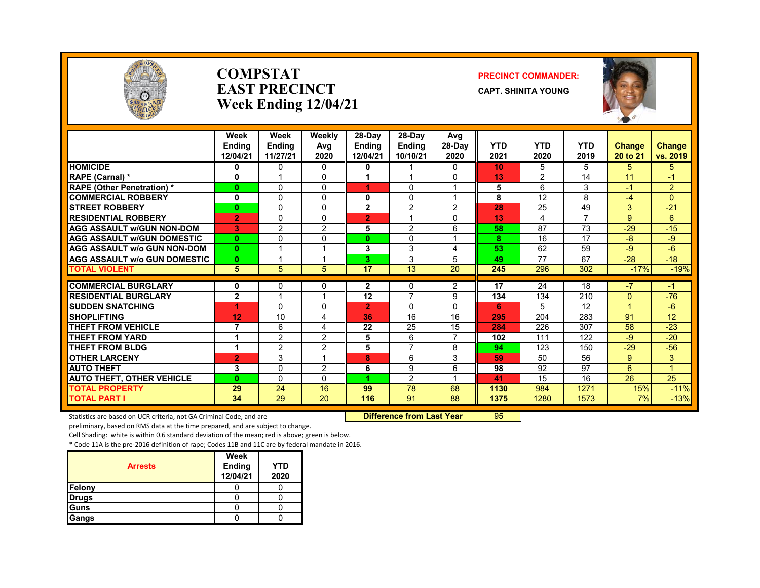

### **COMPSTATEAST PRECINCTWeek Ending 12/04/21**

### **PRECINCT COMMANDER:**

**CAPT. SHINITA YOUNG**



|                                    | Week<br><b>Ending</b><br>12/04/21 | Week<br><b>Endina</b><br>11/27/21 | Weekly<br>Avg<br>2020 | $28$ -Day<br><b>Endina</b><br>12/04/21 | 28-Day<br><b>Endina</b><br>10/10/21 | Avg<br>28-Day<br>2020 | <b>YTD</b><br>2021 | <b>YTD</b><br>2020 | <b>YTD</b><br>2019 | <b>Change</b><br>20 to 21 | <b>Change</b><br>vs. 2019 |
|------------------------------------|-----------------------------------|-----------------------------------|-----------------------|----------------------------------------|-------------------------------------|-----------------------|--------------------|--------------------|--------------------|---------------------------|---------------------------|
| <b>HOMICIDE</b>                    | 0                                 | 0                                 | 0                     | 0                                      |                                     | $\mathbf{0}$          | 10                 | 5                  | 5                  | 5                         | 5                         |
| RAPE (Carnal) *                    | 0                                 |                                   | 0                     |                                        |                                     | 0                     | 13                 | 2                  | 14                 | 11                        | $-1$                      |
| <b>RAPE (Other Penetration) *</b>  | $\mathbf{0}$                      | $\Omega$                          | 0                     | 4                                      | 0                                   | 1                     | 5                  | 6                  | 3                  | $-1$                      | $\overline{2}$            |
| <b>COMMERCIAL ROBBERY</b>          | 0                                 | $\Omega$                          | 0                     | 0                                      | $\Omega$                            | 1                     | 8                  | 12                 | 8                  | $-4$                      | $\Omega$                  |
| <b>STREET ROBBERY</b>              | $\mathbf{0}$                      | $\Omega$                          | 0                     | $\overline{2}$                         | 2                                   | 2                     | 28                 | 25                 | 49                 | 3                         | $-21$                     |
| <b>RESIDENTIAL ROBBERY</b>         | $\overline{2}$                    | $\Omega$                          | 0                     | $\overline{2}$                         |                                     | 0                     | 13                 | 4                  | 7                  | 9                         | 6                         |
| <b>AGG ASSAULT w/GUN NON-DOM</b>   | 3                                 | $\overline{2}$                    | 2                     | 5                                      | $\overline{2}$                      | 6                     | 58                 | 87                 | 73                 | $-29$                     | $-15$                     |
| <b>AGG ASSAULT W/GUN DOMESTIC</b>  | $\mathbf{0}$                      | $\Omega$                          | $\Omega$              | 0                                      | $\Omega$                            | 1                     | 8                  | 16                 | 17                 | $-8$                      | -9                        |
| <b>AGG ASSAULT w/o GUN NON-DOM</b> | $\mathbf{0}$                      |                                   |                       | 3                                      | 3                                   | 4                     | 53                 | 62                 | 59                 | $-9$                      | $-6$                      |
| AGG ASSAULT w/o GUN DOMESTIC       | $\mathbf{0}$                      |                                   |                       | 3.                                     | 3                                   | 5                     | 49                 | 77                 | 67                 | $-28$                     | $-18$                     |
| <b>TOTAL VIOLENT</b>               | 5                                 | 5                                 | 5                     | 17                                     | 13                                  | 20                    | 245                | 296                | 302                | $-17%$                    | $-19%$                    |
| <b>COMMERCIAL BURGLARY</b>         | 0                                 | $\Omega$                          | 0                     | 2                                      | 0                                   | 2                     | 17                 | 24                 | 18                 | $-7$                      | $-1$                      |
| <b>RESIDENTIAL BURGLARY</b>        | $\mathbf{2}$                      |                                   |                       | 12                                     | 7                                   | 9                     | 134                | 134                | 210                | $\Omega$                  | $-76$                     |
| <b>SUDDEN SNATCHING</b>            | 1                                 | $\Omega$                          | 0                     | $\overline{2}$                         | $\Omega$                            | $\Omega$              | 6                  | 5                  | 12                 |                           | $-6$                      |
| <b>SHOPLIFTING</b>                 | 12                                | 10                                | 4                     | 36                                     | 16                                  | 16                    | 295                | 204                | 283                | 91                        | 12                        |
| <b>THEFT FROM VEHICLE</b>          | 7                                 | 6                                 | 4                     | 22                                     | 25                                  | 15                    | 284                | 226                | 307                | 58                        | $-23$                     |
| <b>THEFT FROM YARD</b>             | 1                                 | $\overline{2}$                    | 2                     | 5                                      | 6                                   | $\overline{7}$        | 102                | 111                | 122                | $-9$                      | $-20$                     |
| <b>THEFT FROM BLDG</b>             |                                   | $\overline{2}$                    | $\overline{2}$        | 5                                      | $\overline{7}$                      | 8                     | 94                 | 123                | 150                | $-29$                     | $-56$                     |
| <b>OTHER LARCENY</b>               | 2                                 | 3                                 |                       | 8                                      | 6                                   | 3                     | 59                 | 50                 | 56                 | 9                         | 3                         |
| <b>AUTO THEFT</b>                  | 3                                 | $\Omega$                          | 2                     | 6                                      | 9                                   | 6                     | 98                 | 92                 | 97                 | 6                         | 1                         |
| <b>AUTO THEFT, OTHER VEHICLE</b>   | $\mathbf{0}$                      | $\Omega$                          | 0                     | 4                                      | 2                                   |                       | 41                 | 15                 | 16                 | 26                        | 25                        |
| <b>TOTAL PROPERTY</b>              | 29                                | 24                                | 16                    | 99                                     | 78                                  | 68                    | 1130               | 984                | 1271               | 15%                       | $-11%$                    |
| <b>TOTAL PART I</b>                | 34                                | 29                                | 20                    | 116                                    | 91                                  | 88                    | 1375               | 1280               | 1573               | 7%                        | $-13%$                    |

Statistics are based on UCR criteria, not GA Criminal Code, and are **Difference from Last Year** 95

preliminary, based on RMS data at the time prepared, and are subject to change.

Cell Shading: white is within 0.6 standard deviation of the mean; red is above; green is below.

| <b>Arrests</b> | Week<br>Ending<br>12/04/21 | YTD<br>2020 |
|----------------|----------------------------|-------------|
| Felony         |                            |             |
| <b>Drugs</b>   |                            |             |
| Guns           |                            |             |
| Gangs          |                            |             |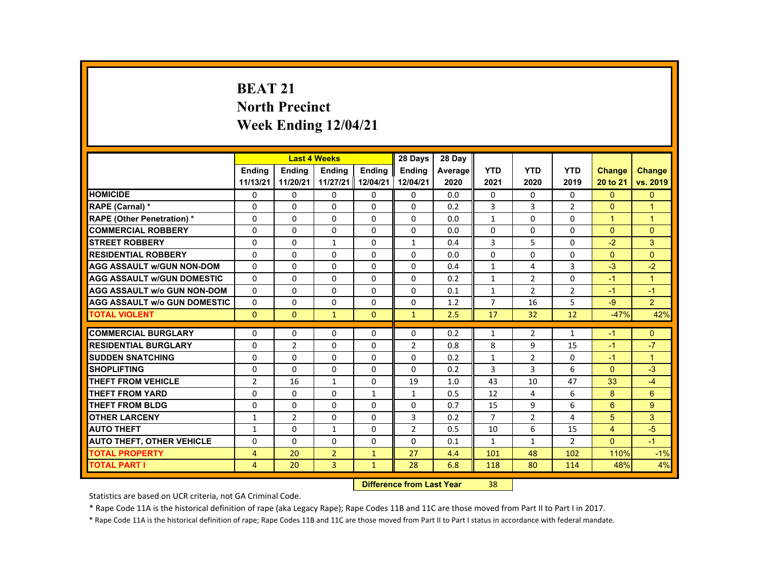# **BEAT 21 North Precinct Week Ending 12/04/21**

|                                     |                |                | <b>Last 4 Weeks</b> |               | 28 Days        | 28 Day  |                |                |                |                      |                |
|-------------------------------------|----------------|----------------|---------------------|---------------|----------------|---------|----------------|----------------|----------------|----------------------|----------------|
|                                     | <b>Endina</b>  | <b>Endina</b>  | <b>Endina</b>       | <b>Endina</b> | <b>Endina</b>  | Average | <b>YTD</b>     | <b>YTD</b>     | <b>YTD</b>     | <b>Change</b>        | <b>Change</b>  |
|                                     | 11/13/21       | 11/20/21       | 11/27/21 12/04/21   |               | 12/04/21       | 2020    | 2021           | 2020           | 2019           | 20 to 21             | vs. 2019       |
| <b>HOMICIDE</b>                     | $\mathbf{0}$   | $\Omega$       | 0                   | 0             | 0              | 0.0     | $\mathbf{0}$   | $\Omega$       | $\Omega$       | $\mathbf{0}$         | $\Omega$       |
| <b>RAPE (Carnal) *</b>              | $\Omega$       | $\Omega$       | $\Omega$            | $\Omega$      | $\Omega$       | 0.2     | 3              | 3              | $\overline{2}$ | $\Omega$             | 1              |
| <b>RAPE (Other Penetration) *</b>   | $\Omega$       | $\Omega$       | $\Omega$            | $\Omega$      | $\Omega$       | 0.0     | $\mathbf{1}$   | $\Omega$       | $\Omega$       | $\blacktriangleleft$ | $\overline{1}$ |
| <b>COMMERCIAL ROBBERY</b>           | $\Omega$       | $\Omega$       | $\Omega$            | $\Omega$      | $\Omega$       | 0.0     | $\Omega$       | $\Omega$       | $\Omega$       | $\Omega$             | $\Omega$       |
| <b>STREET ROBBERY</b>               | $\Omega$       | $\Omega$       | $\mathbf{1}$        | $\Omega$      | $\mathbf{1}$   | 0.4     | 3              | 5              | $\Omega$       | $-2$                 | 3              |
| <b>RESIDENTIAL ROBBERY</b>          | $\Omega$       | $\Omega$       | $\Omega$            | $\Omega$      | $\Omega$       | 0.0     | $\Omega$       | $\Omega$       | $\Omega$       | $\Omega$             | $\Omega$       |
| <b>AGG ASSAULT w/GUN NON-DOM</b>    | $\Omega$       | $\Omega$       | $\Omega$            | $\Omega$      | $\Omega$       | 0.4     | $\mathbf{1}$   | 4              | $\overline{3}$ | $-3$                 | $-2$           |
| <b>AGG ASSAULT w/GUN DOMESTIC</b>   | $\Omega$       | $\Omega$       | $\Omega$            | $\Omega$      | $\Omega$       | 0.2     | $\mathbf{1}$   | $\overline{2}$ | $\Omega$       | $-1$                 | $\overline{1}$ |
| <b>AGG ASSAULT w/o GUN NON-DOM</b>  | $\Omega$       | $\Omega$       | $\Omega$            | $\Omega$      | $\Omega$       | 0.1     | $\mathbf{1}$   | $\overline{2}$ | $\overline{2}$ | $-1$                 | $-1$           |
| <b>AGG ASSAULT W/o GUN DOMESTIC</b> | $\Omega$       | $\Omega$       | $\Omega$            | $\Omega$      | $\Omega$       | 1.2     | $\overline{7}$ | 16             | 5              | $-9$                 | $\overline{2}$ |
| <b>TOTAL VIOLENT</b>                | $\mathbf{0}$   | $\mathbf{0}$   | $\mathbf{1}$        | $\mathbf{0}$  | $\mathbf{1}$   | 2.5     | 17             | 32             | 12             | $-47%$               | 42%            |
|                                     |                |                |                     |               |                |         |                |                |                |                      |                |
| <b>COMMERCIAL BURGLARY</b>          | $\Omega$       | $\Omega$       | $\Omega$            | $\Omega$      | $\Omega$       | 0.2     | $\mathbf{1}$   | $\overline{2}$ | $\mathbf{1}$   | $-1$                 | $\Omega$       |
| <b>RESIDENTIAL BURGLARY</b>         | $\Omega$       | $\overline{2}$ | $\Omega$            | 0             | $\overline{2}$ | 0.8     | 8              | 9              | 15             | $-1$                 | $-7$           |
| <b>SUDDEN SNATCHING</b>             | $\Omega$       | $\Omega$       | $\Omega$            | $\Omega$      | $\Omega$       | 0.2     | $\mathbf{1}$   | 2              | $\Omega$       | $-1$                 | $\overline{1}$ |
| <b>SHOPLIFTING</b>                  | $\Omega$       | $\Omega$       | $\Omega$            | $\Omega$      | $\Omega$       | 0.2     | 3              | 3              | 6              | $\Omega$             | $-3$           |
| <b>THEFT FROM VEHICLE</b>           | $\overline{2}$ | 16             | $\mathbf{1}$        | 0             | 19             | 1.0     | 43             | 10             | 47             | 33                   | $-4$           |
| <b>THEFT FROM YARD</b>              | $\Omega$       | $\Omega$       | $\Omega$            | $\mathbf{1}$  | $\mathbf{1}$   | 0.5     | 12             | 4              | 6              | 8                    | 6              |
| <b>THEFT FROM BLDG</b>              | $\Omega$       | $\Omega$       | $\Omega$            | $\Omega$      | $\Omega$       | 0.7     | 15             | 9              | 6              | 6                    | 9              |
| <b>OTHER LARCENY</b>                | $\mathbf{1}$   | $\overline{2}$ | $\Omega$            | $\Omega$      | 3              | 0.2     | $\overline{7}$ | $\overline{2}$ | 4              | 5                    | 3              |
| <b>AUTO THEFT</b>                   | $\mathbf{1}$   | $\Omega$       | $\mathbf{1}$        | $\Omega$      | $\overline{2}$ | 0.5     | 10             | 6              | 15             | $\overline{4}$       | $-5$           |
| <b>AUTO THEFT, OTHER VEHICLE</b>    | $\Omega$       | $\Omega$       | $\Omega$            | $\Omega$      | $\Omega$       | 0.1     | $\mathbf{1}$   | $\mathbf{1}$   | $\overline{2}$ | $\Omega$             | $-1$           |
| <b>TOTAL PROPERTY</b>               | $\overline{4}$ | 20             | $\overline{2}$      | $\mathbf{1}$  | 27             | 4.4     | 101            | 48             | 102            | 110%                 | $-1%$          |
| <b>TOTAL PART I</b>                 | $\overline{4}$ | 20             | $\overline{3}$      | $\mathbf{1}$  | 28             | 6.8     | 118            | 80             | 114            | 48%                  | 4%             |

#### **Difference from Last Year**r 38

Statistics are based on UCR criteria, not GA Criminal Code.

\* Rape Code 11A is the historical definition of rape (aka Legacy Rape); Rape Codes 11B and 11C are those moved from Part II to Part I in 2017.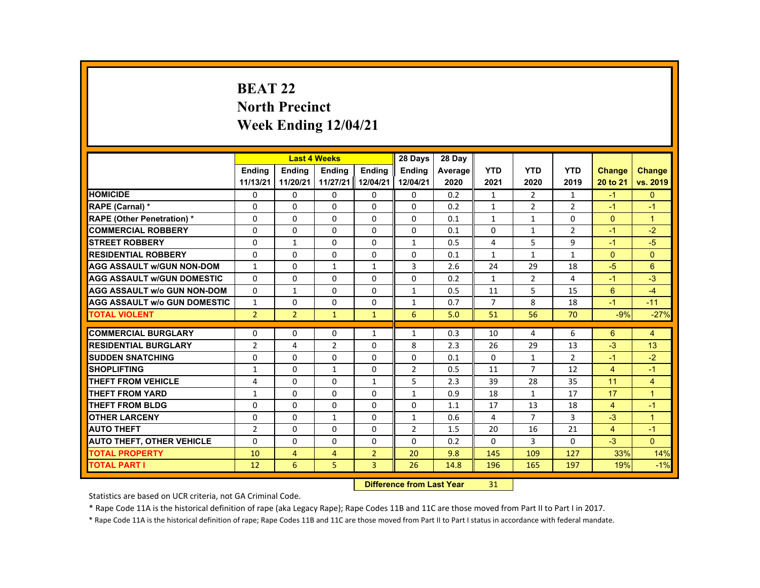# **BEAT 22 North Precinct Week Ending 12/04/21**

|                                     |                |                | <b>Last 4 Weeks</b> |                | 28 Days        | 28 Day  |                |                |                |                |                |
|-------------------------------------|----------------|----------------|---------------------|----------------|----------------|---------|----------------|----------------|----------------|----------------|----------------|
|                                     | <b>Endina</b>  | <b>Endina</b>  | <b>Endina</b>       | <b>Endina</b>  | <b>Endina</b>  | Average | <b>YTD</b>     | <b>YTD</b>     | <b>YTD</b>     | <b>Change</b>  | <b>Change</b>  |
|                                     | 11/13/21       | 11/20/21       | 11/27/21 12/04/21   |                | 12/04/21       | 2020    | 2021           | 2020           | 2019           | 20 to 21       | vs. 2019       |
| <b>HOMICIDE</b>                     | $\mathbf{0}$   | $\mathbf{0}$   | 0                   | 0              | 0              | 0.2     | $\mathbf{1}$   | $\overline{2}$ | $\mathbf{1}$   | $-1$           | $\mathbf{0}$   |
| <b>RAPE (Carnal) *</b>              | $\Omega$       | $\Omega$       | $\Omega$            | $\Omega$       | $\Omega$       | 0.2     | $\mathbf{1}$   | $\overline{2}$ | $\overline{2}$ | $-1$           | $-1$           |
| <b>RAPE (Other Penetration) *</b>   | $\Omega$       | $\Omega$       | $\Omega$            | $\Omega$       | $\Omega$       | 0.1     | $\mathbf{1}$   | $\mathbf{1}$   | $\Omega$       | $\Omega$       | $\overline{1}$ |
| <b>COMMERCIAL ROBBERY</b>           | 0              | $\mathbf{0}$   | 0                   | 0              | 0              | 0.1     | 0              | $\mathbf{1}$   | $\overline{2}$ | $-1$           | $-2$           |
| <b>STREET ROBBERY</b>               | 0              | $\mathbf{1}$   | $\Omega$            | $\Omega$       | $\mathbf{1}$   | 0.5     | 4              | 5              | 9              | $-1$           | $-5$           |
| <b>RESIDENTIAL ROBBERY</b>          | $\Omega$       | $\Omega$       | $\Omega$            | $\Omega$       | $\Omega$       | 0.1     | $\mathbf{1}$   | $\mathbf{1}$   | $\mathbf{1}$   | $\Omega$       | $\Omega$       |
| <b>AGG ASSAULT w/GUN NON-DOM</b>    | $\mathbf{1}$   | $\mathbf{0}$   | $\mathbf{1}$        | $\mathbf{1}$   | 3              | 2.6     | 24             | 29             | 18             | $-5$           | 6              |
| <b>AGG ASSAULT WGUN DOMESTIC</b>    | $\Omega$       | $\Omega$       | $\Omega$            | 0              | 0              | 0.2     | $\mathbf{1}$   | 2              | 4              | $-1$           | $-3$           |
| <b>AGG ASSAULT W/o GUN NON-DOM</b>  | $\Omega$       | $\mathbf{1}$   | 0                   | $\Omega$       | $\mathbf{1}$   | 0.5     | 11             | 5              | 15             | 6              | $-4$           |
| <b>AGG ASSAULT W/o GUN DOMESTIC</b> | $\mathbf{1}$   | $\Omega$       | $\Omega$            | $\Omega$       | $\mathbf{1}$   | 0.7     | $\overline{7}$ | 8              | 18             | $-1$           | $-11$          |
| <b>TOTAL VIOLENT</b>                | $\overline{2}$ | $\overline{2}$ | $\mathbf{1}$        | $\mathbf{1}$   | 6              | 5.0     | 51             | 56             | 70             | $-9%$          | $-27%$         |
|                                     |                |                |                     |                |                |         |                |                |                |                |                |
| <b>COMMERCIAL BURGLARY</b>          | $\Omega$       | $\Omega$       | $\Omega$            | $\mathbf{1}$   | $\mathbf{1}$   | 0.3     | 10             | 4              | 6              | 6              | $\overline{4}$ |
| <b>RESIDENTIAL BURGLARY</b>         | $\overline{2}$ | 4              | $\overline{2}$      | 0              | 8              | 2.3     | 26             | 29             | 13             | $-3$           | 13             |
| <b>SUDDEN SNATCHING</b>             | $\Omega$       | $\Omega$       | $\Omega$            | $\Omega$       | $\Omega$       | 0.1     | $\Omega$       | $\mathbf{1}$   | $\overline{2}$ | $-1$           | $-2$           |
| <b>SHOPLIFTING</b>                  | $\mathbf{1}$   | $\Omega$       | $\mathbf{1}$        | $\Omega$       | $\overline{2}$ | 0.5     | 11             | $\overline{7}$ | 12             | $\overline{4}$ | $-1$           |
| THEFT FROM VEHICLE                  | 4              | $\mathbf{0}$   | 0                   | $\mathbf{1}$   | 5              | 2.3     | 39             | 28             | 35             | 11             | $\overline{4}$ |
| <b>THEFT FROM YARD</b>              | $\mathbf{1}$   | $\Omega$       | $\Omega$            | $\Omega$       | $\mathbf{1}$   | 0.9     | 18             | $\mathbf{1}$   | 17             | 17             | $\overline{1}$ |
| THEFT FROM BLDG                     | $\Omega$       | $\Omega$       | $\Omega$            | $\Omega$       | $\Omega$       | 1.1     | 17             | 13             | 18             | $\overline{4}$ | $-1$           |
| <b>OTHER LARCENY</b>                | 0              | $\mathbf{0}$   | 1                   | 0              | 1              | 0.6     | 4              | $\overline{7}$ | 3              | $-3$           | $\mathbf{1}$   |
| <b>AUTO THEFT</b>                   | $\overline{2}$ | $\Omega$       | $\Omega$            | $\Omega$       | $\overline{2}$ | 1.5     | 20             | 16             | 21             | $\overline{4}$ | $-1$           |
| <b>AUTO THEFT, OTHER VEHICLE</b>    | $\Omega$       | $\Omega$       | $\Omega$            | $\Omega$       | $\Omega$       | 0.2     | $\Omega$       | 3              | $\Omega$       | $-3$           | $\Omega$       |
| <b>TOTAL PROPERTY</b>               | 10             | $\overline{4}$ | $\overline{4}$      | $\overline{2}$ | 20             | 9.8     | 145            | 109            | 127            | 33%            | 14%            |
| <b>TOTAL PART I</b>                 | 12             | 6              | 5                   | $\overline{3}$ | 26             | 14.8    | 196            | 165            | 197            | 19%            | $-1%$          |

#### **Difference from Last Year**r 31

Statistics are based on UCR criteria, not GA Criminal Code.

\* Rape Code 11A is the historical definition of rape (aka Legacy Rape); Rape Codes 11B and 11C are those moved from Part II to Part I in 2017.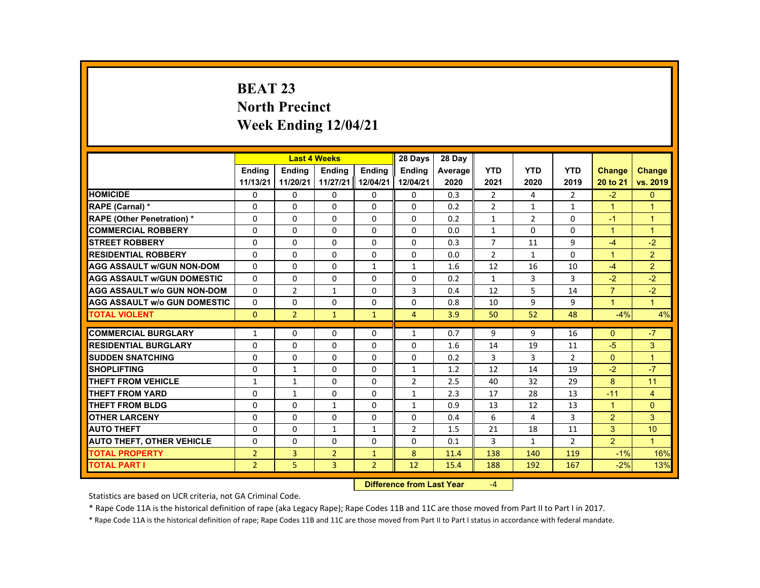# **BEAT 23 North Precinct Week Ending 12/04/21**

|                                     |                |                | <b>Last 4 Weeks</b> |                | 28 Days        | 28 Day  |                |              |                |                |                |
|-------------------------------------|----------------|----------------|---------------------|----------------|----------------|---------|----------------|--------------|----------------|----------------|----------------|
|                                     | <b>Endina</b>  | <b>Endina</b>  | <b>Endina</b>       | <b>Endina</b>  | <b>Endina</b>  | Average | <b>YTD</b>     | <b>YTD</b>   | <b>YTD</b>     | <b>Change</b>  | <b>Change</b>  |
|                                     | 11/13/21       | 11/20/21       | 11/27/21 12/04/21   |                | 12/04/21       | 2020    | 2021           | 2020         | 2019           | 20 to 21       | vs. 2019       |
| <b>HOMICIDE</b>                     | $\mathbf{0}$   | $\mathbf{0}$   | 0                   | 0              | 0              | 0.3     | 2              | 4            | $\overline{2}$ | $-2$           | $\mathbf{0}$   |
| <b>RAPE (Carnal) *</b>              | $\Omega$       | $\Omega$       | $\Omega$            | $\Omega$       | $\Omega$       | 0.2     | $\overline{2}$ | $\mathbf{1}$ | $\mathbf{1}$   | $\mathbf{1}$   | $\overline{1}$ |
| <b>RAPE (Other Penetration) *</b>   | $\Omega$       | $\Omega$       | $\Omega$            | $\Omega$       | $\Omega$       | 0.2     | $\mathbf{1}$   | 2            | $\Omega$       | $-1$           | $\overline{1}$ |
| <b>COMMERCIAL ROBBERY</b>           | 0              | $\mathbf{0}$   | 0                   | 0              | 0              | 0.0     | $\mathbf{1}$   | 0            | 0              | $\mathbf{1}$   | $\overline{1}$ |
| <b>STREET ROBBERY</b>               | $\Omega$       | $\Omega$       | $\Omega$            | $\Omega$       | $\Omega$       | 0.3     | $\overline{7}$ | 11           | 9              | $-4$           | $-2$           |
| <b>RESIDENTIAL ROBBERY</b>          | $\Omega$       | $\Omega$       | $\Omega$            | $\Omega$       | $\Omega$       | 0.0     | $\overline{2}$ | $\mathbf{1}$ | $\Omega$       | $\mathbf{1}$   | $\overline{2}$ |
| <b>AGG ASSAULT W/GUN NON-DOM</b>    | $\Omega$       | $\Omega$       | $\Omega$            | 1              | 1              | 1.6     | 12             | 16           | 10             | $-4$           | $\overline{2}$ |
| <b>AGG ASSAULT W/GUN DOMESTIC</b>   | $\Omega$       | $\Omega$       | $\Omega$            | $\Omega$       | $\Omega$       | 0.2     | $\mathbf{1}$   | 3            | 3              | $-2$           | $-2$           |
| <b>AGG ASSAULT W/o GUN NON-DOM</b>  | $\Omega$       | $\overline{2}$ | $\mathbf{1}$        | $\Omega$       | 3              | 0.4     | 12             | 5            | 14             | $\overline{7}$ | $-2$           |
| <b>AGG ASSAULT W/o GUN DOMESTIC</b> | $\Omega$       | $\Omega$       | $\Omega$            | $\Omega$       | $\Omega$       | 0.8     | 10             | 9            | 9              | $\mathbf{1}$   | $\overline{1}$ |
| <b>TOTAL VIOLENT</b>                | $\mathbf{0}$   | $\overline{2}$ | $\mathbf{1}$        | $\mathbf{1}$   | $\overline{4}$ | 3.9     | 50             | 52           | 48             | $-4%$          | 4%             |
| <b>COMMERCIAL BURGLARY</b>          | $\mathbf{1}$   | $\Omega$       | $\Omega$            | $\Omega$       | $\mathbf{1}$   | 0.7     | 9              | 9            | 16             | $\Omega$       | $-7$           |
| <b>RESIDENTIAL BURGLARY</b>         | 0              | $\mathbf{0}$   | $\Omega$            | $\Omega$       | $\Omega$       | 1.6     | 14             | 19           | 11             | $-5$           | 3              |
| <b>SUDDEN SNATCHING</b>             | $\Omega$       | $\Omega$       | $\Omega$            | $\Omega$       | $\Omega$       | 0.2     | 3              | 3            | $\overline{2}$ | $\Omega$       | $\overline{1}$ |
| <b>SHOPLIFTING</b>                  | $\Omega$       | $\mathbf{1}$   | $\Omega$            | $\Omega$       | $\mathbf{1}$   | 1.2     | 12             | 14           | 19             | $-2$           | $-7$           |
| <b>THEFT FROM VEHICLE</b>           | $\mathbf{1}$   | $\mathbf{1}$   | 0                   | 0              | $\overline{2}$ | 2.5     | 40             | 32           | 29             | 8              | 11             |
| <b>THEFT FROM YARD</b>              | $\Omega$       | $\mathbf{1}$   | $\Omega$            | $\Omega$       | $\mathbf{1}$   | 2.3     | 17             | 28           | 13             | $-11$          | $\overline{4}$ |
| <b>THEFT FROM BLDG</b>              | $\Omega$       | $\Omega$       | $\mathbf{1}$        | $\Omega$       | $\mathbf{1}$   | 0.9     | 13             | 12           | 13             | $\mathbf{1}$   | $\mathbf{0}$   |
| <b>OTHER LARCENY</b>                | 0              | $\mathbf{0}$   | 0                   | 0              | 0              | 0.4     | 6              | 4            | 3              | 2              | 3              |
| <b>AUTO THEFT</b>                   | $\Omega$       | $\Omega$       | $\mathbf{1}$        | $\mathbf{1}$   | 2              | 1.5     | 21             | 18           | 11             | 3              | 10             |
| <b>AUTO THEFT, OTHER VEHICLE</b>    | 0              | $\mathbf{0}$   | 0                   | 0              | $\Omega$       | 0.1     | 3              | $\mathbf{1}$ | $\overline{2}$ | $\overline{2}$ | $\overline{1}$ |
| <b>TOTAL PROPERTY</b>               | $\overline{2}$ | 3              | $\overline{2}$      | $\mathbf{1}$   | 8              | 11.4    | 138            | 140          | 119            | $-1%$          | 16%            |
| <b>TOTAL PART I</b>                 | 2 <sup>1</sup> | 5              | 3                   | $\overline{2}$ | 12             | 15.4    | 188            | 192          | 167            | $-2%$          | 13%            |
|                                     |                |                |                     |                |                |         |                |              |                |                |                |

#### **Difference from Last Year**r  $-4$

Statistics are based on UCR criteria, not GA Criminal Code.

\* Rape Code 11A is the historical definition of rape (aka Legacy Rape); Rape Codes 11B and 11C are those moved from Part II to Part I in 2017.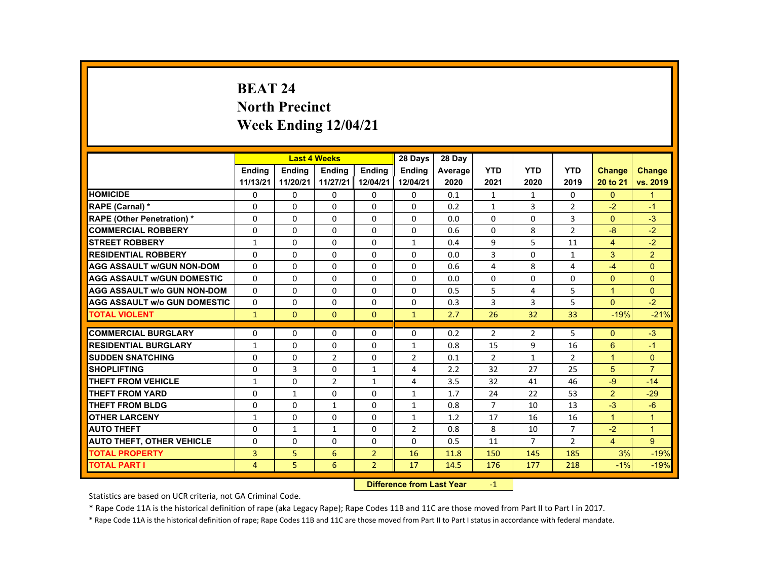# **BEAT 24 North Precinct Week Ending 12/04/21**

|                                     |                |               | <b>Last 4 Weeks</b> |                | 28 Days        | 28 Day  |                      |                |                |                   |                      |
|-------------------------------------|----------------|---------------|---------------------|----------------|----------------|---------|----------------------|----------------|----------------|-------------------|----------------------|
|                                     | <b>Endina</b>  | <b>Endina</b> | <b>Endina</b>       | <b>Endina</b>  | <b>Endina</b>  | Average | <b>YTD</b>           | <b>YTD</b>     | <b>YTD</b>     | <b>Change</b>     | <b>Change</b>        |
|                                     | 11/13/21       | 11/20/21      | 11/27/21            | 12/04/21       | 12/04/21       | 2020    | 2021                 | 2020           | 2019           | 20 to 21          | vs. 2019             |
| <b>HOMICIDE</b>                     | 0              | 0             | 0                   | $\mathbf{0}$   | $\mathbf{0}$   | 0.1     | $\mathbf{1}$         | $\mathbf{1}$   | $\mathbf{0}$   | $\mathbf{0}$      | $\mathbf{1}$         |
| <b>RAPE (Carnal) *</b>              | $\Omega$       | $\Omega$      | $\Omega$            | $\Omega$       | $\Omega$       | 0.2     | $\mathbf{1}$         | 3              | $\overline{2}$ | $-2$              | $-1$                 |
| <b>RAPE (Other Penetration) *</b>   | $\Omega$       | $\Omega$      | $\Omega$            | $\Omega$       | $\Omega$       | 0.0     | $\Omega$             | $\Omega$       | 3              | $\Omega$          | $-3$                 |
| <b>COMMERCIAL ROBBERY</b>           | 0              | 0             | 0                   | 0              | 0              | 0.6     | 0                    | 8              | $\overline{2}$ | $-8$              | $-2$                 |
| <b>STREET ROBBERY</b>               | 1              | $\Omega$      | $\Omega$            | $\Omega$       | $\mathbf{1}$   | 0.4     | 9                    | 5              | 11             | $\overline{4}$    | $-2$                 |
| <b>RESIDENTIAL ROBBERY</b>          | $\Omega$       | $\Omega$      | $\Omega$            | $\Omega$       | $\Omega$       | 0.0     | 3                    | $\Omega$       | 1              | 3                 | $\overline{2}$       |
| <b>AGG ASSAULT w/GUN NON-DOM</b>    | $\Omega$       | $\Omega$      | $\Omega$            | $\Omega$       | $\Omega$       | 0.6     | 4                    | 8              | 4              | $-4$              | $\Omega$             |
| <b>AGG ASSAULT W/GUN DOMESTIC</b>   | $\Omega$       | $\Omega$      | $\Omega$            | $\Omega$       | $\Omega$       | 0.0     | 0                    | $\Omega$       | 0              | $\Omega$          | $\Omega$             |
| <b>AGG ASSAULT W/o GUN NON-DOM</b>  | $\Omega$       | $\Omega$      | $\Omega$            | $\Omega$       | $\Omega$       | 0.5     | 5                    | 4              | 5              | $\mathbf{1}$      | $\Omega$             |
| <b>AGG ASSAULT W/o GUN DOMESTIC</b> | $\Omega$       | $\Omega$      | $\Omega$            | $\Omega$       | $\Omega$       | 0.3     | 3                    | 3              | 5              | $\Omega$          | $-2$                 |
| <b>TOTAL VIOLENT</b>                | $\mathbf{1}$   | $\mathbf{0}$  | $\mathbf{0}$        | $\Omega$       | $\mathbf{1}$   | 2.7     | 26                   | 32             | 33             | $-19%$            | $-21%$               |
| <b>COMMERCIAL BURGLARY</b>          | $\Omega$       | $\Omega$      | $\Omega$            | $\Omega$       | $\Omega$       |         |                      |                | 5              |                   |                      |
| <b>RESIDENTIAL BURGLARY</b>         |                |               |                     |                |                | 0.2     | $\overline{2}$       | $\overline{2}$ |                | $\Omega$          | $-3$                 |
| <b>SUDDEN SNATCHING</b>             | 1              | 0<br>$\Omega$ | $\Omega$            | $\Omega$       | $\mathbf{1}$   | 0.8     | 15                   | 9              | 16             | 6<br>$\mathbf{1}$ | $-1$                 |
|                                     | $\Omega$       |               | $\overline{2}$      | $\Omega$       | $\overline{2}$ | 0.1     | $\overline{2}$       | $\mathbf{1}$   | $\overline{2}$ |                   | $\mathbf{0}$         |
| <b>SHOPLIFTING</b>                  | $\Omega$       | 3             | $\Omega$            | $\mathbf{1}$   | 4              | 2.2     | 32                   | 27             | 25             | 5                 | $\overline{7}$       |
| <b>THEFT FROM VEHICLE</b>           | $\mathbf{1}$   | $\Omega$      | 2                   | $\mathbf{1}$   | 4              | 3.5     | 32                   | 41             | 46             | $-9$              | $-14$                |
| <b>THEFT FROM YARD</b>              | $\Omega$       | $\mathbf{1}$  | $\Omega$            | $\Omega$       | $\mathbf{1}$   | 1.7     | 24<br>$\overline{7}$ | 22             | 53             | 2                 | $-29$<br>$-6$        |
| THEFT FROM BLDG                     | $\Omega$       | $\Omega$      | $\mathbf{1}$        | $\Omega$       | $\mathbf{1}$   | 0.8     |                      | 10             | 13             | $-3$              |                      |
| <b>OTHER LARCENY</b>                | $\mathbf{1}$   | 0             | 0                   | $\mathbf{0}$   | $\mathbf{1}$   | 1.2     | 17                   | 16             | 16             | $\mathbf{1}$      | $\mathbf{1}$         |
| <b>AUTO THEFT</b>                   | 0              | $\mathbf{1}$  | $\mathbf{1}$        | 0              | 2              | 0.8     | 8                    | 10             | 7              | $-2$              | $\blacktriangleleft$ |
| <b>AUTO THEFT, OTHER VEHICLE</b>    | 0              | 0             | 0                   | 0              | 0              | 0.5     | 11                   | $\overline{7}$ | 2              | $\overline{4}$    | 9                    |
| <b>TOTAL PROPERTY</b>               | 3              | 5             | 6                   | $\overline{2}$ | 16             | 11.8    | 150                  | 145            | 185            | 3%                | $-19%$               |
| TOTAL PART I                        | $\overline{4}$ | 5             | 6                   | $\overline{2}$ | 17             | 14.5    | 176                  | 177            | 218            | $-1%$             | $-19%$               |

#### **Difference from Last Year**r -1

Statistics are based on UCR criteria, not GA Criminal Code.

\* Rape Code 11A is the historical definition of rape (aka Legacy Rape); Rape Codes 11B and 11C are those moved from Part II to Part I in 2017.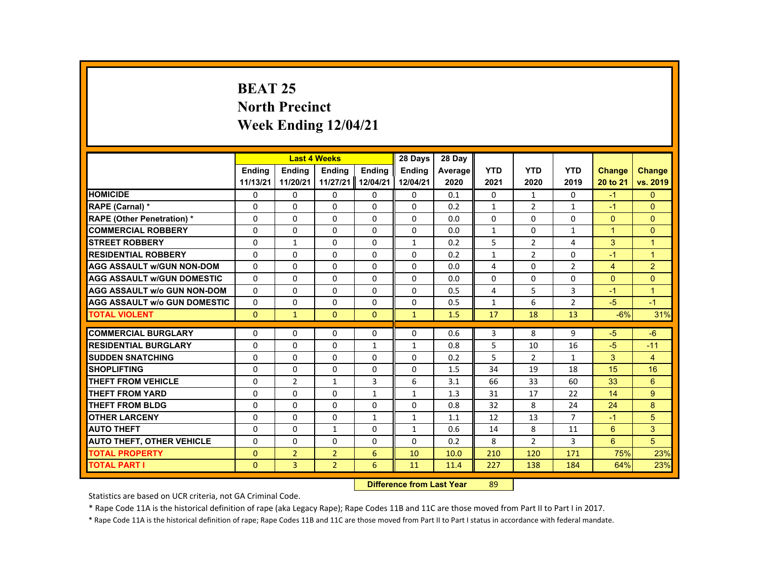# **BEAT 25 North Precinct Week Ending 12/04/21**

|                                     |               |                | <b>Last 4 Weeks</b> |               | 28 Days       | 28 Dav  |              |                |                |                      |                |
|-------------------------------------|---------------|----------------|---------------------|---------------|---------------|---------|--------------|----------------|----------------|----------------------|----------------|
|                                     | <b>Endina</b> | <b>Endina</b>  | <b>Endina</b>       | <b>Endina</b> | <b>Endina</b> | Average | <b>YTD</b>   | <b>YTD</b>     | <b>YTD</b>     | <b>Change</b>        | <b>Change</b>  |
|                                     | 11/13/21      | 11/20/21       | 11/27/21            | 12/04/21      | 12/04/21      | 2020    | 2021         | 2020           | 2019           | 20 to 21             | vs. 2019       |
| <b>HOMICIDE</b>                     | 0             | 0              | 0                   | 0             | 0             | 0.1     | 0            | 1              | $\mathbf{0}$   | $-1$                 | $\Omega$       |
| RAPE (Carnal) *                     | $\Omega$      | $\Omega$       | $\Omega$            | $\Omega$      | $\Omega$      | 0.2     | $\mathbf{1}$ | 2              | $\mathbf{1}$   | $-1$                 | $\Omega$       |
| <b>RAPE (Other Penetration) *</b>   | $\Omega$      | $\Omega$       | $\Omega$            | $\Omega$      | $\Omega$      | 0.0     | $\Omega$     | $\Omega$       | $\Omega$       | $\Omega$             | $\Omega$       |
| <b>COMMERCIAL ROBBERY</b>           | 0             | 0              | 0                   | 0             | 0             | 0.0     | $\mathbf{1}$ | 0              | $\mathbf{1}$   | $\blacktriangleleft$ | $\Omega$       |
| <b>STREET ROBBERY</b>               | $\Omega$      | $\mathbf{1}$   | $\Omega$            | $\Omega$      | $\mathbf{1}$  | 0.2     | 5            | 2              | 4              | 3                    | $\overline{1}$ |
| <b>RESIDENTIAL ROBBERY</b>          | $\Omega$      | $\Omega$       | $\Omega$            | $\Omega$      | $\Omega$      | 0.2     | $\mathbf{1}$ | 2              | $\Omega$       | $-1$                 | $\mathbf{1}$   |
| <b>AGG ASSAULT w/GUN NON-DOM</b>    | $\Omega$      | 0              | $\Omega$            | $\Omega$      | $\Omega$      | 0.0     | 4            | $\Omega$       | $\overline{2}$ | $\overline{4}$       | 2              |
| <b>AGG ASSAULT w/GUN DOMESTIC</b>   | $\Omega$      | $\Omega$       | $\Omega$            | $\Omega$      | $\Omega$      | 0.0     | $\Omega$     | $\Omega$       | $\Omega$       | $\Omega$             | $\Omega$       |
| <b>AGG ASSAULT w/o GUN NON-DOM</b>  | $\Omega$      | $\Omega$       | $\Omega$            | $\Omega$      | $\Omega$      | 0.5     | 4            | 5              | 3              | $-1$                 | $\overline{1}$ |
| <b>AGG ASSAULT w/o GUN DOMESTIC</b> | $\Omega$      | 0              | $\Omega$            | 0             | $\Omega$      | 0.5     | $\mathbf{1}$ | 6              | $\overline{2}$ | $-5$                 | $-1$           |
| <b>TOTAL VIOLENT</b>                | $\Omega$      | $\mathbf{1}$   | $\mathbf{0}$        | $\Omega$      | $\mathbf{1}$  | 1.5     | 17           | 18             | 13             | $-6%$                | 31%            |
|                                     |               |                |                     |               |               |         |              |                |                |                      |                |
| <b>COMMERCIAL BURGLARY</b>          | 0             | 0              | 0                   | 0             | 0             | 0.6     | 3            | 8              | 9              | $-5$                 | $-6$           |
| <b>RESIDENTIAL BURGLARY</b>         | $\Omega$      | $\Omega$       | $\Omega$            | $\mathbf{1}$  | $\mathbf{1}$  | 0.8     | 5            | 10             | 16             | $-5$                 | $-11$          |
| <b>SUDDEN SNATCHING</b>             | $\Omega$      | $\Omega$       | $\Omega$            | $\Omega$      | $\Omega$      | 0.2     | 5            | 2              | $\mathbf{1}$   | 3                    | $\overline{4}$ |
| <b>SHOPLIFTING</b>                  | $\Omega$      | $\Omega$       | $\Omega$            | $\Omega$      | $\Omega$      | 1.5     | 34           | 19             | 18             | 15                   | 16             |
| <b>THEFT FROM VEHICLE</b>           | $\Omega$      | $\overline{2}$ | $\mathbf{1}$        | 3             | 6             | 3.1     | 66           | 33             | 60             | 33                   | 6              |
| <b>THEFT FROM YARD</b>              | $\Omega$      | $\Omega$       | $\Omega$            | $\mathbf{1}$  | $\mathbf{1}$  | 1.3     | 31           | 17             | 22             | 14                   | 9              |
| <b>THEFT FROM BLDG</b>              | $\Omega$      | $\Omega$       | $\Omega$            | $\Omega$      | $\Omega$      | 0.8     | 32           | 8              | 24             | 24                   | 8              |
| <b>OTHER LARCENY</b>                | 0             | 0              | 0                   | $\mathbf{1}$  | $\mathbf{1}$  | 1.1     | 12           | 13             | 7              | $-1$                 | 5              |
| <b>AUTO THEFT</b>                   | $\Omega$      | $\Omega$       | $\mathbf{1}$        | $\Omega$      | $\mathbf{1}$  | 0.6     | 14           | 8              | 11             | 6                    | 3              |
| <b>AUTO THEFT, OTHER VEHICLE</b>    | $\Omega$      | $\Omega$       | $\Omega$            | $\Omega$      | $\Omega$      | 0.2     | 8            | $\overline{2}$ | 3              | 6                    | 5              |
| <b>TOTAL PROPERTY</b>               | $\mathbf{0}$  | $\overline{2}$ | $\overline{2}$      | 6             | 10            | 10.0    | 210          | 120            | 171            | 75%                  | 23%            |
| <b>TOTAL PART I</b>                 | $\mathbf{0}$  | $\overline{3}$ | $\overline{2}$      | 6             | 11            | 11.4    | 227          | 138            | 184            | 64%                  | 23%            |
|                                     |               |                |                     |               |               |         |              |                |                |                      |                |

#### **Difference from Last Year**r 89

Statistics are based on UCR criteria, not GA Criminal Code.

\* Rape Code 11A is the historical definition of rape (aka Legacy Rape); Rape Codes 11B and 11C are those moved from Part II to Part I in 2017.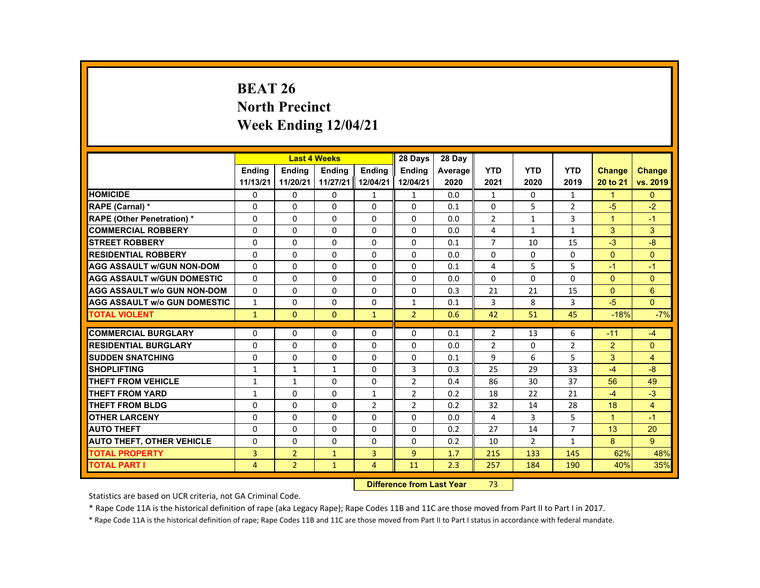# **BEAT 26 North Precinct Week Ending 12/04/21**

|                                     |                |                | <b>Last 4 Weeks</b> |                | 28 Days        | 28 Day  |                |                |                |                |                |
|-------------------------------------|----------------|----------------|---------------------|----------------|----------------|---------|----------------|----------------|----------------|----------------|----------------|
|                                     | <b>Endina</b>  | <b>Endina</b>  | <b>Endina</b>       | <b>Endina</b>  | <b>Endina</b>  | Average | <b>YTD</b>     | <b>YTD</b>     | <b>YTD</b>     | <b>Change</b>  | <b>Change</b>  |
|                                     | 11/13/21       | 11/20/21       | 11/27/21            | 12/04/21       | 12/04/21       | 2020    | 2021           | 2020           | 2019           | 20 to 21       | vs. 2019       |
| <b>HOMICIDE</b>                     | $\mathbf{0}$   | $\mathbf{0}$   | 0                   | 1              | 1              | 0.0     | $\mathbf{1}$   | 0              | $\mathbf{1}$   | $\mathbf{1}$   | $\mathbf{0}$   |
| <b>RAPE (Carnal) *</b>              | $\Omega$       | $\Omega$       | $\Omega$            | $\Omega$       | $\Omega$       | 0.1     | $\Omega$       | 5              | $\overline{2}$ | $-5$           | $-2$           |
| <b>RAPE (Other Penetration) *</b>   | $\Omega$       | $\Omega$       | $\Omega$            | $\Omega$       | $\Omega$       | 0.0     | $\overline{2}$ | $\mathbf{1}$   | $\overline{3}$ | $\mathbf{1}$   | $-1$           |
| <b>COMMERCIAL ROBBERY</b>           | 0              | $\mathbf{0}$   | 0                   | 0              | 0              | 0.0     | 4              | $\mathbf{1}$   | $\mathbf{1}$   | 3              | 3              |
| <b>STREET ROBBERY</b>               | 0              | $\Omega$       | $\Omega$            | $\Omega$       | $\Omega$       | 0.1     | $\overline{7}$ | 10             | 15             | $-3$           | $-8$           |
| <b>RESIDENTIAL ROBBERY</b>          | $\Omega$       | $\Omega$       | $\Omega$            | $\Omega$       | $\Omega$       | 0.0     | $\Omega$       | $\Omega$       | $\Omega$       | $\Omega$       | $\Omega$       |
| <b>AGG ASSAULT w/GUN NON-DOM</b>    | $\Omega$       | $\mathbf{0}$   | 0                   | 0              | 0              | 0.1     | 4              | 5              | 5              | $-1$           | $-1$           |
| <b>AGG ASSAULT WGUN DOMESTIC</b>    | $\Omega$       | $\Omega$       | $\Omega$            | 0              | 0              | 0.0     | 0              | 0              | 0              | $\Omega$       | $\Omega$       |
| <b>AGG ASSAULT W/o GUN NON-DOM</b>  | $\Omega$       | $\mathbf{0}$   | 0                   | $\Omega$       | $\Omega$       | 0.3     | 21             | 21             | 15             | $\mathbf{0}$   | $6\phantom{1}$ |
| <b>AGG ASSAULT W/o GUN DOMESTIC</b> | $\mathbf{1}$   | $\mathbf{0}$   | $\Omega$            | $\Omega$       | $\mathbf{1}$   | 0.1     | 3              | 8              | $\overline{3}$ | $-5$           | $\Omega$       |
| <b>TOTAL VIOLENT</b>                | $\mathbf{1}$   | $\Omega$       | $\Omega$            | $\mathbf{1}$   | $\overline{2}$ | 0.6     | 42             | 51             | 45             | $-18%$         | $-7%$          |
|                                     |                |                |                     |                |                |         |                |                |                |                |                |
| <b>COMMERCIAL BURGLARY</b>          | $\Omega$       | $\Omega$       | $\Omega$            | $\Omega$       | $\Omega$       | 0.1     | $\overline{2}$ | 13             | 6              | $-11$          | $-4$           |
| <b>RESIDENTIAL BURGLARY</b>         | 0              | $\mathbf{0}$   | 0                   | 0              | 0              | 0.0     | $\overline{2}$ | 0              | $\overline{2}$ | $\overline{2}$ | $\Omega$       |
| <b>SUDDEN SNATCHING</b>             | $\Omega$       | $\Omega$       | $\Omega$            | $\Omega$       | $\Omega$       | 0.1     | 9              | 6              | 5              | 3              | $\overline{4}$ |
| <b>SHOPLIFTING</b>                  | $\mathbf{1}$   | $\mathbf{1}$   | $\mathbf{1}$        | $\Omega$       | 3              | 0.3     | 25             | 29             | 33             | $-4$           | $-8$           |
| THEFT FROM VEHICLE                  | $\mathbf{1}$   | $\mathbf{1}$   | 0                   | 0              | $\overline{2}$ | 0.4     | 86             | 30             | 37             | 56             | 49             |
| <b>THEFT FROM YARD</b>              | $\mathbf{1}$   | $\Omega$       | $\Omega$            | $\mathbf{1}$   | 2              | 0.2     | 18             | 22             | 21             | $-4$           | $-3$           |
| THEFT FROM BLDG                     | $\Omega$       | $\Omega$       | $\Omega$            | 2              | $\overline{2}$ | 0.2     | 32             | 14             | 28             | 18             | $\overline{4}$ |
| <b>OTHER LARCENY</b>                | 0              | $\mathbf{0}$   | 0                   | 0              | 0              | 0.0     | 4              | 3              | 5              | $\mathbf{1}$   | $-1$           |
| <b>AUTO THEFT</b>                   | $\Omega$       | $\Omega$       | $\Omega$            | $\Omega$       | $\Omega$       | 0.2     | 27             | 14             | $\overline{7}$ | 13             | 20             |
| <b>AUTO THEFT, OTHER VEHICLE</b>    | $\Omega$       | $\Omega$       | $\Omega$            | $\Omega$       | $\Omega$       | 0.2     | 10             | $\overline{2}$ | $\mathbf{1}$   | 8              | 9              |
| <b>TOTAL PROPERTY</b>               | 3              | $\overline{2}$ | $\mathbf{1}$        | $\overline{3}$ | $\overline{9}$ | 1.7     | 215            | 133            | 145            | 62%            | 48%            |
| <b>TOTAL PART I</b>                 | $\overline{4}$ | $\overline{2}$ | $\mathbf{1}$        | $\overline{4}$ | 11             | 2.3     | 257            | 184            | 190            | 40%            | 35%            |

#### **Difference from Last Year**r 73

Statistics are based on UCR criteria, not GA Criminal Code.

\* Rape Code 11A is the historical definition of rape (aka Legacy Rape); Rape Codes 11B and 11C are those moved from Part II to Part I in 2017.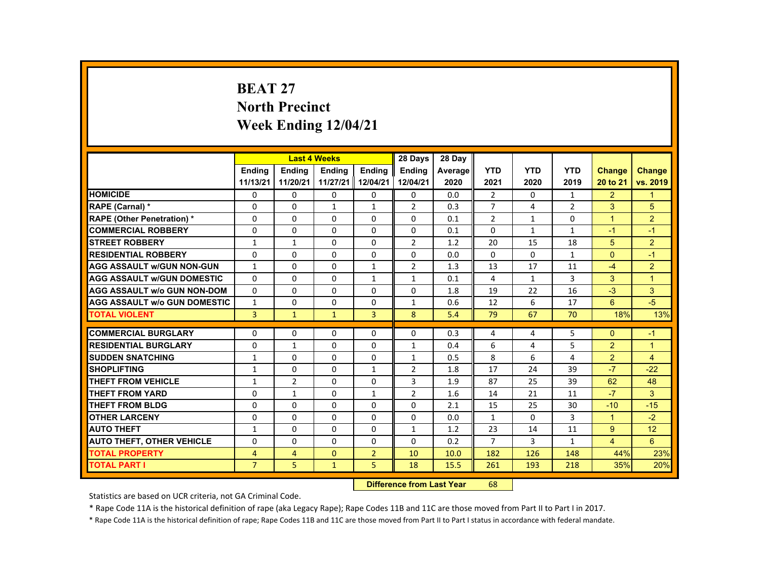# **BEAT 27 North Precinct Week Ending 12/04/21**

|                                     |                |                | <b>Last 4 Weeks</b> |                | 28 Days        | 28 Day  |                |              |                |                      |                      |
|-------------------------------------|----------------|----------------|---------------------|----------------|----------------|---------|----------------|--------------|----------------|----------------------|----------------------|
|                                     | <b>Endina</b>  | <b>Endina</b>  | <b>Endina</b>       | <b>Endina</b>  | <b>Endina</b>  | Average | <b>YTD</b>     | <b>YTD</b>   | <b>YTD</b>     | <b>Change</b>        | <b>Change</b>        |
|                                     | 11/13/21       | 11/20/21       | 11/27/21            | 12/04/21       | 12/04/21       | 2020    | 2021           | 2020         | 2019           | 20 to 21             | vs. 2019             |
| <b>HOMICIDE</b>                     | 0              | $\mathbf{0}$   | $\Omega$            | 0              | 0              | 0.0     | $\overline{2}$ | $\Omega$     | $\mathbf{1}$   | $\overline{2}$       | 1                    |
| <b>RAPE (Carnal) *</b>              | $\Omega$       | $\Omega$       | $\mathbf{1}$        | $\mathbf{1}$   | 2              | 0.3     | $\overline{7}$ | 4            | $\overline{2}$ | 3                    | 5                    |
| <b>RAPE (Other Penetration) *</b>   | $\Omega$       | $\Omega$       | $\Omega$            | $\Omega$       | $\Omega$       | 0.1     | $\overline{2}$ | $\mathbf{1}$ | $\Omega$       | $\overline{1}$       | 2                    |
| <b>COMMERCIAL ROBBERY</b>           | $\Omega$       | $\Omega$       | $\Omega$            | $\Omega$       | $\Omega$       | 0.1     | $\Omega$       | $\mathbf{1}$ | $\mathbf{1}$   | $-1$                 | $-1$                 |
| <b>STREET ROBBERY</b>               | $\mathbf{1}$   | $\mathbf{1}$   | $\Omega$            | $\Omega$       | 2              | 1.2     | 20             | 15           | 18             | 5                    | $\overline{2}$       |
| <b>RESIDENTIAL ROBBERY</b>          | $\Omega$       | $\Omega$       | $\Omega$            | $\Omega$       | $\Omega$       | 0.0     | $\Omega$       | $\Omega$     | $\mathbf{1}$   | $\Omega$             | $-1$                 |
| <b>AGG ASSAULT w/GUN NON-GUN</b>    | $\mathbf{1}$   | $\Omega$       | $\Omega$            | $\mathbf{1}$   | $\overline{2}$ | 1.3     | 13             | 17           | 11             | $-4$                 | 2                    |
| <b>AGG ASSAULT W/GUN DOMESTIC</b>   | $\Omega$       | $\Omega$       | $\Omega$            | $\mathbf{1}$   | $\mathbf{1}$   | 0.1     | 4              | 1            | 3              | 3                    | $\blacktriangleleft$ |
| <b>AGG ASSAULT w/o GUN NON-DOM</b>  | $\Omega$       | 0              | 0                   | 0              | 0              | 1.8     | 19             | 22           | 16             | $-3$                 | 3                    |
| <b>AGG ASSAULT W/o GUN DOMESTIC</b> | $\mathbf{1}$   | $\Omega$       | $\Omega$            | $\Omega$       | $\mathbf{1}$   | 0.6     | 12             | 6            | 17             | 6                    | $-5$                 |
| <b>TOTAL VIOLENT</b>                | $\overline{3}$ | $\mathbf{1}$   | $\mathbf{1}$        | $\overline{3}$ | 8              | 5.4     | 79             | 67           | 70             | 18%                  | 13%                  |
|                                     |                |                |                     |                |                |         |                |              |                |                      |                      |
| <b>COMMERCIAL BURGLARY</b>          | $\Omega$       | $\Omega$       | $\Omega$            | $\Omega$       | $\Omega$       | 0.3     | 4              | 4            | 5              | $\Omega$             | $-1$                 |
| <b>RESIDENTIAL BURGLARY</b>         | $\Omega$       | $\mathbf{1}$   | $\Omega$            | $\Omega$       | $\mathbf{1}$   | 0.4     | 6              | 4            | 5              | 2                    | $\overline{1}$       |
| <b>SUDDEN SNATCHING</b>             | $\mathbf{1}$   | 0              | 0                   | 0              | $\mathbf{1}$   | 0.5     | 8              | 6            | 4              | 2                    | $\overline{4}$       |
| <b>SHOPLIFTING</b>                  | $\mathbf{1}$   | $\Omega$       | $\Omega$            | $\mathbf{1}$   | 2              | 1.8     | 17             | 24           | 39             | $-7$                 | $-22$                |
| THEFT FROM VEHICLE                  | $\mathbf{1}$   | $\overline{2}$ | $\Omega$            | $\Omega$       | 3              | 1.9     | 87             | 25           | 39             | 62                   | 48                   |
| <b>THEFT FROM YARD</b>              | $\Omega$       | $\mathbf{1}$   | $\Omega$            | $\mathbf{1}$   | $\overline{2}$ | 1.6     | 14             | 21           | 11             | $-7$                 | 3                    |
| <b>THEFT FROM BLDG</b>              | $\Omega$       | $\Omega$       | $\Omega$            | $\Omega$       | $\Omega$       | 2.1     | 15             | 25           | 30             | $-10$                | $-15$                |
| <b>OTHER LARCENY</b>                | 0              | 0              | $\Omega$            | 0              | 0              | 0.0     | $\mathbf{1}$   | 0            | 3              | $\blacktriangleleft$ | $-2$                 |
| <b>AUTO THEFT</b>                   | $\mathbf{1}$   | $\Omega$       | $\Omega$            | $\Omega$       | $\mathbf{1}$   | 1.2     | 23             | 14           | 11             | 9                    | 12                   |
| <b>AUTO THEFT, OTHER VEHICLE</b>    | $\Omega$       | $\Omega$       | $\Omega$            | $\Omega$       | $\Omega$       | 0.2     | $\overline{7}$ | $\mathbf{3}$ | $\mathbf{1}$   | $\overline{4}$       | 6                    |
| <b>TOTAL PROPERTY</b>               | 4              | $\overline{4}$ | $\Omega$            | $\overline{2}$ | 10             | 10.0    | 182            | 126          | 148            | 44%                  | 23%                  |
| <b>TOTAL PART I</b>                 | $\overline{7}$ | 5              | $\mathbf{1}$        | 5              | 18             | 15.5    | 261            | 193          | 218            | 35%                  | 20%                  |
|                                     |                |                |                     |                |                |         |                |              |                |                      |                      |

#### **Difference from Last Year**r 68

Statistics are based on UCR criteria, not GA Criminal Code.

\* Rape Code 11A is the historical definition of rape (aka Legacy Rape); Rape Codes 11B and 11C are those moved from Part II to Part I in 2017.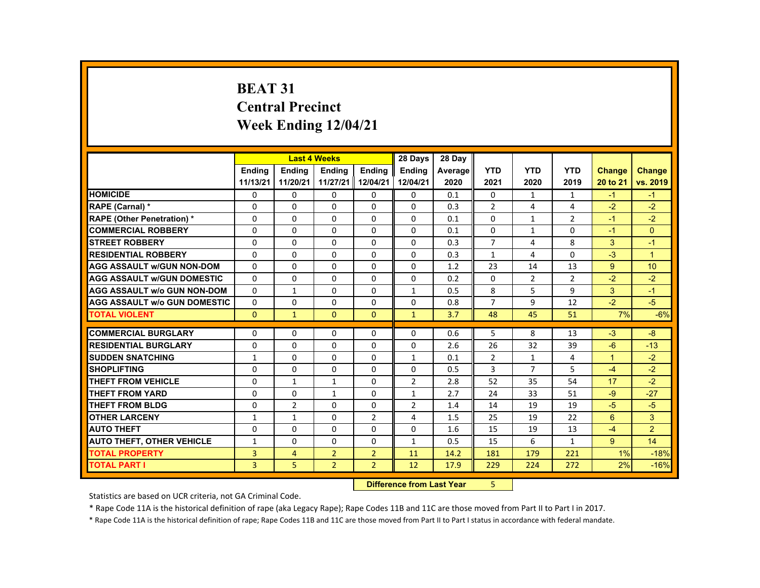# **BEAT 31 Central Precinct Week Ending 12/04/21**

|                                     |                |                | <b>Last 4 Weeks</b> |                | 28 Days        | 28 Day  |                |                |                |                      |                  |
|-------------------------------------|----------------|----------------|---------------------|----------------|----------------|---------|----------------|----------------|----------------|----------------------|------------------|
|                                     | <b>Endina</b>  | <b>Endina</b>  | <b>Endina</b>       | <b>Endina</b>  | <b>Endina</b>  | Average | <b>YTD</b>     | <b>YTD</b>     | <b>YTD</b>     | <b>Change</b>        | Change           |
|                                     | 11/13/21       | 11/20/21       | 11/27/21 12/04/21   |                | 12/04/21       | 2020    | 2021           | 2020           | 2019           | 20 to 21             | vs. 2019         |
| <b>HOMICIDE</b>                     | 0              | 0              | 0                   | 0              | 0              | 0.1     | 0              | $\mathbf{1}$   | $\mathbf{1}$   | $-1$                 | $-1$             |
| <b>RAPE (Carnal) *</b>              | $\Omega$       | $\Omega$       | $\Omega$            | $\Omega$       | $\Omega$       | 0.3     | $\overline{2}$ | 4              | 4              | $-2$                 | $-2$             |
| <b>RAPE (Other Penetration) *</b>   | $\Omega$       | $\Omega$       | $\Omega$            | $\Omega$       | $\Omega$       | 0.1     | $\Omega$       | $\mathbf{1}$   | $\overline{2}$ | $-1$                 | $-2$             |
| <b>COMMERCIAL ROBBERY</b>           | $\Omega$       | $\Omega$       | $\Omega$            | $\Omega$       | $\Omega$       | 0.1     | $\Omega$       | $\mathbf{1}$   | $\Omega$       | $-1$                 | $\Omega$         |
| <b>STREET ROBBERY</b>               | $\Omega$       | $\Omega$       | $\Omega$            | $\Omega$       | $\Omega$       | 0.3     | $\overline{7}$ | 4              | 8              | 3                    | $-1$             |
| <b>RESIDENTIAL ROBBERY</b>          | $\Omega$       | $\Omega$       | $\Omega$            | $\Omega$       | $\Omega$       | 0.3     | $\mathbf{1}$   | 4              | $\Omega$       | $-3$                 | $\overline{1}$   |
| <b>AGG ASSAULT w/GUN NON-DOM</b>    | $\Omega$       | $\Omega$       | $\Omega$            | $\Omega$       | $\Omega$       | 1.2     | 23             | 14             | 13             | 9                    | 10 <sup>10</sup> |
| <b>AGG ASSAULT w/GUN DOMESTIC</b>   | $\Omega$       | $\Omega$       | $\Omega$            | $\Omega$       | $\Omega$       | 0.2     | $\Omega$       | $\overline{2}$ | $\overline{2}$ | $-2$                 | $-2$             |
| <b>AGG ASSAULT w/o GUN NON-DOM</b>  | $\Omega$       | $\mathbf{1}$   | 0                   | 0              | $\mathbf{1}$   | 0.5     | 8              | 5              | 9              | 3                    | $-1$             |
| <b>AGG ASSAULT W/o GUN DOMESTIC</b> | $\Omega$       | $\Omega$       | $\Omega$            | $\Omega$       | $\Omega$       | 0.8     | $\overline{7}$ | 9              | 12             | $-2$                 | $-5$             |
| <b>TOTAL VIOLENT</b>                | $\mathbf{0}$   | $\mathbf{1}$   | $\mathbf{0}$        | $\mathbf{0}$   | $\mathbf{1}$   | 3.7     | 48             | 45             | 51             | 7%                   | $-6%$            |
|                                     |                |                |                     |                |                |         |                |                |                |                      |                  |
| <b>COMMERCIAL BURGLARY</b>          | $\Omega$       | $\Omega$       | $\Omega$            | $\Omega$       | $\Omega$       | 0.6     | 5              | 8              | 13             | $-3$                 | $-8$             |
| <b>RESIDENTIAL BURGLARY</b>         | $\Omega$       | 0              | 0                   | 0              | 0              | 2.6     | 26             | 32             | 39             | $-6$                 | $-13$            |
| <b>SUDDEN SNATCHING</b>             | $\mathbf{1}$   | $\Omega$       | $\Omega$            | $\Omega$       | $\mathbf{1}$   | 0.1     | $\overline{2}$ | $\mathbf{1}$   | 4              | $\blacktriangleleft$ | $-2$             |
| <b>SHOPLIFTING</b>                  | $\Omega$       | $\Omega$       | $\Omega$            | $\Omega$       | $\Omega$       | 0.5     | 3              | $\overline{7}$ | 5              | $-4$                 | $-2$             |
| <b>THEFT FROM VEHICLE</b>           | $\Omega$       | $\mathbf{1}$   | 1                   | 0              | $\overline{2}$ | 2.8     | 52             | 35             | 54             | 17                   | $-2$             |
| <b>THEFT FROM YARD</b>              | $\Omega$       | $\Omega$       | $\mathbf{1}$        | $\Omega$       | $\mathbf{1}$   | 2.7     | 24             | 33             | 51             | $-9$                 | $-27$            |
| <b>THEFT FROM BLDG</b>              | $\Omega$       | $\overline{2}$ | $\Omega$            | $\Omega$       | 2              | 1.4     | 14             | 19             | 19             | $-5$                 | $-5$             |
| <b>OTHER LARCENY</b>                | $\mathbf{1}$   | $\mathbf{1}$   | $\Omega$            | $\overline{2}$ | 4              | 1.5     | 25             | 19             | 22             | 6                    | 3                |
| <b>AUTO THEFT</b>                   | $\Omega$       | $\Omega$       | $\Omega$            | $\Omega$       | $\Omega$       | 1.6     | 15             | 19             | 13             | $-4$                 | $\overline{2}$   |
| <b>AUTO THEFT, OTHER VEHICLE</b>    | $\mathbf{1}$   | 0              | 0                   | 0              | $\mathbf{1}$   | 0.5     | 15             | 6              | $\mathbf{1}$   | 9                    | 14               |
| <b>TOTAL PROPERTY</b>               | 3              | $\overline{4}$ | $\overline{2}$      | $\overline{2}$ | 11             | 14.2    | 181            | 179            | 221            | 1%                   | $-18%$           |
| <b>TOTAL PART I</b>                 | $\overline{3}$ | 5 <sup>1</sup> | $\overline{2}$      | $\overline{2}$ | 12             | 17.9    | 229            | 224            | 272            | 2%                   | $-16%$           |

#### **Difference from Last Year**5

Statistics are based on UCR criteria, not GA Criminal Code.

\* Rape Code 11A is the historical definition of rape (aka Legacy Rape); Rape Codes 11B and 11C are those moved from Part II to Part I in 2017.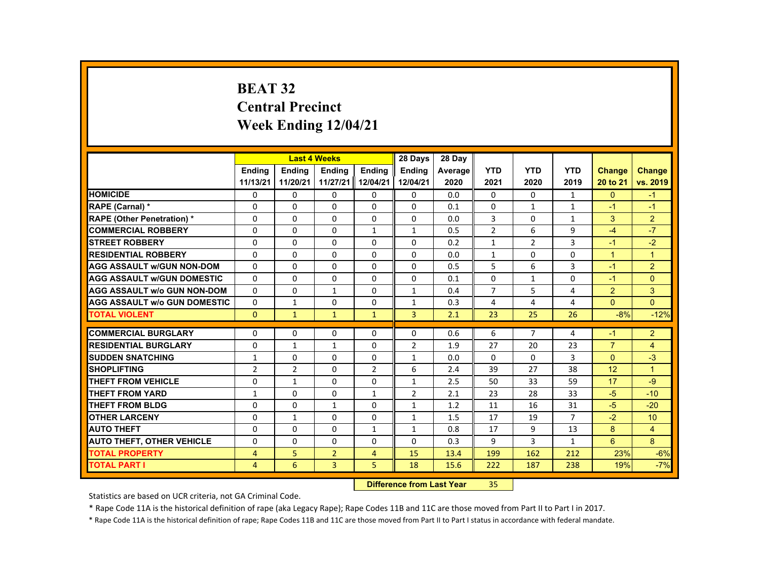# **BEAT 32 Central Precinct Week Ending 12/04/21**

|                                     |                |                | <b>Last 4 Weeks</b> |                | 28 Days        | 28 Day  |                |                |              |                |                 |
|-------------------------------------|----------------|----------------|---------------------|----------------|----------------|---------|----------------|----------------|--------------|----------------|-----------------|
|                                     | <b>Endina</b>  | <b>Endina</b>  | <b>Endina</b>       | <b>Endina</b>  | <b>Endina</b>  | Average | <b>YTD</b>     | <b>YTD</b>     | <b>YTD</b>   | <b>Change</b>  | <b>Change</b>   |
|                                     | 11/13/21       | 11/20/21       | 11/27/21 12/04/21   |                | 12/04/21       | 2020    | 2021           | 2020           | 2019         | 20 to 21       | vs. 2019        |
| <b>HOMICIDE</b>                     | $\mathbf{0}$   | $\mathbf{0}$   | 0                   | 0              | 0              | 0.0     | $\mathbf{0}$   | 0              | $\mathbf{1}$ | $\mathbf{0}$   | $-1$            |
| <b>RAPE (Carnal) *</b>              | $\Omega$       | $\Omega$       | $\Omega$            | $\Omega$       | $\Omega$       | 0.1     | $\Omega$       | $\mathbf{1}$   | $\mathbf{1}$ | $-1$           | $-1$            |
| <b>RAPE (Other Penetration) *</b>   | $\Omega$       | $\Omega$       | $\Omega$            | $\Omega$       | $\Omega$       | 0.0     | 3              | $\Omega$       | $\mathbf{1}$ | 3              | $\overline{2}$  |
| <b>COMMERCIAL ROBBERY</b>           | 0              | $\mathbf{0}$   | 0                   | $\mathbf{1}$   | $\mathbf{1}$   | 0.5     | $\overline{2}$ | 6              | 9            | $-4$           | $-7$            |
| <b>STREET ROBBERY</b>               | 0              | $\Omega$       | $\Omega$            | $\Omega$       | $\Omega$       | 0.2     | $\mathbf{1}$   | 2              | 3            | $-1$           | $-2$            |
| <b>RESIDENTIAL ROBBERY</b>          | $\Omega$       | $\Omega$       | $\Omega$            | $\Omega$       | $\Omega$       | 0.0     | $\mathbf{1}$   | $\Omega$       | $\Omega$     | $\mathbf{1}$   | $\overline{1}$  |
| <b>AGG ASSAULT w/GUN NON-DOM</b>    | $\Omega$       | $\mathbf{0}$   | 0                   | 0              | 0              | 0.5     | 5              | 6              | 3            | $-1$           | $\overline{2}$  |
| <b>AGG ASSAULT WGUN DOMESTIC</b>    | $\Omega$       | $\Omega$       | $\Omega$            | 0              | 0              | 0.1     | 0              | $\mathbf{1}$   | 0            | $-1$           | $\Omega$        |
| <b>AGG ASSAULT W/o GUN NON-DOM</b>  | $\Omega$       | $\mathbf{0}$   | 1                   | $\Omega$       | $\mathbf{1}$   | 0.4     | $\overline{7}$ | 5              | 4            | $\overline{2}$ | 3               |
| <b>AGG ASSAULT W/o GUN DOMESTIC</b> | $\Omega$       | $\mathbf{1}$   | $\Omega$            | $\Omega$       | $\mathbf{1}$   | 0.3     | 4              | 4              | 4            | $\Omega$       | $\Omega$        |
| <b>TOTAL VIOLENT</b>                | $\Omega$       | $\mathbf{1}$   | $\mathbf{1}$        | $\mathbf{1}$   | $\overline{3}$ | 2.1     | 23             | 25             | 26           | $-8%$          | $-12%$          |
|                                     |                |                |                     |                |                |         |                |                |              |                |                 |
| <b>COMMERCIAL BURGLARY</b>          | $\Omega$       | $\Omega$       | $\Omega$            | $\Omega$       | $\Omega$       | 0.6     | 6              | $\overline{7}$ | 4            | $-1$           | $\overline{2}$  |
| <b>RESIDENTIAL BURGLARY</b>         | 0              | $\mathbf{1}$   | $\mathbf{1}$        | 0              | $\overline{2}$ | 1.9     | 27             | 20             | 23           | $\overline{7}$ | 4               |
| <b>SUDDEN SNATCHING</b>             | $\mathbf{1}$   | $\Omega$       | $\Omega$            | $\Omega$       | $\mathbf{1}$   | 0.0     | $\Omega$       | $\Omega$       | 3            | $\Omega$       | $-3$            |
| <b>SHOPLIFTING</b>                  | $\overline{2}$ | $\overline{2}$ | $\Omega$            | $\overline{2}$ | 6              | 2.4     | 39             | 27             | 38           | 12             | $\overline{1}$  |
| THEFT FROM VEHICLE                  | 0              | $\mathbf{1}$   | 0                   | 0              | 1              | 2.5     | 50             | 33             | 59           | 17             | $-9$            |
| <b>THEFT FROM YARD</b>              | $\mathbf{1}$   | $\Omega$       | $\Omega$            | $\mathbf{1}$   | 2              | 2.1     | 23             | 28             | 33           | $-5$           | $-10$           |
| THEFT FROM BLDG                     | $\Omega$       | $\Omega$       | $\mathbf{1}$        | $\Omega$       | $\mathbf{1}$   | 1.2     | 11             | 16             | 31           | $-5$           | $-20$           |
| <b>OTHER LARCENY</b>                | 0              | 1              | 0                   | 0              | 1              | 1.5     | 17             | 19             | 7            | $-2$           | 10 <sup>1</sup> |
| <b>AUTO THEFT</b>                   | $\Omega$       | $\Omega$       | $\Omega$            | $\mathbf{1}$   | $\mathbf{1}$   | 0.8     | 17             | 9              | 13           | 8              | $\overline{4}$  |
| <b>AUTO THEFT, OTHER VEHICLE</b>    | $\Omega$       | $\Omega$       | $\Omega$            | $\Omega$       | $\Omega$       | 0.3     | 9              | 3              | $\mathbf{1}$ | 6              | 8               |
| <b>TOTAL PROPERTY</b>               | $\overline{4}$ | 5              | $\overline{2}$      | $\overline{4}$ | 15             | 13.4    | 199            | 162            | 212          | 23%            | $-6%$           |
| <b>TOTAL PART I</b>                 | $\overline{4}$ | 6              | $\overline{3}$      | 5              | 18             | 15.6    | 222            | 187            | 238          | 19%            | $-7%$           |

#### **Difference from Last Year**r 35

Statistics are based on UCR criteria, not GA Criminal Code.

\* Rape Code 11A is the historical definition of rape (aka Legacy Rape); Rape Codes 11B and 11C are those moved from Part II to Part I in 2017.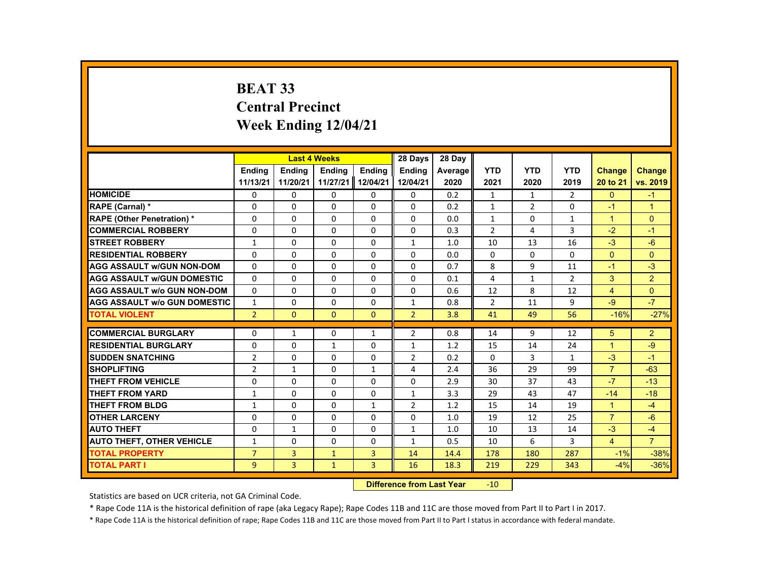# **BEAT 33 Central Precinct Week Ending 12/04/21**

|                                     |                | <b>Last 4 Weeks</b> |               |               | 28 Days        | 28 Day  |                |                |                |                      |                      |
|-------------------------------------|----------------|---------------------|---------------|---------------|----------------|---------|----------------|----------------|----------------|----------------------|----------------------|
|                                     | <b>Endina</b>  | <b>Endina</b>       | <b>Endina</b> | <b>Endina</b> | <b>Endina</b>  | Average | <b>YTD</b>     | <b>YTD</b>     | <b>YTD</b>     | <b>Change</b>        | <b>Change</b>        |
|                                     | 11/13/21       | 11/20/21            | 11/27/21      | 12/04/21      | 12/04/21       | 2020    | 2021           | 2020           | 2019           | 20 to 21             | vs. 2019             |
| <b>HOMICIDE</b>                     | 0              | 0                   | 0             | 0             | 0              | 0.2     | $\mathbf{1}$   | $\mathbf{1}$   | $\overline{2}$ | $\mathbf{0}$         | $-1$                 |
| <b>RAPE (Carnal) *</b>              | 0              | $\Omega$            | $\Omega$      | $\Omega$      | $\Omega$       | 0.2     | $\mathbf{1}$   | $\overline{2}$ | 0              | $-1$                 | $\blacktriangleleft$ |
| <b>RAPE (Other Penetration) *</b>   | $\Omega$       | $\Omega$            | $\Omega$      | $\Omega$      | $\Omega$       | 0.0     | $\mathbf{1}$   | $\Omega$       | $\mathbf{1}$   | $\mathbf{1}$         | $\Omega$             |
| <b>COMMERCIAL ROBBERY</b>           | $\Omega$       | $\Omega$            | $\Omega$      | $\Omega$      | $\Omega$       | 0.3     | $\overline{2}$ | 4              | 3              | $-2$                 | $-1$                 |
| <b>STREET ROBBERY</b>               | $\mathbf{1}$   | 0                   | 0             | 0             | $\mathbf{1}$   | 1.0     | 10             | 13             | 16             | $-3$                 | $-6$                 |
| <b>RESIDENTIAL ROBBERY</b>          | $\Omega$       | $\Omega$            | $\Omega$      | $\Omega$      | $\Omega$       | 0.0     | $\Omega$       | 0              | $\Omega$       | $\Omega$             | $\Omega$             |
| <b>AGG ASSAULT w/GUN NON-DOM</b>    | $\Omega$       | $\Omega$            | $\Omega$      | $\Omega$      | $\Omega$       | 0.7     | 8              | 9              | 11             | $-1$                 | $-3$                 |
| <b>AGG ASSAULT w/GUN DOMESTIC</b>   | 0              | 0                   | $\Omega$      | 0             | 0              | 0.1     | 4              | $\mathbf{1}$   | $\overline{2}$ | 3                    | $\overline{2}$       |
| <b>AGG ASSAULT w/o GUN NON-DOM</b>  | $\Omega$       | $\Omega$            | $\Omega$      | $\Omega$      | $\Omega$       | 0.6     | 12             | 8              | 12             | $\overline{4}$       | $\Omega$             |
| <b>AGG ASSAULT w/o GUN DOMESTIC</b> | $\mathbf{1}$   | $\Omega$            | $\Omega$      | $\Omega$      | $\mathbf{1}$   | 0.8     | $\overline{2}$ | 11             | 9              | $-9$                 | $-7$                 |
| <b>TOTAL VIOLENT</b>                | $\overline{2}$ | $\mathbf{0}$        | $\mathbf{0}$  | $\Omega$      | $\overline{2}$ | 3.8     | 41             | 49             | 56             | $-16%$               | $-27%$               |
|                                     |                |                     |               |               |                |         |                |                |                |                      |                      |
| <b>COMMERCIAL BURGLARY</b>          | $\Omega$       | $\mathbf{1}$        | $\Omega$      | $\mathbf{1}$  | $\overline{2}$ | 0.8     | 14             | 9              | 12             | 5                    | $\overline{2}$       |
| <b>RESIDENTIAL BURGLARY</b>         | 0              | 0                   | $\mathbf{1}$  | 0             | 1              | 1.2     | 15             | 14             | 24             | $\blacktriangleleft$ | -9                   |
| <b>SUDDEN SNATCHING</b>             | $\overline{2}$ | $\Omega$            | $\Omega$      | $\Omega$      | $\overline{2}$ | 0.2     | $\Omega$       | 3              | $\mathbf{1}$   | $-3$                 | $-1$                 |
| <b>SHOPLIFTING</b>                  | $\overline{2}$ | $\mathbf{1}$        | $\Omega$      | $\mathbf{1}$  | 4              | 2.4     | 36             | 29             | 99             | $\overline{7}$       | $-63$                |
| THEFT FROM VEHICLE                  | 0              | $\Omega$            | $\Omega$      | $\Omega$      | $\Omega$       | 2.9     | 30             | 37             | 43             | $-7$                 | $-13$                |
| <b>THEFT FROM YARD</b>              | $\mathbf{1}$   | $\Omega$            | $\Omega$      | $\Omega$      | $\mathbf{1}$   | 3.3     | 29             | 43             | 47             | $-14$                | $-18$                |
| <b>THEFT FROM BLDG</b>              | 1              | $\Omega$            | $\Omega$      | $\mathbf{1}$  | $\overline{2}$ | 1.2     | 15             | 14             | 19             | $\blacktriangleleft$ | $-4$                 |
| <b>OTHER LARCENY</b>                | $\Omega$       | 0                   | $\Omega$      | 0             | $\Omega$       | 1.0     | 19             | 12             | 25             | $\overline{7}$       | $-6$                 |
| <b>AUTO THEFT</b>                   | 0              | $\mathbf{1}$        | 0             | 0             | 1              | 1.0     | 10             | 13             | 14             | $-3$                 | $-4$                 |
| <b>AUTO THEFT, OTHER VEHICLE</b>    | 1              | $\Omega$            | $\Omega$      | $\Omega$      | $\mathbf{1}$   | 0.5     | 10             | 6              | 3              | $\overline{4}$       | $\overline{7}$       |
| <b>TOTAL PROPERTY</b>               | $\overline{7}$ | 3                   | $\mathbf{1}$  | 3             | 14             | 14.4    | 178            | 180            | 287            | $-1%$                | $-38%$               |
| <b>TOTAL PART I</b>                 | 9              | $\overline{3}$      | $\mathbf{1}$  | 3             | 16             | 18.3    | 219            | 229            | 343            | $-4%$                | $-36%$               |
|                                     |                |                     |               |               |                |         |                |                |                |                      |                      |

#### **Difference from Last Year**r -10

Statistics are based on UCR criteria, not GA Criminal Code.

\* Rape Code 11A is the historical definition of rape (aka Legacy Rape); Rape Codes 11B and 11C are those moved from Part II to Part I in 2017.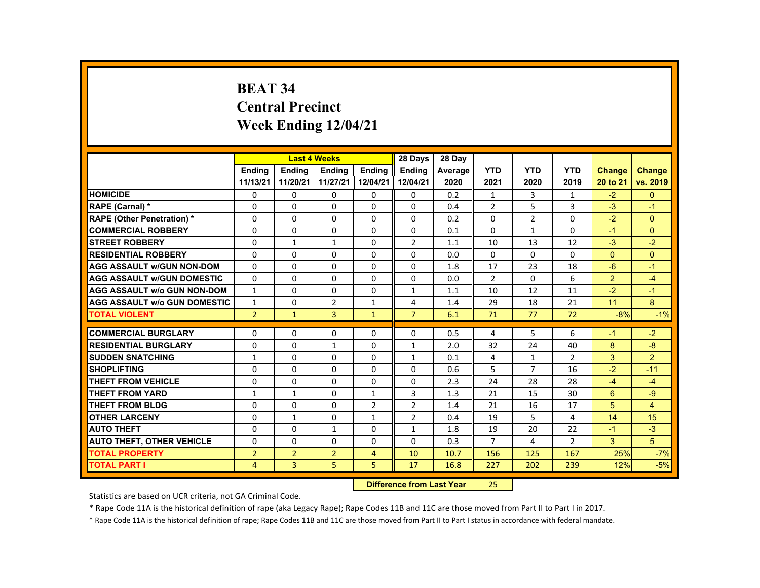# **BEAT 34 Central Precinct Week Ending 12/04/21**

|                                     |                |                | <b>Last 4 Weeks</b> |                | 28 Days        | 28 Day  |                |                |                |                |                |
|-------------------------------------|----------------|----------------|---------------------|----------------|----------------|---------|----------------|----------------|----------------|----------------|----------------|
|                                     | <b>Endina</b>  | <b>Endina</b>  | <b>Endina</b>       | <b>Endina</b>  | <b>Endina</b>  | Average | <b>YTD</b>     | <b>YTD</b>     | <b>YTD</b>     | <b>Change</b>  | Change         |
|                                     | 11/13/21       | 11/20/21       | 11/27/21            | 12/04/21       | 12/04/21       | 2020    | 2021           | 2020           | 2019           | 20 to 21       | vs. 2019       |
| <b>HOMICIDE</b>                     | $\Omega$       | $\Omega$       | 0                   | 0              | $\Omega$       | 0.2     | 1              | 3              | 1              | $-2$           | $\Omega$       |
| <b>RAPE (Carnal) *</b>              | $\Omega$       | $\Omega$       | $\Omega$            | $\Omega$       | $\Omega$       | 0.4     | 2              | 5              | 3              | $-3$           | $-1$           |
| <b>RAPE (Other Penetration) *</b>   | $\Omega$       | $\Omega$       | $\Omega$            | $\Omega$       | $\Omega$       | 0.2     | $\Omega$       | $\overline{2}$ | $\Omega$       | $-2$           | $\Omega$       |
| <b>COMMERCIAL ROBBERY</b>           | $\Omega$       | $\mathbf{0}$   | $\Omega$            | $\mathbf{0}$   | $\mathbf{0}$   | 0.1     | $\Omega$       | $\mathbf{1}$   | $\Omega$       | $-1$           | $\Omega$       |
| <b>STREET ROBBERY</b>               | $\Omega$       | $\mathbf{1}$   | $\mathbf{1}$        | $\Omega$       | $\overline{2}$ | 1.1     | 10             | 13             | 12             | $-3$           | $-2$           |
| <b>RESIDENTIAL ROBBERY</b>          | $\Omega$       | $\Omega$       | $\Omega$            | $\Omega$       | $\Omega$       | 0.0     | $\Omega$       | $\Omega$       | $\Omega$       | $\Omega$       | $\Omega$       |
| <b>AGG ASSAULT W/GUN NON-DOM</b>    | $\Omega$       | $\Omega$       | $\Omega$            | $\Omega$       | $\Omega$       | 1.8     | 17             | 23             | 18             | $-6$           | $-1$           |
| <b>AGG ASSAULT w/GUN DOMESTIC</b>   | $\Omega$       | $\Omega$       | $\Omega$            | $\Omega$       | $\Omega$       | 0.0     | 2              | $\Omega$       | 6              | $\overline{2}$ | $-4$           |
| <b>AGG ASSAULT w/o GUN NON-DOM</b>  | $\mathbf{1}$   | $\Omega$       | $\Omega$            | $\Omega$       | $\mathbf{1}$   | 1.1     | 10             | 12             | 11             | $-2$           | $-1$           |
| <b>AGG ASSAULT w/o GUN DOMESTIC</b> | $\mathbf{1}$   | $\Omega$       | $\overline{2}$      | $\mathbf{1}$   | 4              | 1.4     | 29             | 18             | 21             | 11             | 8              |
| <b>TOTAL VIOLENT</b>                | $\overline{2}$ | $\mathbf{1}$   | $\overline{3}$      | $\mathbf{1}$   | $\overline{7}$ | 6.1     | 71             | 77             | 72             | $-8%$          | $-1%$          |
|                                     |                |                |                     |                |                |         |                |                |                |                |                |
| <b>COMMERCIAL BURGLARY</b>          | $\Omega$       | $\Omega$       | $\Omega$            | $\Omega$       | $\Omega$       | 0.5     | 4              | 5              | 6              | $-1$           | $-2$           |
| <b>RESIDENTIAL BURGLARY</b>         | $\Omega$       | $\Omega$       | $\mathbf{1}$        | $\Omega$       | 1              | 2.0     | 32             | 24             | 40             | 8              | $-8$           |
| <b>SUDDEN SNATCHING</b>             | $\mathbf{1}$   | $\Omega$       | $\Omega$            | $\Omega$       | $\mathbf{1}$   | 0.1     | 4              | $\mathbf{1}$   | $\overline{2}$ | 3              | 2              |
| <b>SHOPLIFTING</b>                  | $\Omega$       | $\Omega$       | $\Omega$            | $\Omega$       | $\Omega$       | 0.6     | 5              | $\overline{7}$ | 16             | $-2$           | $-11$          |
| <b>THEFT FROM VEHICLE</b>           | $\Omega$       | $\Omega$       | $\Omega$            | $\Omega$       | $\Omega$       | 2.3     | 24             | 28             | 28             | $-4$           | $-4$           |
| <b>THEFT FROM YARD</b>              | $\mathbf{1}$   | $\mathbf{1}$   | $\Omega$            | $\mathbf{1}$   | 3              | 1.3     | 21             | 15             | 30             | 6              | $-9$           |
| <b>THEFT FROM BLDG</b>              | $\Omega$       | $\Omega$       | $\Omega$            | 2              | 2              | 1.4     | 21             | 16             | 17             | 5              | $\overline{4}$ |
| <b>OTHER LARCENY</b>                | $\Omega$       | $\mathbf{1}$   | $\Omega$            | $\mathbf{1}$   | $\overline{2}$ | 0.4     | 19             | 5              | 4              | 14             | 15             |
| <b>AUTO THEFT</b>                   | 0              | $\Omega$       | $\mathbf{1}$        | 0              | $\mathbf{1}$   | 1.8     | 19             | 20             | 22             | $-1$           | $-3$           |
| <b>AUTO THEFT, OTHER VEHICLE</b>    | $\Omega$       | $\Omega$       | $\Omega$            | $\Omega$       | $\Omega$       | 0.3     | $\overline{7}$ | 4              | $\overline{2}$ | 3              | 5              |
| <b>TOTAL PROPERTY</b>               | $\overline{2}$ | $\overline{2}$ | $\overline{2}$      | $\overline{4}$ | 10             | 10.7    | 156            | 125            | 167            | 25%            | $-7%$          |
| <b>TOTAL PART I</b>                 | $\overline{4}$ | $\overline{3}$ | 5                   | 5              | 17             | 16.8    | 227            | 202            | 239            | 12%            | $-5%$          |
|                                     |                |                |                     |                |                |         |                |                |                |                |                |

#### **Difference from Last Year**25

Statistics are based on UCR criteria, not GA Criminal Code.

\* Rape Code 11A is the historical definition of rape (aka Legacy Rape); Rape Codes 11B and 11C are those moved from Part II to Part I in 2017.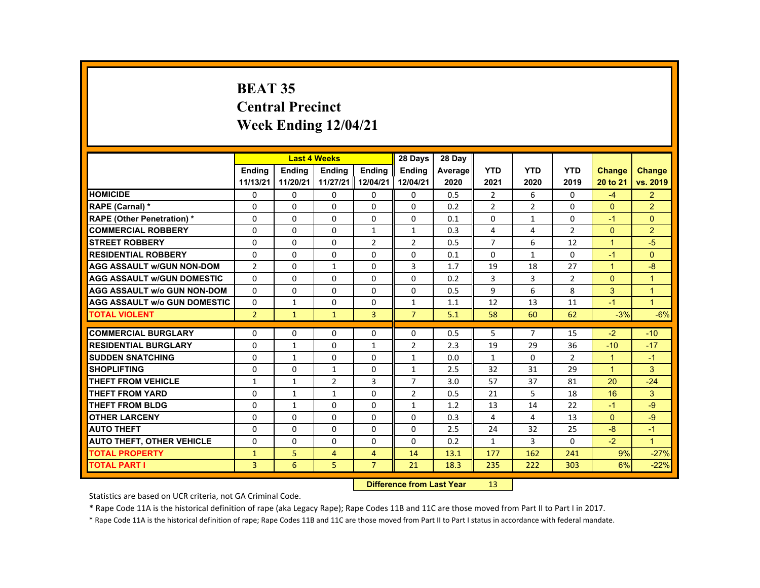# **BEAT 35 Central Precinct Week Ending 12/04/21**

|                                     |                |               | <b>Last 4 Weeks</b> |                | 28 Days        | 28 Day  |                |                |                |                      |                      |
|-------------------------------------|----------------|---------------|---------------------|----------------|----------------|---------|----------------|----------------|----------------|----------------------|----------------------|
|                                     | <b>Endina</b>  | <b>Endina</b> | <b>Endina</b>       | <b>Endina</b>  | <b>Endina</b>  | Average | <b>YTD</b>     | <b>YTD</b>     | <b>YTD</b>     | <b>Change</b>        | <b>Change</b>        |
|                                     | 11/13/21       | 11/20/21      | 11/27/21            | 12/04/21       | 12/04/21       | 2020    | 2021           | 2020           | 2019           | 20 to 21             | vs. 2019             |
| <b>HOMICIDE</b>                     | 0              | $\Omega$      | $\Omega$            | $\Omega$       | 0              | 0.5     | $\overline{2}$ | 6              | 0              | $-4$                 | $\overline{2}$       |
| RAPE (Carnal) *                     | $\Omega$       | $\Omega$      | $\Omega$            | $\Omega$       | 0              | 0.2     | $\overline{2}$ | $\overline{2}$ | $\Omega$       | $\mathbf{0}$         | $\overline{2}$       |
| <b>RAPE (Other Penetration) *</b>   | $\Omega$       | $\Omega$      | $\Omega$            | $\Omega$       | $\Omega$       | 0.1     | $\Omega$       | $\mathbf{1}$   | $\Omega$       | $-1$                 | $\Omega$             |
| <b>COMMERCIAL ROBBERY</b>           | $\Omega$       | $\Omega$      | $\Omega$            | $\mathbf{1}$   | $\mathbf{1}$   | 0.3     | 4              | 4              | $\overline{2}$ | $\Omega$             | 2                    |
| <b>STREET ROBBERY</b>               | $\Omega$       | $\Omega$      | $\Omega$            | $\overline{2}$ | $\overline{2}$ | 0.5     | $\overline{7}$ | 6              | 12             | $\blacktriangleleft$ | $-5$                 |
| <b>RESIDENTIAL ROBBERY</b>          | $\Omega$       | $\Omega$      | $\Omega$            | $\Omega$       | $\Omega$       | 0.1     | $\Omega$       | $\mathbf{1}$   | $\Omega$       | $-1$                 | $\Omega$             |
| <b>AGG ASSAULT W/GUN NON-DOM</b>    | $\overline{2}$ | $\Omega$      | $\mathbf{1}$        | $\Omega$       | 3              | 1.7     | 19             | 18             | 27             | $\blacktriangleleft$ | -8                   |
| <b>AGG ASSAULT w/GUN DOMESTIC</b>   | $\Omega$       | $\Omega$      | $\Omega$            | $\Omega$       | $\Omega$       | 0.2     | 3              | 3              | $\overline{2}$ | $\Omega$             | $\overline{1}$       |
| <b>AGG ASSAULT w/o GUN NON-DOM</b>  | $\Omega$       | $\Omega$      | $\Omega$            | $\Omega$       | $\Omega$       | 0.5     | $\mathbf{q}$   | 6              | 8              | 3                    | $\overline{1}$       |
| <b>AGG ASSAULT W/o GUN DOMESTIC</b> | $\Omega$       | $\mathbf{1}$  | $\Omega$            | $\Omega$       | $\mathbf{1}$   | 1.1     | 12             | 13             | 11             | $-1$                 | $\blacktriangleleft$ |
| <b>TOTAL VIOLENT</b>                | $\overline{2}$ | $\mathbf 1$   | $\mathbf{1}$        | $\overline{3}$ | $\overline{7}$ | 5.1     | 58             | 60             | 62             | $-3%$                | $-6%$                |
|                                     |                |               |                     |                |                |         |                |                |                |                      |                      |
| <b>COMMERCIAL BURGLARY</b>          | $\Omega$       | $\Omega$      | $\Omega$            | $\Omega$       | $\Omega$       | 0.5     | 5              | $\overline{7}$ | 15             | $-2$                 | $-10$                |
| <b>RESIDENTIAL BURGLARY</b>         | $\Omega$       | $\mathbf{1}$  | $\Omega$            | $\mathbf{1}$   | $\overline{2}$ | 2.3     | 19             | 29             | 36             | $-10$                | $-17$                |
| <b>SUDDEN SNATCHING</b>             | $\Omega$       | $\mathbf{1}$  | $\Omega$            | $\Omega$       | $\mathbf{1}$   | 0.0     | $\mathbf{1}$   | $\Omega$       | $\overline{2}$ | $\blacktriangleleft$ | $-1$                 |
| <b>SHOPLIFTING</b>                  | $\Omega$       | $\Omega$      | $\mathbf{1}$        | $\Omega$       | $\mathbf{1}$   | 2.5     | 32             | 31             | 29             | $\blacktriangleleft$ | 3                    |
| THEFT FROM VEHICLE                  | $\mathbf{1}$   | $\mathbf{1}$  | $\overline{2}$      | 3              | $\overline{7}$ | 3.0     | 57             | 37             | 81             | 20                   | $-24$                |
| <b>THEFT FROM YARD</b>              | 0              | $\mathbf{1}$  | $\mathbf{1}$        | $\Omega$       | $\overline{2}$ | 0.5     | 21             | 5              | 18             | 16                   | 3                    |
| <b>THEFT FROM BLDG</b>              | $\Omega$       | $\mathbf{1}$  | $\Omega$            | $\Omega$       | $\mathbf{1}$   | 1.2     | 13             | 14             | 22             | $-1$                 | $-9$                 |
| <b>OTHER LARCENY</b>                | $\Omega$       | $\Omega$      | $\Omega$            | $\Omega$       | $\Omega$       | 0.3     | 4              | 4              | 13             | $\Omega$             | $-9$                 |
| <b>AUTO THEFT</b>                   | $\Omega$       | $\Omega$      | $\Omega$            | $\Omega$       | 0              | 2.5     | 24             | 32             | 25             | $-8$                 | $-1$                 |
| <b>AUTO THEFT, OTHER VEHICLE</b>    | $\Omega$       | $\Omega$      | $\Omega$            | $\Omega$       | $\Omega$       | 0.2     | $\mathbf{1}$   | 3              | $\Omega$       | $-2$                 | $\blacktriangleleft$ |
| <b>TOTAL PROPERTY</b>               | $\mathbf{1}$   | 5.            | $\overline{4}$      | $\overline{4}$ | 14             | 13.1    | 177            | 162            | 241            | 9%                   | $-27%$               |
| <b>TOTAL PART I</b>                 | 3              | 6             | 5                   | $\overline{7}$ | 21             | 18.3    | 235            | 222            | 303            | 6%                   | $-22%$               |
|                                     |                |               |                     |                |                |         |                |                |                |                      |                      |

#### **Difference from Last Year**r 13

Statistics are based on UCR criteria, not GA Criminal Code.

\* Rape Code 11A is the historical definition of rape (aka Legacy Rape); Rape Codes 11B and 11C are those moved from Part II to Part I in 2017.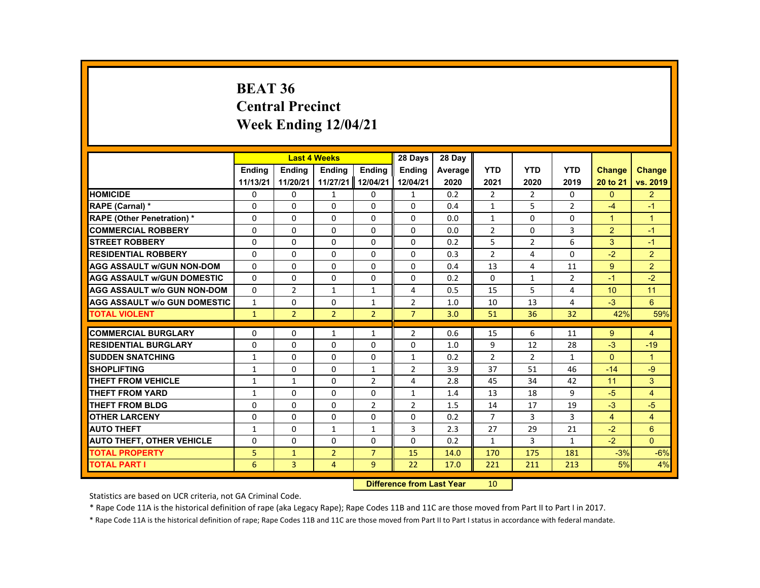# **BEAT 36 Central Precinct Week Ending 12/04/21**

|                                     |               | <b>Last 4 Weeks</b> |                |                | 28 Days        | 28 Dav         |                |                |                |                |                         |
|-------------------------------------|---------------|---------------------|----------------|----------------|----------------|----------------|----------------|----------------|----------------|----------------|-------------------------|
|                                     | <b>Ending</b> | <b>Endina</b>       | <b>Ending</b>  | <b>Ending</b>  | <b>Ending</b>  | <b>Average</b> | <b>YTD</b>     | <b>YTD</b>     | <b>YTD</b>     | <b>Change</b>  | <b>Change</b>           |
|                                     | 11/13/21      | 11/20/21            | 11/27/21       | 12/04/21       | 12/04/21       | 2020           | 2021           | 2020           | 2019           | 20 to 21       | vs. 2019                |
| <b>HOMICIDE</b>                     | 0             | 0                   | $\mathbf{1}$   | 0              | $\mathbf{1}$   | 0.2            | $\overline{2}$ | 2              | 0              | $\mathbf{0}$   | $\overline{2}$          |
| RAPE (Carnal) *                     | $\Omega$      | $\Omega$            | $\Omega$       | $\Omega$       | $\Omega$       | 0.4            | $\mathbf{1}$   | 5              | $\overline{2}$ | $-4$           | $-1$                    |
| <b>RAPE (Other Penetration) *</b>   | $\Omega$      | $\Omega$            | $\Omega$       | $\Omega$       | $\Omega$       | 0.0            | $\mathbf{1}$   | $\Omega$       | 0              | $\overline{1}$ | $\overline{1}$          |
| <b>COMMERCIAL ROBBERY</b>           | 0             | 0                   | 0              | 0              | 0              | 0.0            | $\overline{2}$ | 0              | 3              | $\overline{2}$ | $-1$                    |
| <b>STREET ROBBERY</b>               | $\Omega$      | $\Omega$            | $\Omega$       | $\Omega$       | $\Omega$       | 0.2            | 5              | 2              | 6              | 3              | $-1$                    |
| <b>RESIDENTIAL ROBBERY</b>          | $\Omega$      | $\Omega$            | $\Omega$       | $\Omega$       | $\Omega$       | 0.3            | $\overline{2}$ | $\overline{4}$ | $\Omega$       | $-2$           | $\overline{2}$          |
| <b>AGG ASSAULT W/GUN NON-DOM</b>    | 0             | 0                   | 0              | 0              | 0              | 0.4            | 13             | 4              | 11             | 9              | $\overline{2}$          |
| <b>AGG ASSAULT w/GUN DOMESTIC</b>   | $\Omega$      | $\Omega$            | $\Omega$       | $\Omega$       | $\Omega$       | 0.2            | $\Omega$       | $\mathbf{1}$   | $\overline{2}$ | $-1$           | $-2$                    |
| <b>AGG ASSAULT w/o GUN NON-DOM</b>  | $\Omega$      | $\overline{2}$      | $\mathbf{1}$   | $\mathbf{1}$   | 4              | 0.5            | 15             | 5              | 4              | 10             | 11                      |
| <b>AGG ASSAULT w/o GUN DOMESTIC</b> | $\mathbf{1}$  | 0                   | 0              | $\mathbf{1}$   | 2              | 1.0            | 10             | 13             | 4              | $-3$           | $6\phantom{1}$          |
| <b>TOTAL VIOLENT</b>                | $\mathbf{1}$  | $\overline{2}$      | $\overline{2}$ | $\overline{2}$ | $\overline{7}$ | 3.0            | 51             | 36             | 32             | 42%            | 59%                     |
|                                     |               |                     |                |                |                |                |                |                |                |                |                         |
| <b>COMMERCIAL BURGLARY</b>          | 0             | 0                   | 1              | 1              | 2              | 0.6            | 15             | 6              | 11             | 9              | 4                       |
| <b>RESIDENTIAL BURGLARY</b>         | $\Omega$      | $\Omega$            | $\Omega$       | $\Omega$       | $\Omega$       | 1.0            | 9              | 12             | 28             | $-3$           | $-19$                   |
| <b>SUDDEN SNATCHING</b>             | $\mathbf{1}$  | $\Omega$            | $\Omega$       | $\Omega$       | $\mathbf{1}$   | 0.2            | $\overline{2}$ | $\overline{2}$ | $\mathbf{1}$   | $\Omega$       | $\overline{1}$          |
| <b>SHOPLIFTING</b>                  | $\mathbf{1}$  | 0                   | 0              | $\mathbf{1}$   | 2              | 3.9            | 37             | 51             | 46             | $-14$          | $-9$                    |
| <b>THEFT FROM VEHICLE</b>           | $\mathbf{1}$  | $\mathbf{1}$        | 0              | $\overline{2}$ | 4              | 2.8            | 45             | 34             | 42             | 11             | 3                       |
| <b>THEFT FROM YARD</b>              | 1             | $\Omega$            | $\Omega$       | $\Omega$       | $\mathbf{1}$   | 1.4            | 13             | 18             | 9              | $-5$           | $\overline{\mathbf{4}}$ |
| <b>THEFT FROM BLDG</b>              | 0             | 0                   | 0              | $\overline{2}$ | 2              | 1.5            | 14             | 17             | 19             | $-3$           | $-5$                    |
| <b>OTHER LARCENY</b>                | 0             | 0                   | $\Omega$       | 0              | $\Omega$       | 0.2            | 7              | 3              | 3              | $\overline{4}$ | $\overline{4}$          |
| <b>AUTO THEFT</b>                   | $\mathbf{1}$  | $\Omega$            | $\mathbf{1}$   | $\mathbf{1}$   | 3              | 2.3            | 27             | 29             | 21             | $-2$           | 6                       |
| <b>AUTO THEFT, OTHER VEHICLE</b>    | 0             | 0                   | $\Omega$       | 0              | $\Omega$       | 0.2            | $\mathbf{1}$   | 3              | $\mathbf{1}$   | $-2$           | $\Omega$                |
| <b>TOTAL PROPERTY</b>               | 5             | $\mathbf{1}$        | $\overline{2}$ | $\overline{7}$ | 15             | 14.0           | 170            | 175            | 181            | $-3%$          | $-6%$                   |
| <b>TOTAL PART I</b>                 | 6             | 3                   | $\overline{4}$ | 9              | 22             | 17.0           | 221            | 211            | 213            | 5%             | 4%                      |
|                                     |               |                     |                | <b>Section</b> |                |                |                |                |                |                |                         |

 **Difference from Last Year**r 10

Statistics are based on UCR criteria, not GA Criminal Code.

\* Rape Code 11A is the historical definition of rape (aka Legacy Rape); Rape Codes 11B and 11C are those moved from Part II to Part I in 2017.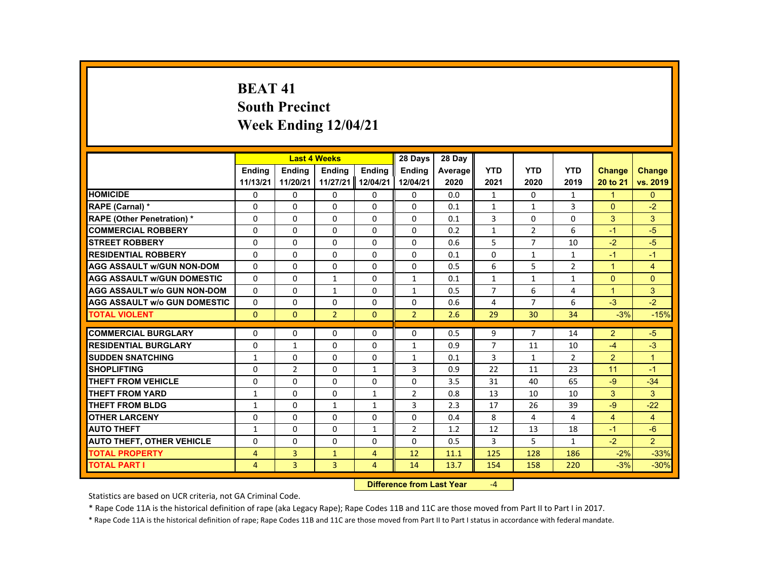# **BEAT 41 South Precinct Week Ending 12/04/21**

| <b>Endina</b><br>11/13/21<br><b>HOMICIDE</b><br>0<br>RAPE (Carnal) *<br>$\Omega$ | <b>Endina</b><br>11/20/21<br>0<br>$\Omega$ | <b>Ending</b><br>0 | <b>Ending</b><br>11/27/21 12/04/21 | <b>Ending</b>  | Average | <b>YTD</b>     | <b>YTD</b>     | <b>YTD</b>     | <b>Change</b>  |                |
|----------------------------------------------------------------------------------|--------------------------------------------|--------------------|------------------------------------|----------------|---------|----------------|----------------|----------------|----------------|----------------|
|                                                                                  |                                            |                    |                                    |                |         |                |                |                |                | Change         |
|                                                                                  |                                            |                    |                                    | 12/04/21       | 2020    | 2021           | 2020           | 2019           | 20 to 21       | vs. 2019       |
|                                                                                  |                                            |                    | 0                                  | 0              | 0.0     | 1              | 0              | $\mathbf{1}$   | 1              | $\mathbf{0}$   |
|                                                                                  |                                            | $\Omega$           | $\Omega$                           | $\Omega$       | 0.1     | $\mathbf{1}$   | $\mathbf{1}$   | 3              | $\Omega$       | $-2$           |
| <b>RAPE (Other Penetration) *</b><br>$\Omega$                                    | $\Omega$                                   | $\Omega$           | $\Omega$                           | $\Omega$       | 0.1     | 3              | $\Omega$       | $\Omega$       | 3              | 3              |
| <b>COMMERCIAL ROBBERY</b><br>0                                                   | 0                                          | 0                  | 0                                  | 0              | 0.2     | $\mathbf{1}$   | $\overline{2}$ | 6              | $-1$           | $-5$           |
| <b>STREET ROBBERY</b><br>$\Omega$                                                | $\Omega$                                   | $\Omega$           | $\Omega$                           | $\Omega$       | 0.6     | 5              | $\overline{7}$ | 10             | $-2$           | $-5$           |
| <b>RESIDENTIAL ROBBERY</b><br>$\Omega$                                           | $\Omega$                                   | $\Omega$           | $\Omega$                           | $\Omega$       | 0.1     | $\Omega$       | $\mathbf{1}$   | $\mathbf{1}$   | $-1$           | $-1$           |
| <b>AGG ASSAULT w/GUN NON-DOM</b><br>$\Omega$                                     | $\Omega$                                   | $\Omega$           | $\Omega$                           | $\Omega$       | 0.5     | 6              | 5              | $\overline{2}$ | $\mathbf{1}$   | $\overline{4}$ |
| $\Omega$<br><b>AGG ASSAULT w/GUN DOMESTIC</b>                                    | $\Omega$                                   | 1                  | $\Omega$                           | $\mathbf{1}$   | 0.1     | $\mathbf{1}$   | $\mathbf{1}$   | $\mathbf{1}$   | $\Omega$       | $\Omega$       |
| $\Omega$<br><b>AGG ASSAULT w/o GUN NON-DOM</b>                                   | $\Omega$                                   | $\mathbf{1}$       | $\Omega$                           | $\mathbf{1}$   | 0.5     | $\overline{7}$ | 6              | 4              | $\overline{1}$ | 3              |
| <b>AGG ASSAULT w/o GUN DOMESTIC</b><br>$\Omega$                                  | $\Omega$                                   | $\Omega$           | $\Omega$                           | $\Omega$       | 0.6     | 4              | $\overline{7}$ | 6              | $-3$           | $-2$           |
| $\Omega$<br><b>TOTAL VIOLENT</b>                                                 | $\mathbf{0}$                               | $\overline{2}$     | $\Omega$                           | $\overline{2}$ | 2.6     | 29             | 30             | 34             | $-3%$          | $-15%$         |
|                                                                                  |                                            |                    |                                    |                |         |                |                |                |                |                |
| <b>COMMERCIAL BURGLARY</b><br>$\Omega$                                           | $\Omega$                                   | $\Omega$           | $\Omega$                           | $\Omega$       | 0.5     | 9              | $\overline{7}$ | 14             | 2              | $-5$           |
| <b>RESIDENTIAL BURGLARY</b><br>$\Omega$                                          | $\mathbf{1}$                               | $\Omega$           | $\Omega$                           | $\mathbf{1}$   | 0.9     | $\overline{7}$ | 11             | 10             | $-4$           | $-3$           |
| <b>SUDDEN SNATCHING</b><br>$\mathbf{1}$                                          | $\Omega$                                   | $\Omega$           | $\Omega$                           | $\mathbf{1}$   | 0.1     | 3              | $\mathbf{1}$   | $\overline{2}$ | 2              | $\overline{1}$ |
| <b>SHOPLIFTING</b><br>$\Omega$                                                   | $\overline{2}$                             | $\Omega$           | $\mathbf{1}$                       | 3              | 0.9     | 22             | 11             | 23             | 11             | $-1$           |
| <b>THEFT FROM VEHICLE</b><br>$\Omega$                                            | $\Omega$                                   | $\Omega$           | $\Omega$                           | $\Omega$       | 3.5     | 31             | 40             | 65             | $-9$           | $-34$          |
| <b>THEFT FROM YARD</b><br>$\mathbf{1}$                                           | $\Omega$                                   | $\Omega$           | $\mathbf{1}$                       | $\overline{2}$ | 0.8     | 13             | 10             | 10             | 3              | 3              |
| <b>THEFT FROM BLDG</b><br>$\mathbf{1}$                                           | $\Omega$                                   | $\mathbf{1}$       | $\mathbf{1}$                       | 3              | 2.3     | 17             | 26             | 39             | $-9$           | $-22$          |
| <b>OTHER LARCENY</b><br>0                                                        | 0                                          | 0                  | 0                                  | 0              | 0.4     | 8              | 4              | 4              | $\overline{4}$ | $\overline{4}$ |
| <b>AUTO THEFT</b><br>$\mathbf{1}$                                                | $\Omega$                                   | $\Omega$           | $\mathbf{1}$                       | $\overline{2}$ | 1.2     | 12             | 13             | 18             | $-1$           | $-6$           |
| <b>AUTO THEFT, OTHER VEHICLE</b><br>$\Omega$                                     | $\Omega$                                   | $\Omega$           | $\Omega$                           | $\Omega$       | 0.5     | 3              | 5              | $\mathbf{1}$   | $-2$           | $\overline{2}$ |
| <b>TOTAL PROPERTY</b><br>4                                                       | 3                                          | $\mathbf{1}$       | $\overline{4}$                     | 12             | 11.1    | 125            | 128            | 186            | $-2%$          | $-33%$         |
| <b>TOTAL PART I</b><br>$\overline{4}$                                            | $\overline{3}$                             | $\overline{3}$     | $\overline{4}$                     | 14             | 13.7    | 154            | 158            | 220            | $-3%$          | $-30%$         |

#### **Difference from Last Year**‐4

Statistics are based on UCR criteria, not GA Criminal Code.

\* Rape Code 11A is the historical definition of rape (aka Legacy Rape); Rape Codes 11B and 11C are those moved from Part II to Part I in 2017.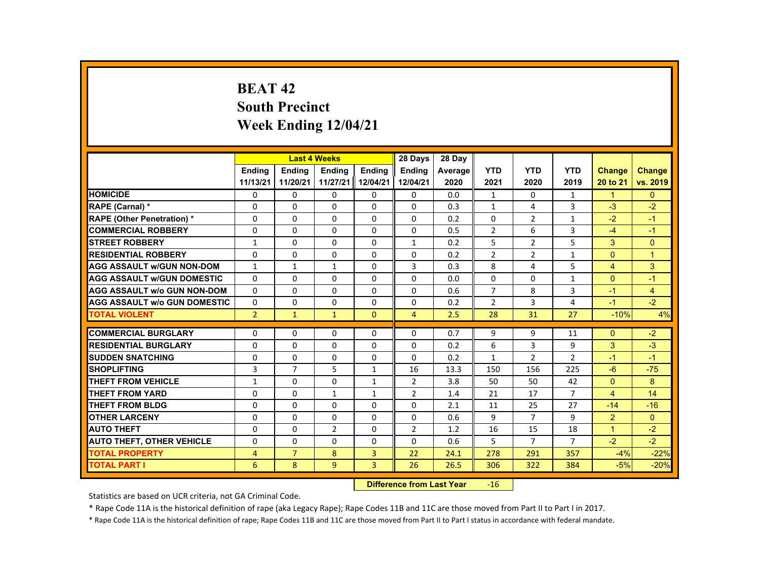# **BEAT 42 South Precinct Week Ending 12/04/21**

|                                     |                |                | <b>Last 4 Weeks</b> |                | 28 Days        | 28 Day  |                |                |                |                      |                |
|-------------------------------------|----------------|----------------|---------------------|----------------|----------------|---------|----------------|----------------|----------------|----------------------|----------------|
|                                     | <b>Endina</b>  | <b>Endina</b>  | <b>Endina</b>       | <b>Endina</b>  | <b>Endina</b>  | Average | <b>YTD</b>     | <b>YTD</b>     | <b>YTD</b>     | <b>Change</b>        | <b>Change</b>  |
|                                     | 11/13/21       | 11/20/21       | 11/27/21            | 12/04/21       | 12/04/21       | 2020    | 2021           | 2020           | 2019           | 20 to 21             | vs. 2019       |
| <b>HOMICIDE</b>                     | 0              | 0              | 0                   | $\mathbf{0}$   | 0              | 0.0     | $\mathbf{1}$   | 0              | 1              | $\mathbf{1}$         | $\mathbf{0}$   |
| <b>RAPE (Carnal) *</b>              | $\Omega$       | $\Omega$       | $\Omega$            | $\Omega$       | $\Omega$       | 0.3     | $\mathbf{1}$   | 4              | 3              | $-3$                 | $-2$           |
| <b>RAPE (Other Penetration) *</b>   | $\Omega$       | $\Omega$       | $\Omega$            | $\Omega$       | $\Omega$       | 0.2     | $\Omega$       | $\overline{2}$ | $\mathbf{1}$   | $-2$                 | $-1$           |
| <b>COMMERCIAL ROBBERY</b>           | 0              | 0              | 0                   | 0              | 0              | 0.5     | $\overline{2}$ | 6              | 3              | $-4$                 | $-1$           |
| <b>STREET ROBBERY</b>               | 1              | $\Omega$       | $\Omega$            | $\Omega$       | $\mathbf{1}$   | 0.2     | 5              | 2              | 5              | 3                    | $\Omega$       |
| <b>RESIDENTIAL ROBBERY</b>          | $\Omega$       | $\Omega$       | $\Omega$            | $\Omega$       | $\Omega$       | 0.2     | $\overline{2}$ | $\overline{2}$ | 1              | $\Omega$             | $\overline{1}$ |
| <b>AGG ASSAULT w/GUN NON-DOM</b>    | $\mathbf{1}$   | 1              | $\mathbf{1}$        | $\Omega$       | 3              | 0.3     | 8              | 4              | 5              | $\overline{4}$       | 3              |
| <b>AGG ASSAULT W/GUN DOMESTIC</b>   | $\Omega$       | $\Omega$       | $\Omega$            | $\Omega$       | $\Omega$       | 0.0     | 0              | 0              | $\mathbf{1}$   | $\Omega$             | $-1$           |
| <b>AGG ASSAULT W/o GUN NON-DOM</b>  | $\Omega$       | $\Omega$       | $\Omega$            | $\Omega$       | $\Omega$       | 0.6     | $\overline{7}$ | 8              | 3              | $-1$                 | 4              |
| <b>AGG ASSAULT W/o GUN DOMESTIC</b> | $\Omega$       | $\Omega$       | $\Omega$            | $\Omega$       | $\Omega$       | 0.2     | $\overline{2}$ | 3              | 4              | $-1$                 | $-2$           |
| <b>TOTAL VIOLENT</b>                | $\overline{2}$ | $\mathbf{1}$   | $\mathbf{1}$        | $\Omega$       | $\overline{4}$ | 2.5     | 28             | 31             | 27             | $-10%$               | 4%             |
| <b>COMMERCIAL BURGLARY</b>          | $\Omega$       | $\Omega$       | $\Omega$            | $\Omega$       | $\Omega$       | 0.7     | 9              | 9              | 11             | $\Omega$             | $-2$           |
| <b>RESIDENTIAL BURGLARY</b>         | $\Omega$       | 0              | $\Omega$            | 0              | $\Omega$       | 0.2     | 6              | 3              | 9              | 3                    | $-3$           |
| <b>SUDDEN SNATCHING</b>             | $\Omega$       | $\Omega$       | $\Omega$            | $\Omega$       | $\Omega$       | 0.2     | $\mathbf{1}$   | $\overline{2}$ | $\overline{2}$ | $-1$                 | $-1$           |
| <b>SHOPLIFTING</b>                  | $\overline{3}$ | $\overline{7}$ | 5                   | $\mathbf{1}$   | 16             | 13.3    | 150            | 156            | 225            | $-6$                 | $-75$          |
| <b>THEFT FROM VEHICLE</b>           | $\mathbf{1}$   | $\Omega$       | $\Omega$            | $\mathbf{1}$   | $\overline{2}$ | 3.8     | 50             | 50             | 42             | $\Omega$             | 8              |
| <b>THEFT FROM YARD</b>              | $\Omega$       | $\Omega$       | $\mathbf{1}$        | $\mathbf{1}$   | 2              | 1.4     | 21             | 17             | $\overline{7}$ | $\overline{4}$       | 14             |
| THEFT FROM BLDG                     | $\Omega$       | $\Omega$       | $\Omega$            | $\Omega$       | $\Omega$       | 2.1     | 11             | 25             | 27             | $-14$                | $-16$          |
| <b>OTHER LARCENY</b>                | 0              | 0              | 0                   | $\mathbf{0}$   | 0              | 0.6     | 9              | $\overline{7}$ | 9              | 2                    | $\Omega$       |
| <b>AUTO THEFT</b>                   | 0              | 0              | 2                   | 0              | 2              | 1.2     | 16             | 15             | 18             | $\blacktriangleleft$ | $-2$           |
| <b>AUTO THEFT, OTHER VEHICLE</b>    | 0              | $\Omega$       | 0                   | 0              | 0              | 0.6     | 5              | $\overline{7}$ | $\overline{7}$ | $-2$                 | $-2$           |
| <b>TOTAL PROPERTY</b>               | $\overline{4}$ | $\overline{7}$ | 8                   | 3              | 22             | 24.1    | 278            | 291            | 357            | $-4%$                | $-22%$         |
| TOTAL PART I                        | 6              | 8              | 9                   | $\overline{3}$ | 26             | 26.5    | 306            | 322            | 384            | $-5%$                | $-20%$         |
|                                     |                |                |                     |                |                |         |                |                |                |                      |                |

#### **Difference from Last Year**r -16

Statistics are based on UCR criteria, not GA Criminal Code.

\* Rape Code 11A is the historical definition of rape (aka Legacy Rape); Rape Codes 11B and 11C are those moved from Part II to Part I in 2017.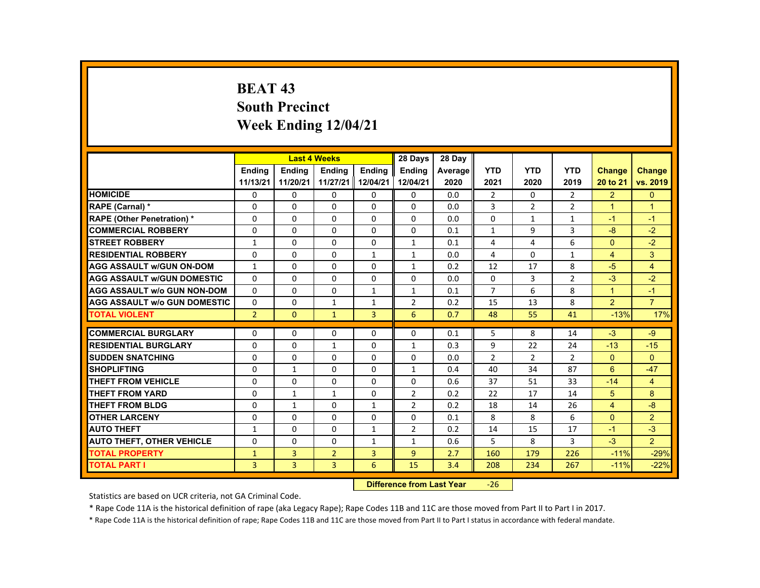# **BEAT 43 South Precinct Week Ending 12/04/21**

|                                     |                |                | <b>Last 4 Weeks</b> |               | 28 Days        | 28 Day  |                |              |                |                      |                      |
|-------------------------------------|----------------|----------------|---------------------|---------------|----------------|---------|----------------|--------------|----------------|----------------------|----------------------|
|                                     | <b>Endina</b>  | <b>Endina</b>  | <b>Endina</b>       | <b>Endina</b> | <b>Endina</b>  | Average | <b>YTD</b>     | <b>YTD</b>   | <b>YTD</b>     | <b>Change</b>        | Change               |
|                                     | 11/13/21       | 11/20/21       | 11/27/21 12/04/21   |               | 12/04/21       | 2020    | 2021           | 2020         | 2019           | 20 to 21             | vs. 2019             |
| <b>HOMICIDE</b>                     | 0              | 0              | 0                   | 0             | 0              | 0.0     | $\overline{2}$ | $\Omega$     | $\overline{2}$ | $\overline{2}$       | $\mathbf{0}$         |
| <b>RAPE (Carnal) *</b>              | $\Omega$       | $\Omega$       | $\Omega$            | $\Omega$      | $\Omega$       | 0.0     | 3              | 2            | $\overline{2}$ | $\blacktriangleleft$ | $\blacktriangleleft$ |
| <b>RAPE (Other Penetration) *</b>   | $\Omega$       | $\Omega$       | $\Omega$            | $\Omega$      | $\Omega$       | 0.0     | $\Omega$       | $\mathbf{1}$ | $\mathbf{1}$   | $-1$                 | $-1$                 |
| <b>COMMERCIAL ROBBERY</b>           | $\Omega$       | $\Omega$       | $\Omega$            | $\Omega$      | $\Omega$       | 0.1     | $\mathbf{1}$   | 9            | 3              | $-8$                 | $-2$                 |
| <b>STREET ROBBERY</b>               | $\mathbf{1}$   | $\Omega$       | $\Omega$            | $\Omega$      | $\mathbf{1}$   | 0.1     | 4              | 4            | 6              | $\Omega$             | $-2$                 |
| <b>RESIDENTIAL ROBBERY</b>          | $\Omega$       | $\Omega$       | $\Omega$            | $\mathbf{1}$  | $\mathbf{1}$   | 0.0     | 4              | $\Omega$     | $\mathbf{1}$   | $\overline{4}$       | 3                    |
| <b>AGG ASSAULT w/GUN ON-DOM</b>     | $\mathbf{1}$   | $\Omega$       | $\Omega$            | $\Omega$      | $\mathbf{1}$   | 0.2     | 12             | 17           | 8              | $-5$                 | $\overline{4}$       |
| <b>AGG ASSAULT w/GUN DOMESTIC</b>   | $\Omega$       | $\Omega$       | $\Omega$            | $\Omega$      | $\Omega$       | 0.0     | $\Omega$       | 3            | $\overline{2}$ | $-3$                 | $-2$                 |
| <b>AGG ASSAULT w/o GUN NON-DOM</b>  | $\Omega$       | $\Omega$       | $\Omega$            | $\mathbf{1}$  | $\mathbf{1}$   | 0.1     | $\overline{7}$ | 6            | 8              | $\overline{1}$       | $-1$                 |
| <b>AGG ASSAULT W/o GUN DOMESTIC</b> | $\Omega$       | $\Omega$       | $\mathbf{1}$        | $\mathbf{1}$  | 2              | 0.2     | 15             | 13           | 8              | 2                    | $\overline{7}$       |
| <b>TOTAL VIOLENT</b>                | 2 <sup>1</sup> | $\Omega$       | $\mathbf{1}$        | 3             | 6              | 0.7     | 48             | 55           | 41             | $-13%$               | 17%                  |
|                                     |                |                |                     |               |                |         |                |              |                |                      |                      |
| <b>COMMERCIAL BURGLARY</b>          | $\Omega$       | $\Omega$       | $\Omega$            | $\Omega$      | $\Omega$       | 0.1     | 5              | 8            | 14             | $-3$                 | $-9$                 |
| <b>RESIDENTIAL BURGLARY</b>         | $\Omega$       | $\Omega$       | $\mathbf{1}$        | $\Omega$      | $\mathbf{1}$   | 0.3     | 9              | 22           | 24             | $-13$                | $-15$                |
| <b>SUDDEN SNATCHING</b>             | $\Omega$       | $\Omega$       | $\Omega$            | $\Omega$      | $\Omega$       | 0.0     | $\overline{2}$ | 2            | $\overline{2}$ | $\Omega$             | $\Omega$             |
| <b>SHOPLIFTING</b>                  | $\Omega$       | $\mathbf{1}$   | $\Omega$            | $\Omega$      | $\mathbf{1}$   | 0.4     | 40             | 34           | 87             | 6                    | $-47$                |
| <b>THEFT FROM VEHICLE</b>           | $\Omega$       | 0              | 0                   | 0             | 0              | 0.6     | 37             | 51           | 33             | $-14$                | $\overline{4}$       |
| <b>THEFT FROM YARD</b>              | $\Omega$       | $\mathbf{1}$   | $\mathbf{1}$        | $\Omega$      | $\overline{2}$ | 0.2     | 22             | 17           | 14             | 5                    | 8                    |
| <b>THEFT FROM BLDG</b>              | $\Omega$       | $\mathbf{1}$   | $\Omega$            | $\mathbf{1}$  | $\overline{2}$ | 0.2     | 18             | 14           | 26             | $\overline{4}$       | $-8$                 |
| <b>OTHER LARCENY</b>                | $\Omega$       | $\Omega$       | $\Omega$            | $\Omega$      | $\Omega$       | 0.1     | 8              | 8            | 6              | $\Omega$             | $\overline{2}$       |
| <b>AUTO THEFT</b>                   | $\mathbf{1}$   | $\Omega$       | $\Omega$            | $\mathbf{1}$  | 2              | 0.2     | 14             | 15           | 17             | $-1$                 | $-3$                 |
| <b>AUTO THEFT, OTHER VEHICLE</b>    | $\Omega$       | $\Omega$       | $\Omega$            | $\mathbf{1}$  | $\mathbf{1}$   | 0.6     | 5              | 8            | 3              | $-3$                 | $\overline{2}$       |
| <b>TOTAL PROPERTY</b>               | $\mathbf{1}$   | 3              | $\overline{2}$      | 3             | $\overline{9}$ | 2.7     | 160            | 179          | 226            | $-11%$               | $-29%$               |
| <b>TOTAL PART I</b>                 | $\overline{3}$ | $\overline{3}$ | $\overline{3}$      | 6             | 15             | 3.4     | 208            | 234          | 267            | $-11%$               | $-22%$               |

#### **Difference from Last Year**‐26

Statistics are based on UCR criteria, not GA Criminal Code.

\* Rape Code 11A is the historical definition of rape (aka Legacy Rape); Rape Codes 11B and 11C are those moved from Part II to Part I in 2017.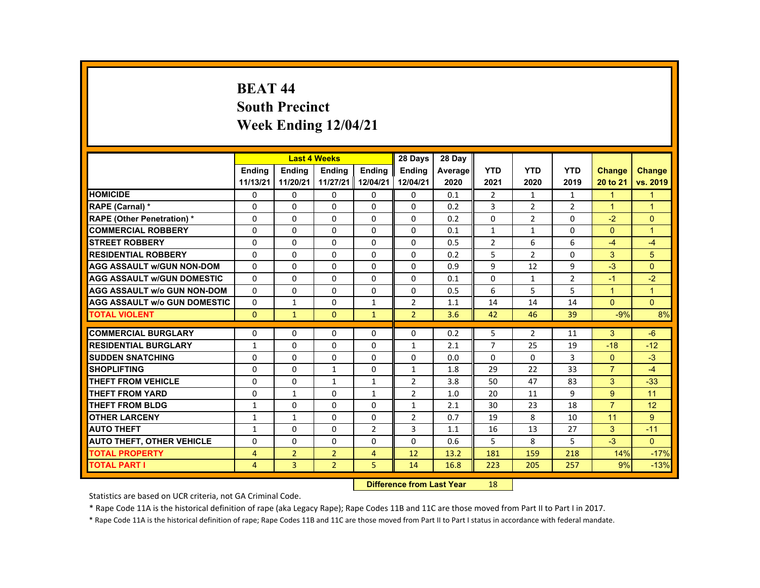# **BEAT 44 South Precinct Week Ending 12/04/21**

|                                     |               |                | <b>Last 4 Weeks</b> |                | 28 Days        | 28 Day  |                |                |                |                      |                |
|-------------------------------------|---------------|----------------|---------------------|----------------|----------------|---------|----------------|----------------|----------------|----------------------|----------------|
|                                     | <b>Endina</b> | <b>Endina</b>  | <b>Endina</b>       | <b>Endina</b>  | <b>Endina</b>  | Average | <b>YTD</b>     | <b>YTD</b>     | <b>YTD</b>     | <b>Change</b>        | Change         |
|                                     | 11/13/21      | 11/20/21       | 11/27/21 12/04/21   |                | 12/04/21       | 2020    | 2021           | 2020           | 2019           | 20 to 21             | vs. 2019       |
| <b>HOMICIDE</b>                     | 0             | 0              | 0                   | 0              | 0              | 0.1     | $\overline{2}$ | $\mathbf{1}$   | $\mathbf{1}$   | $\blacksquare$       | $\mathbf{1}$   |
| RAPE (Carnal) *                     | $\Omega$      | $\Omega$       | $\Omega$            | $\Omega$       | $\Omega$       | 0.2     | 3              | 2              | $\overline{2}$ | $\blacktriangleleft$ | $\overline{1}$ |
| <b>RAPE (Other Penetration) *</b>   | $\Omega$      | $\Omega$       | $\Omega$            | $\Omega$       | $\Omega$       | 0.2     | $\Omega$       | 2              | $\Omega$       | $-2$                 | $\Omega$       |
| <b>COMMERCIAL ROBBERY</b>           | 0             | 0              | 0                   | 0              | 0              | 0.1     | $\mathbf{1}$   | $\mathbf{1}$   | 0              | $\Omega$             | $\mathbf{1}$   |
| <b>STREET ROBBERY</b>               | $\Omega$      | $\Omega$       | $\Omega$            | $\Omega$       | $\Omega$       | 0.5     | $\overline{2}$ | 6              | 6              | $-4$                 | $-4$           |
| <b>RESIDENTIAL ROBBERY</b>          | $\Omega$      | $\Omega$       | $\Omega$            | $\Omega$       | $\Omega$       | 0.2     | 5              | $\overline{2}$ | $\Omega$       | 3                    | 5              |
| <b>AGG ASSAULT w/GUN NON-DOM</b>    | $\Omega$      | 0              | $\Omega$            | 0              | 0              | 0.9     | 9              | 12             | 9              | $-3$                 | $\Omega$       |
| <b>AGG ASSAULT w/GUN DOMESTIC</b>   | $\Omega$      | $\Omega$       | $\Omega$            | $\Omega$       | $\Omega$       | 0.1     | $\Omega$       | $\mathbf{1}$   | $\overline{2}$ | $-1$                 | $-2$           |
| <b>AGG ASSAULT w/o GUN NON-DOM</b>  | $\Omega$      | $\Omega$       | $\Omega$            | $\Omega$       | $\Omega$       | 0.5     | 6              | 5              | 5              | $\overline{1}$       | $\mathbf{1}$   |
| <b>AGG ASSAULT W/o GUN DOMESTIC</b> | $\Omega$      | $\mathbf{1}$   | $\Omega$            | $\mathbf{1}$   | $\overline{2}$ | 1.1     | 14             | 14             | 14             | $\Omega$             | $\Omega$       |
| <b>TOTAL VIOLENT</b>                | $\mathbf{0}$  | $\mathbf{1}$   | $\Omega$            | $\mathbf{1}$   | $\overline{2}$ | 3.6     | 42             | 46             | 39             | $-9%$                | 8%             |
|                                     |               |                |                     |                |                |         |                |                |                |                      |                |
| <b>COMMERCIAL BURGLARY</b>          | $\Omega$      | $\Omega$       | $\Omega$            | $\Omega$       | $\Omega$       | 0.2     | 5              | $\overline{2}$ | 11             | 3                    | $-6$           |
| <b>RESIDENTIAL BURGLARY</b>         | $\mathbf{1}$  | 0              | $\Omega$            | 0              | $\mathbf{1}$   | 2.1     | 7              | 25             | 19             | $-18$                | $-12$          |
| <b>SUDDEN SNATCHING</b>             | $\Omega$      | $\Omega$       | $\Omega$            | $\Omega$       | $\Omega$       | 0.0     | $\Omega$       | $\Omega$       | 3              | $\Omega$             | $-3$           |
| <b>SHOPLIFTING</b>                  | $\Omega$      | $\Omega$       | $\mathbf{1}$        | $\Omega$       | $\mathbf{1}$   | 1.8     | 29             | 22             | 33             | $\overline{7}$       | $-4$           |
| <b>THEFT FROM VEHICLE</b>           | $\Omega$      | 0              | $\mathbf{1}$        | $\mathbf{1}$   | $\overline{2}$ | 3.8     | 50             | 47             | 83             | 3                    | $-33$          |
| <b>THEFT FROM YARD</b>              | $\Omega$      | $\mathbf{1}$   | $\Omega$            | $\mathbf{1}$   | $\overline{2}$ | 1.0     | 20             | 11             | 9              | 9                    | 11             |
| <b>THEFT FROM BLDG</b>              | $\mathbf{1}$  | $\Omega$       | $\Omega$            | $\Omega$       | $\mathbf{1}$   | 2.1     | 30             | 23             | 18             | $\overline{7}$       | 12             |
| <b>OTHER LARCENY</b>                | $\mathbf{1}$  | $\mathbf{1}$   | $\Omega$            | $\Omega$       | 2              | 0.7     | 19             | 8              | 10             | 11                   | 9              |
| <b>AUTO THEFT</b>                   | $\mathbf{1}$  | $\Omega$       | $\Omega$            | $\overline{2}$ | 3              | 1.1     | 16             | 13             | 27             | 3                    | $-11$          |
| <b>AUTO THEFT, OTHER VEHICLE</b>    | $\Omega$      | $\Omega$       | $\Omega$            | $\Omega$       | $\Omega$       | 0.6     | 5              | 8              | 5              | $-3$                 | $\Omega$       |
| <b>TOTAL PROPERTY</b>               | 4             | $\overline{2}$ | $\overline{2}$      | $\overline{4}$ | 12             | 13.2    | 181            | 159            | 218            | 14%                  | $-17%$         |
| <b>TOTAL PART I</b>                 | 4             | $\overline{3}$ | $\overline{2}$      | 5              | 14             | 16.8    | 223            | 205            | 257            | 9%                   | $-13%$         |

#### **Difference from Last Year**r 18

Statistics are based on UCR criteria, not GA Criminal Code.

\* Rape Code 11A is the historical definition of rape (aka Legacy Rape); Rape Codes 11B and 11C are those moved from Part II to Part I in 2017.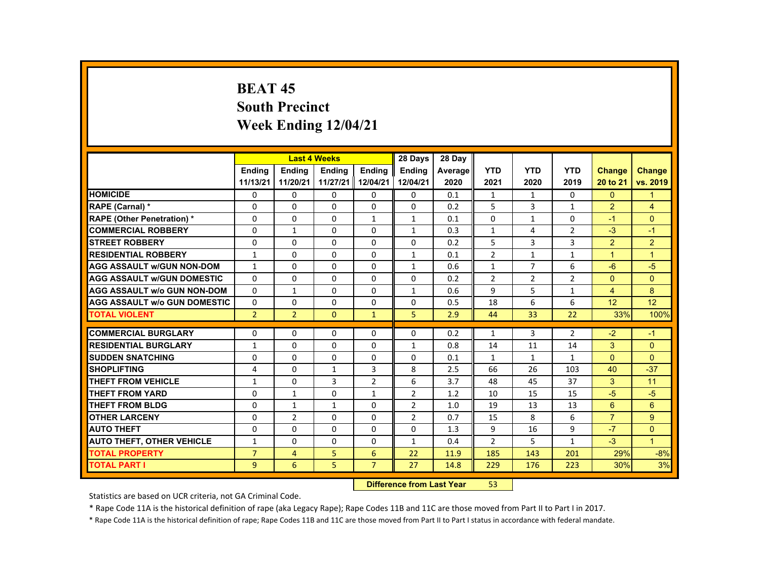# **BEAT 45 South Precinct Week Ending 12/04/21**

| <b>YTD</b><br><b>YTD</b><br><b>Endina</b><br><b>Endina</b><br><b>Endina</b><br><b>Endina</b><br><b>Endina</b><br><b>YTD</b><br><b>Change</b><br>Average<br><b>Change</b><br>11/13/21<br>11/27/21<br>12/04/21<br>12/04/21<br>vs. 2019<br>11/20/21<br>2020<br>2021<br>2020<br>2019<br>20 to 21<br><b>HOMICIDE</b><br>$\mathbf{0}$<br>$\Omega$<br>$\mathbf{0}$<br>0<br>0<br>$\Omega$<br>0.1<br>1<br>$\mathbf{1}$<br>0<br>1<br>5<br>3<br>$\overline{2}$<br>$\Omega$<br>$\Omega$<br>$\Omega$<br>$\Omega$<br>$\Omega$<br>4<br><b>RAPE (Carnal) *</b><br>0.2<br>$\mathbf{1}$<br><b>RAPE (Other Penetration) *</b><br>$\Omega$<br>$\Omega$<br>$\Omega$<br>$\Omega$<br>$\Omega$<br>$\Omega$<br>$\mathbf{1}$<br>$\mathbf{1}$<br>0.1<br>$\mathbf{1}$<br>$-1$<br><b>COMMERCIAL ROBBERY</b><br>$\mathbf{1}$<br>$\mathbf{1}$<br>$\overline{2}$<br>$-3$<br>0<br>1<br>0<br>$\mathbf{0}$<br>0.3<br>4<br>$-1$<br>5<br>3<br>$\overline{3}$<br>$\overline{2}$<br>$\overline{2}$<br><b>STREET ROBBERY</b><br>$\Omega$<br>$\Omega$<br>$\Omega$<br>$\Omega$<br>$\Omega$<br>0.2<br>$\overline{2}$<br><b>RESIDENTIAL ROBBERY</b><br>$\mathbf{1}$<br>$\Omega$<br>$\Omega$<br>$\Omega$<br>$\mathbf{1}$<br>$\mathbf{1}$<br>$\blacktriangleleft$<br>0.1<br>$\mathbf{1}$<br>$\overline{1}$<br>$-5$<br><b>AGG ASSAULT w/GUN NON-DOM</b><br>$\overline{7}$<br>6<br>$-6$<br>$\mathbf{1}$<br>$\mathbf{0}$<br>$\Omega$<br>0<br>$\mathbf{1}$<br>0.6<br>$\mathbf{1}$<br>$\Omega$<br>$\Omega$<br>$\Omega$<br>$\overline{2}$<br>$\overline{2}$<br>$\Omega$<br>$\Omega$<br><b>AGG ASSAULT W/GUN DOMESTIC</b><br>$\Omega$<br>$\Omega$<br>0.2<br>$\overline{2}$<br>5<br>8<br>9<br><b>AGG ASSAULT w/o GUN NON-DOM</b><br>$\Omega$<br>$\mathbf{1}$<br>$\Omega$<br>$\Omega$<br>$\mathbf{1}$<br>0.6<br>$\overline{4}$<br>$\mathbf{1}$<br>12<br><b>AGG ASSAULT W/o GUN DOMESTIC</b><br>$\Omega$<br>18<br>6<br>6<br>12<br>$\Omega$<br>$\Omega$<br>$\Omega$<br>$\Omega$<br>0.5<br>$\overline{2}$<br>$\overline{2}$<br>$\Omega$<br>5<br>33<br>22<br>33%<br><b>TOTAL VIOLENT</b><br>$\mathbf{1}$<br>2.9<br>44<br><b>COMMERCIAL BURGLARY</b><br>3<br>2<br>$-2$<br>$\Omega$<br>$\Omega$<br>$\Omega$<br>$\Omega$<br>$\Omega$<br>0.2<br>$-1$<br>$\mathbf{1}$<br><b>RESIDENTIAL BURGLARY</b><br>3<br>$\mathbf{1}$<br>$\mathbf{0}$<br>$\Omega$<br>0<br>$\mathbf{1}$<br>0.8<br>14<br>11<br>$\Omega$<br>14<br><b>SUDDEN SNATCHING</b><br>$\Omega$<br>$\Omega$<br>$\Omega$<br>0<br>$\Omega$<br>0<br>$\Omega$<br>0.1<br>$\mathbf{1}$<br>$\mathbf{1}$<br>$\mathbf{1}$<br><b>SHOPLIFTING</b><br>3<br>8<br>2.5<br>66<br>103<br>$-37$<br>4<br>$\Omega$<br>$\mathbf{1}$<br>26<br>40<br><b>THEFT FROM VEHICLE</b><br>3<br>$\overline{2}$<br>6<br>3<br>$\mathbf{1}$<br>$\mathbf{0}$<br>3.7<br>48<br>37<br>11<br>45<br>$-5$<br>$-5$<br><b>THEFT FROM YARD</b><br>$\Omega$<br>$\mathbf{1}$<br>$\Omega$<br>$\mathbf{1}$<br>$\overline{2}$<br>15<br>1.2<br>10<br>15<br><b>THEFT FROM BLDG</b><br>$\Omega$<br>2<br>19<br>13<br>13<br>6<br>6<br>$\Omega$<br>$\mathbf{1}$<br>$\mathbf{1}$<br>1.0<br>$\overline{7}$<br>9<br><b>OTHER LARCENY</b><br>$\Omega$<br>$\overline{2}$<br>$\Omega$<br>$\Omega$<br>2<br>8<br>6<br>0.7<br>15<br>$-7$<br><b>AUTO THEFT</b><br>$\Omega$<br>$\Omega$<br>$\Omega$<br>$\Omega$<br>$\Omega$<br>9<br>16<br>9<br>$\Omega$<br>1.3<br>5<br>$-3$<br><b>AUTO THEFT, OTHER VEHICLE</b><br>$\mathcal{P}$<br>$\mathbf{1}$<br>$\Omega$<br>$\Omega$<br>$\Omega$<br>$\mathbf{1}$<br>0.4<br>$\mathbf{1}$<br>$\blacktriangleleft$<br><b>TOTAL PROPERTY</b><br>$\overline{7}$<br>5<br>22<br>29%<br>$\overline{4}$<br>6<br>11.9<br>185<br>143<br>201 |  | <b>Last 4 Weeks</b> | 28 Days | 28 Day |  |  |       |
|------------------------------------------------------------------------------------------------------------------------------------------------------------------------------------------------------------------------------------------------------------------------------------------------------------------------------------------------------------------------------------------------------------------------------------------------------------------------------------------------------------------------------------------------------------------------------------------------------------------------------------------------------------------------------------------------------------------------------------------------------------------------------------------------------------------------------------------------------------------------------------------------------------------------------------------------------------------------------------------------------------------------------------------------------------------------------------------------------------------------------------------------------------------------------------------------------------------------------------------------------------------------------------------------------------------------------------------------------------------------------------------------------------------------------------------------------------------------------------------------------------------------------------------------------------------------------------------------------------------------------------------------------------------------------------------------------------------------------------------------------------------------------------------------------------------------------------------------------------------------------------------------------------------------------------------------------------------------------------------------------------------------------------------------------------------------------------------------------------------------------------------------------------------------------------------------------------------------------------------------------------------------------------------------------------------------------------------------------------------------------------------------------------------------------------------------------------------------------------------------------------------------------------------------------------------------------------------------------------------------------------------------------------------------------------------------------------------------------------------------------------------------------------------------------------------------------------------------------------------------------------------------------------------------------------------------------------------------------------------------------------------------------------------------------------------------------------------------------------------------------------------------------------------------------------------------------------------------------------------------------------------------------------------------------------------------------------------------------------------------------------------------------------------------------------------------------------------------------------------------------------------------------------------------------------------------------------------|--|---------------------|---------|--------|--|--|-------|
|                                                                                                                                                                                                                                                                                                                                                                                                                                                                                                                                                                                                                                                                                                                                                                                                                                                                                                                                                                                                                                                                                                                                                                                                                                                                                                                                                                                                                                                                                                                                                                                                                                                                                                                                                                                                                                                                                                                                                                                                                                                                                                                                                                                                                                                                                                                                                                                                                                                                                                                                                                                                                                                                                                                                                                                                                                                                                                                                                                                                                                                                                                                                                                                                                                                                                                                                                                                                                                                                                                                                                                                          |  |                     |         |        |  |  |       |
|                                                                                                                                                                                                                                                                                                                                                                                                                                                                                                                                                                                                                                                                                                                                                                                                                                                                                                                                                                                                                                                                                                                                                                                                                                                                                                                                                                                                                                                                                                                                                                                                                                                                                                                                                                                                                                                                                                                                                                                                                                                                                                                                                                                                                                                                                                                                                                                                                                                                                                                                                                                                                                                                                                                                                                                                                                                                                                                                                                                                                                                                                                                                                                                                                                                                                                                                                                                                                                                                                                                                                                                          |  |                     |         |        |  |  |       |
|                                                                                                                                                                                                                                                                                                                                                                                                                                                                                                                                                                                                                                                                                                                                                                                                                                                                                                                                                                                                                                                                                                                                                                                                                                                                                                                                                                                                                                                                                                                                                                                                                                                                                                                                                                                                                                                                                                                                                                                                                                                                                                                                                                                                                                                                                                                                                                                                                                                                                                                                                                                                                                                                                                                                                                                                                                                                                                                                                                                                                                                                                                                                                                                                                                                                                                                                                                                                                                                                                                                                                                                          |  |                     |         |        |  |  |       |
|                                                                                                                                                                                                                                                                                                                                                                                                                                                                                                                                                                                                                                                                                                                                                                                                                                                                                                                                                                                                                                                                                                                                                                                                                                                                                                                                                                                                                                                                                                                                                                                                                                                                                                                                                                                                                                                                                                                                                                                                                                                                                                                                                                                                                                                                                                                                                                                                                                                                                                                                                                                                                                                                                                                                                                                                                                                                                                                                                                                                                                                                                                                                                                                                                                                                                                                                                                                                                                                                                                                                                                                          |  |                     |         |        |  |  |       |
|                                                                                                                                                                                                                                                                                                                                                                                                                                                                                                                                                                                                                                                                                                                                                                                                                                                                                                                                                                                                                                                                                                                                                                                                                                                                                                                                                                                                                                                                                                                                                                                                                                                                                                                                                                                                                                                                                                                                                                                                                                                                                                                                                                                                                                                                                                                                                                                                                                                                                                                                                                                                                                                                                                                                                                                                                                                                                                                                                                                                                                                                                                                                                                                                                                                                                                                                                                                                                                                                                                                                                                                          |  |                     |         |        |  |  |       |
|                                                                                                                                                                                                                                                                                                                                                                                                                                                                                                                                                                                                                                                                                                                                                                                                                                                                                                                                                                                                                                                                                                                                                                                                                                                                                                                                                                                                                                                                                                                                                                                                                                                                                                                                                                                                                                                                                                                                                                                                                                                                                                                                                                                                                                                                                                                                                                                                                                                                                                                                                                                                                                                                                                                                                                                                                                                                                                                                                                                                                                                                                                                                                                                                                                                                                                                                                                                                                                                                                                                                                                                          |  |                     |         |        |  |  |       |
|                                                                                                                                                                                                                                                                                                                                                                                                                                                                                                                                                                                                                                                                                                                                                                                                                                                                                                                                                                                                                                                                                                                                                                                                                                                                                                                                                                                                                                                                                                                                                                                                                                                                                                                                                                                                                                                                                                                                                                                                                                                                                                                                                                                                                                                                                                                                                                                                                                                                                                                                                                                                                                                                                                                                                                                                                                                                                                                                                                                                                                                                                                                                                                                                                                                                                                                                                                                                                                                                                                                                                                                          |  |                     |         |        |  |  |       |
|                                                                                                                                                                                                                                                                                                                                                                                                                                                                                                                                                                                                                                                                                                                                                                                                                                                                                                                                                                                                                                                                                                                                                                                                                                                                                                                                                                                                                                                                                                                                                                                                                                                                                                                                                                                                                                                                                                                                                                                                                                                                                                                                                                                                                                                                                                                                                                                                                                                                                                                                                                                                                                                                                                                                                                                                                                                                                                                                                                                                                                                                                                                                                                                                                                                                                                                                                                                                                                                                                                                                                                                          |  |                     |         |        |  |  |       |
|                                                                                                                                                                                                                                                                                                                                                                                                                                                                                                                                                                                                                                                                                                                                                                                                                                                                                                                                                                                                                                                                                                                                                                                                                                                                                                                                                                                                                                                                                                                                                                                                                                                                                                                                                                                                                                                                                                                                                                                                                                                                                                                                                                                                                                                                                                                                                                                                                                                                                                                                                                                                                                                                                                                                                                                                                                                                                                                                                                                                                                                                                                                                                                                                                                                                                                                                                                                                                                                                                                                                                                                          |  |                     |         |        |  |  |       |
|                                                                                                                                                                                                                                                                                                                                                                                                                                                                                                                                                                                                                                                                                                                                                                                                                                                                                                                                                                                                                                                                                                                                                                                                                                                                                                                                                                                                                                                                                                                                                                                                                                                                                                                                                                                                                                                                                                                                                                                                                                                                                                                                                                                                                                                                                                                                                                                                                                                                                                                                                                                                                                                                                                                                                                                                                                                                                                                                                                                                                                                                                                                                                                                                                                                                                                                                                                                                                                                                                                                                                                                          |  |                     |         |        |  |  |       |
|                                                                                                                                                                                                                                                                                                                                                                                                                                                                                                                                                                                                                                                                                                                                                                                                                                                                                                                                                                                                                                                                                                                                                                                                                                                                                                                                                                                                                                                                                                                                                                                                                                                                                                                                                                                                                                                                                                                                                                                                                                                                                                                                                                                                                                                                                                                                                                                                                                                                                                                                                                                                                                                                                                                                                                                                                                                                                                                                                                                                                                                                                                                                                                                                                                                                                                                                                                                                                                                                                                                                                                                          |  |                     |         |        |  |  |       |
|                                                                                                                                                                                                                                                                                                                                                                                                                                                                                                                                                                                                                                                                                                                                                                                                                                                                                                                                                                                                                                                                                                                                                                                                                                                                                                                                                                                                                                                                                                                                                                                                                                                                                                                                                                                                                                                                                                                                                                                                                                                                                                                                                                                                                                                                                                                                                                                                                                                                                                                                                                                                                                                                                                                                                                                                                                                                                                                                                                                                                                                                                                                                                                                                                                                                                                                                                                                                                                                                                                                                                                                          |  |                     |         |        |  |  |       |
|                                                                                                                                                                                                                                                                                                                                                                                                                                                                                                                                                                                                                                                                                                                                                                                                                                                                                                                                                                                                                                                                                                                                                                                                                                                                                                                                                                                                                                                                                                                                                                                                                                                                                                                                                                                                                                                                                                                                                                                                                                                                                                                                                                                                                                                                                                                                                                                                                                                                                                                                                                                                                                                                                                                                                                                                                                                                                                                                                                                                                                                                                                                                                                                                                                                                                                                                                                                                                                                                                                                                                                                          |  |                     |         |        |  |  | 100%  |
|                                                                                                                                                                                                                                                                                                                                                                                                                                                                                                                                                                                                                                                                                                                                                                                                                                                                                                                                                                                                                                                                                                                                                                                                                                                                                                                                                                                                                                                                                                                                                                                                                                                                                                                                                                                                                                                                                                                                                                                                                                                                                                                                                                                                                                                                                                                                                                                                                                                                                                                                                                                                                                                                                                                                                                                                                                                                                                                                                                                                                                                                                                                                                                                                                                                                                                                                                                                                                                                                                                                                                                                          |  |                     |         |        |  |  |       |
|                                                                                                                                                                                                                                                                                                                                                                                                                                                                                                                                                                                                                                                                                                                                                                                                                                                                                                                                                                                                                                                                                                                                                                                                                                                                                                                                                                                                                                                                                                                                                                                                                                                                                                                                                                                                                                                                                                                                                                                                                                                                                                                                                                                                                                                                                                                                                                                                                                                                                                                                                                                                                                                                                                                                                                                                                                                                                                                                                                                                                                                                                                                                                                                                                                                                                                                                                                                                                                                                                                                                                                                          |  |                     |         |        |  |  |       |
|                                                                                                                                                                                                                                                                                                                                                                                                                                                                                                                                                                                                                                                                                                                                                                                                                                                                                                                                                                                                                                                                                                                                                                                                                                                                                                                                                                                                                                                                                                                                                                                                                                                                                                                                                                                                                                                                                                                                                                                                                                                                                                                                                                                                                                                                                                                                                                                                                                                                                                                                                                                                                                                                                                                                                                                                                                                                                                                                                                                                                                                                                                                                                                                                                                                                                                                                                                                                                                                                                                                                                                                          |  |                     |         |        |  |  |       |
|                                                                                                                                                                                                                                                                                                                                                                                                                                                                                                                                                                                                                                                                                                                                                                                                                                                                                                                                                                                                                                                                                                                                                                                                                                                                                                                                                                                                                                                                                                                                                                                                                                                                                                                                                                                                                                                                                                                                                                                                                                                                                                                                                                                                                                                                                                                                                                                                                                                                                                                                                                                                                                                                                                                                                                                                                                                                                                                                                                                                                                                                                                                                                                                                                                                                                                                                                                                                                                                                                                                                                                                          |  |                     |         |        |  |  |       |
|                                                                                                                                                                                                                                                                                                                                                                                                                                                                                                                                                                                                                                                                                                                                                                                                                                                                                                                                                                                                                                                                                                                                                                                                                                                                                                                                                                                                                                                                                                                                                                                                                                                                                                                                                                                                                                                                                                                                                                                                                                                                                                                                                                                                                                                                                                                                                                                                                                                                                                                                                                                                                                                                                                                                                                                                                                                                                                                                                                                                                                                                                                                                                                                                                                                                                                                                                                                                                                                                                                                                                                                          |  |                     |         |        |  |  |       |
|                                                                                                                                                                                                                                                                                                                                                                                                                                                                                                                                                                                                                                                                                                                                                                                                                                                                                                                                                                                                                                                                                                                                                                                                                                                                                                                                                                                                                                                                                                                                                                                                                                                                                                                                                                                                                                                                                                                                                                                                                                                                                                                                                                                                                                                                                                                                                                                                                                                                                                                                                                                                                                                                                                                                                                                                                                                                                                                                                                                                                                                                                                                                                                                                                                                                                                                                                                                                                                                                                                                                                                                          |  |                     |         |        |  |  |       |
|                                                                                                                                                                                                                                                                                                                                                                                                                                                                                                                                                                                                                                                                                                                                                                                                                                                                                                                                                                                                                                                                                                                                                                                                                                                                                                                                                                                                                                                                                                                                                                                                                                                                                                                                                                                                                                                                                                                                                                                                                                                                                                                                                                                                                                                                                                                                                                                                                                                                                                                                                                                                                                                                                                                                                                                                                                                                                                                                                                                                                                                                                                                                                                                                                                                                                                                                                                                                                                                                                                                                                                                          |  |                     |         |        |  |  |       |
|                                                                                                                                                                                                                                                                                                                                                                                                                                                                                                                                                                                                                                                                                                                                                                                                                                                                                                                                                                                                                                                                                                                                                                                                                                                                                                                                                                                                                                                                                                                                                                                                                                                                                                                                                                                                                                                                                                                                                                                                                                                                                                                                                                                                                                                                                                                                                                                                                                                                                                                                                                                                                                                                                                                                                                                                                                                                                                                                                                                                                                                                                                                                                                                                                                                                                                                                                                                                                                                                                                                                                                                          |  |                     |         |        |  |  |       |
|                                                                                                                                                                                                                                                                                                                                                                                                                                                                                                                                                                                                                                                                                                                                                                                                                                                                                                                                                                                                                                                                                                                                                                                                                                                                                                                                                                                                                                                                                                                                                                                                                                                                                                                                                                                                                                                                                                                                                                                                                                                                                                                                                                                                                                                                                                                                                                                                                                                                                                                                                                                                                                                                                                                                                                                                                                                                                                                                                                                                                                                                                                                                                                                                                                                                                                                                                                                                                                                                                                                                                                                          |  |                     |         |        |  |  |       |
|                                                                                                                                                                                                                                                                                                                                                                                                                                                                                                                                                                                                                                                                                                                                                                                                                                                                                                                                                                                                                                                                                                                                                                                                                                                                                                                                                                                                                                                                                                                                                                                                                                                                                                                                                                                                                                                                                                                                                                                                                                                                                                                                                                                                                                                                                                                                                                                                                                                                                                                                                                                                                                                                                                                                                                                                                                                                                                                                                                                                                                                                                                                                                                                                                                                                                                                                                                                                                                                                                                                                                                                          |  |                     |         |        |  |  |       |
|                                                                                                                                                                                                                                                                                                                                                                                                                                                                                                                                                                                                                                                                                                                                                                                                                                                                                                                                                                                                                                                                                                                                                                                                                                                                                                                                                                                                                                                                                                                                                                                                                                                                                                                                                                                                                                                                                                                                                                                                                                                                                                                                                                                                                                                                                                                                                                                                                                                                                                                                                                                                                                                                                                                                                                                                                                                                                                                                                                                                                                                                                                                                                                                                                                                                                                                                                                                                                                                                                                                                                                                          |  |                     |         |        |  |  |       |
|                                                                                                                                                                                                                                                                                                                                                                                                                                                                                                                                                                                                                                                                                                                                                                                                                                                                                                                                                                                                                                                                                                                                                                                                                                                                                                                                                                                                                                                                                                                                                                                                                                                                                                                                                                                                                                                                                                                                                                                                                                                                                                                                                                                                                                                                                                                                                                                                                                                                                                                                                                                                                                                                                                                                                                                                                                                                                                                                                                                                                                                                                                                                                                                                                                                                                                                                                                                                                                                                                                                                                                                          |  |                     |         |        |  |  | $-8%$ |
| 5<br>$\overline{7}$<br><b>TOTAL PART I</b><br>$\overline{9}$<br>6<br>27<br>30%<br>14.8<br>229<br>176<br>223                                                                                                                                                                                                                                                                                                                                                                                                                                                                                                                                                                                                                                                                                                                                                                                                                                                                                                                                                                                                                                                                                                                                                                                                                                                                                                                                                                                                                                                                                                                                                                                                                                                                                                                                                                                                                                                                                                                                                                                                                                                                                                                                                                                                                                                                                                                                                                                                                                                                                                                                                                                                                                                                                                                                                                                                                                                                                                                                                                                                                                                                                                                                                                                                                                                                                                                                                                                                                                                                              |  |                     |         |        |  |  | 3%    |

#### **Difference from Last Year**r 53

Statistics are based on UCR criteria, not GA Criminal Code.

\* Rape Code 11A is the historical definition of rape (aka Legacy Rape); Rape Codes 11B and 11C are those moved from Part II to Part I in 2017.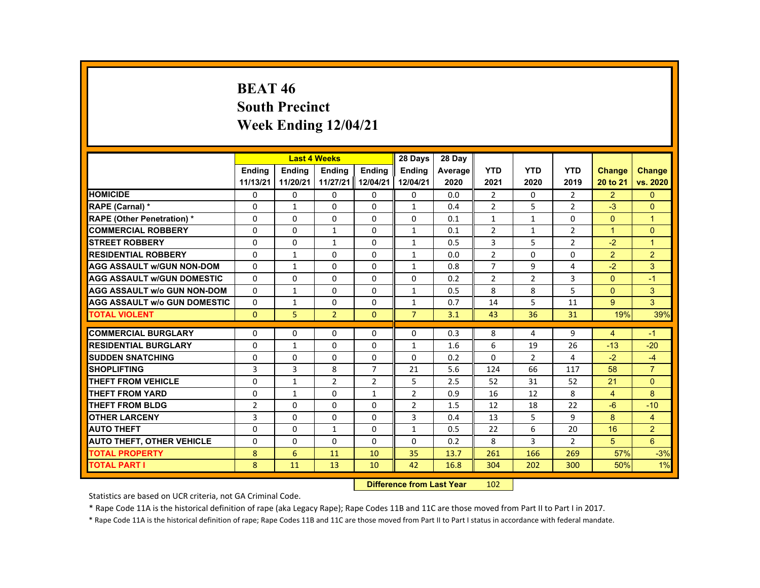# **BEAT 46 South Precinct Week Ending 12/04/21**

|                                     |                |               | <b>Last 4 Weeks</b> |                   | 28 Days        | 28 Day  |                |                |                |                         |                |
|-------------------------------------|----------------|---------------|---------------------|-------------------|----------------|---------|----------------|----------------|----------------|-------------------------|----------------|
|                                     | <b>Endina</b>  | <b>Endina</b> | <b>Endina</b>       | <b>Endina</b>     | <b>Endina</b>  | Average | <b>YTD</b>     | <b>YTD</b>     | <b>YTD</b>     | <b>Change</b>           | <b>Change</b>  |
|                                     | 11/13/21       | 11/20/21      |                     | 11/27/21 12/04/21 | 12/04/21       | 2020    | 2021           | 2020           | 2019           | 20 to 21                | vs. 2020       |
| <b>HOMICIDE</b>                     | 0              | 0             | 0                   | 0                 | 0              | 0.0     | $\overline{2}$ | 0              | $\overline{2}$ | 2 <sup>1</sup>          | $\mathbf{0}$   |
| RAPE (Carnal) *                     | $\Omega$       | $\mathbf{1}$  | $\Omega$            | $\Omega$          | $\mathbf{1}$   | 0.4     | $\overline{2}$ | 5              | $\overline{2}$ | $-3$                    | $\mathbf{0}$   |
| <b>RAPE (Other Penetration) *</b>   | $\Omega$       | $\Omega$      | $\Omega$            | $\Omega$          | $\Omega$       | 0.1     | $\mathbf{1}$   | $\mathbf{1}$   | $\Omega$       | $\Omega$                | $\overline{1}$ |
| <b>COMMERCIAL ROBBERY</b>           | 0              | $\mathbf{0}$  | 1                   | 0                 | $\mathbf{1}$   | 0.1     | $\overline{2}$ | $\mathbf{1}$   | $\overline{2}$ | $\mathbf{1}$            | $\Omega$       |
| <b>STREET ROBBERY</b>               | $\Omega$       | $\Omega$      | $\mathbf{1}$        | $\Omega$          | $\mathbf{1}$   | 0.5     | 3              | 5              | $\overline{2}$ | $-2$                    | $\overline{1}$ |
| <b>RESIDENTIAL ROBBERY</b>          | $\Omega$       | $\mathbf{1}$  | $\Omega$            | $\Omega$          | $\mathbf{1}$   | 0.0     | $\overline{2}$ | $\Omega$       | $\Omega$       | $\overline{2}$          | $\overline{2}$ |
| <b>AGG ASSAULT W/GUN NON-DOM</b>    | $\Omega$       | $\mathbf{1}$  | $\Omega$            | $\Omega$          | $\mathbf{1}$   | 0.8     | $\overline{7}$ | 9              | 4              | $-2$                    | 3              |
| <b>AGG ASSAULT W/GUN DOMESTIC</b>   | $\Omega$       | $\Omega$      | $\Omega$            | $\Omega$          | $\Omega$       | 0.2     | $\overline{2}$ | 2              | 3              | $\Omega$                | $-1$           |
| <b>AGG ASSAULT W/o GUN NON-DOM</b>  | $\Omega$       | $\mathbf{1}$  | $\Omega$            | $\Omega$          | $\mathbf{1}$   | 0.5     | 8              | 8              | 5              | $\Omega$                | 3              |
| <b>AGG ASSAULT W/o GUN DOMESTIC</b> | $\Omega$       | $\mathbf{1}$  | $\Omega$            | $\Omega$          | 1              | 0.7     | 14             | 5              | 11             | 9                       | 3              |
| <b>TOTAL VIOLENT</b>                | $\mathbf{0}$   | 5             | $\overline{2}$      | $\Omega$          | $\overline{7}$ | 3.1     | 43             | 36             | 31             | 19%                     | 39%            |
|                                     |                |               |                     |                   |                |         |                |                |                |                         |                |
| <b>COMMERCIAL BURGLARY</b>          | $\Omega$       | $\Omega$      | $\Omega$            | $\Omega$          | $\Omega$       | 0.3     | 8              | 4              | 9              | $\overline{\mathbf{4}}$ | $-1$           |
| <b>RESIDENTIAL BURGLARY</b>         | $\Omega$       | $\mathbf{1}$  | $\Omega$            | $\Omega$          | $\mathbf{1}$   | 1.6     | 6              | 19             | 26             | $-13$                   | $-20$          |
| <b>SUDDEN SNATCHING</b>             | $\Omega$       | $\Omega$      | $\Omega$            | $\Omega$          | $\Omega$       | 0.2     | $\Omega$       | $\overline{2}$ | 4              | $-2$                    | $-4$           |
| <b>SHOPLIFTING</b>                  | 3              | 3             | 8                   | $\overline{7}$    | 21             | 5.6     | 124            | 66             | 117            | 58                      | $\overline{7}$ |
| <b>THEFT FROM VEHICLE</b>           | 0              | $\mathbf{1}$  | $\overline{2}$      | $\overline{2}$    | 5              | 2.5     | 52             | 31             | 52             | 21                      | $\Omega$       |
| <b>THEFT FROM YARD</b>              | $\Omega$       | $\mathbf{1}$  | $\Omega$            | $\mathbf{1}$      | $\overline{2}$ | 0.9     | 16             | 12             | 8              | $\overline{4}$          | 8              |
| THEFT FROM BLDG                     | $\overline{2}$ | $\Omega$      | $\Omega$            | $\Omega$          | $\overline{2}$ | 1.5     | 12             | 18             | 22             | $-6$                    | $-10$          |
| <b>OTHER LARCENY</b>                | 3              | $\mathbf{0}$  | 0                   | 0                 | 3              | 0.4     | 13             | 5              | 9              | 8                       | $\overline{4}$ |
| <b>AUTO THEFT</b>                   | $\Omega$       | $\Omega$      | $\mathbf{1}$        | $\Omega$          | $\mathbf{1}$   | 0.5     | 22             | 6              | 20             | 16                      | $\overline{2}$ |
| <b>AUTO THEFT, OTHER VEHICLE</b>    | $\Omega$       | $\Omega$      | $\Omega$            | $\Omega$          | $\Omega$       | 0.2     | 8              | 3              | $\overline{2}$ | 5                       | 6              |
| <b>TOTAL PROPERTY</b>               | 8              | 6             | 11                  | 10                | 35             | 13.7    | 261            | 166            | 269            | 57%                     | $-3%$          |
| <b>TOTAL PART I</b>                 | 8              | 11            | 13                  | 10                | 42             | 16.8    | 304            | 202            | 300            | 50%                     | 1%             |

#### **Difference from Last Year**r 102

Statistics are based on UCR criteria, not GA Criminal Code.

\* Rape Code 11A is the historical definition of rape (aka Legacy Rape); Rape Codes 11B and 11C are those moved from Part II to Part I in 2017.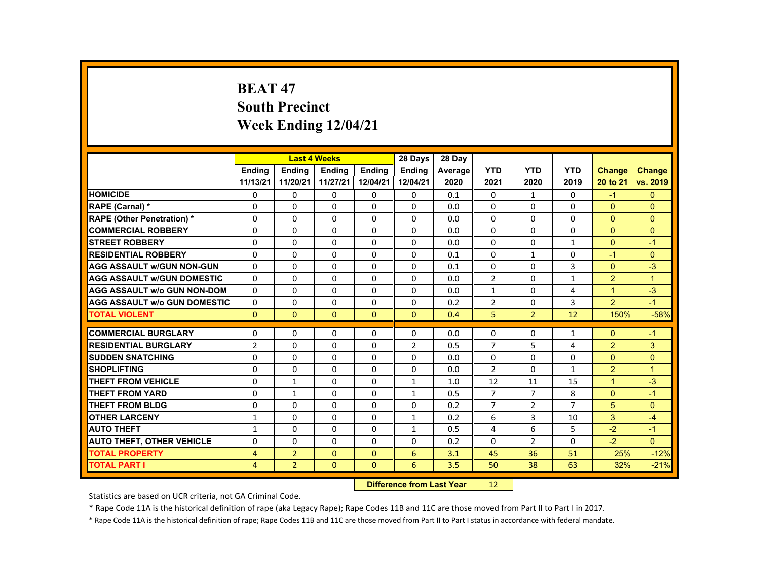# **BEAT 47 South Precinct Week Ending 12/04/21**

|                                     |                |                | <b>Last 4 Weeks</b> |               | 28 Days        | 28 Day  |                |                |                |                |                |
|-------------------------------------|----------------|----------------|---------------------|---------------|----------------|---------|----------------|----------------|----------------|----------------|----------------|
|                                     | <b>Endina</b>  | <b>Endina</b>  | <b>Endina</b>       | <b>Endina</b> | <b>Endina</b>  | Average | <b>YTD</b>     | <b>YTD</b>     | <b>YTD</b>     | Change         | <b>Change</b>  |
|                                     | 11/13/21       | 11/20/21       | 11/27/21            | 12/04/21      | 12/04/21       | 2020    | 2021           | 2020           | 2019           | 20 to 21       | vs. 2019       |
| <b>HOMICIDE</b>                     | 0              | 0              | 0                   | 0             | 0              | 0.1     | 0              | $\mathbf{1}$   | 0              | $-1$           | $\mathbf{0}$   |
| <b>RAPE (Carnal) *</b>              | $\Omega$       | $\Omega$       | $\Omega$            | $\Omega$      | $\Omega$       | 0.0     | $\Omega$       | $\Omega$       | $\Omega$       | $\Omega$       | $\Omega$       |
| <b>RAPE (Other Penetration) *</b>   | $\Omega$       | $\Omega$       | $\Omega$            | $\Omega$      | $\Omega$       | 0.0     | $\Omega$       | $\Omega$       | 0              | $\Omega$       | $\Omega$       |
| <b>COMMERCIAL ROBBERY</b>           | 0              | 0              | 0                   | 0             | 0              | 0.0     | 0              | 0              | 0              | $\mathbf{0}$   | $\mathbf{0}$   |
| <b>STREET ROBBERY</b>               | $\Omega$       | $\Omega$       | $\Omega$            | $\Omega$      | $\Omega$       | 0.0     | $\Omega$       | $\Omega$       | $\mathbf{1}$   | $\Omega$       | $-1$           |
| <b>RESIDENTIAL ROBBERY</b>          | $\Omega$       | $\Omega$       | $\Omega$            | $\Omega$      | $\Omega$       | 0.1     | $\Omega$       | $\mathbf{1}$   | $\Omega$       | $-1$           | $\Omega$       |
| <b>AGG ASSAULT w/GUN NON-GUN</b>    | $\Omega$       | $\Omega$       | $\Omega$            | $\Omega$      | $\Omega$       | 0.1     | 0              | $\Omega$       | 3              | $\Omega$       | $-3$           |
| <b>AGG ASSAULT W/GUN DOMESTIC</b>   | $\Omega$       | $\Omega$       | $\Omega$            | $\Omega$      | $\Omega$       | 0.0     | $\overline{2}$ | $\Omega$       | $\mathbf{1}$   | $\overline{2}$ | $\overline{1}$ |
| <b>AGG ASSAULT w/o GUN NON-DOM</b>  | $\Omega$       | $\Omega$       | $\Omega$            | $\Omega$      | $\Omega$       | 0.0     | $\mathbf{1}$   | $\Omega$       | 4              | $\mathbf{1}$   | $-3$           |
| <b>AGG ASSAULT w/o GUN DOMESTIC</b> | $\Omega$       | $\Omega$       | $\Omega$            | $\Omega$      | $\Omega$       | 0.2     | $\overline{2}$ | $\Omega$       | 3              | $\overline{2}$ | $-1$           |
| <b>TOTAL VIOLENT</b>                | $\Omega$       | $\Omega$       | $\Omega$            | $\Omega$      | $\Omega$       | 0.4     | 5              | $\overline{2}$ | 12             | 150%           | $-58%$         |
|                                     |                |                |                     |               |                |         |                |                |                |                |                |
| <b>COMMERCIAL BURGLARY</b>          | 0              | $\Omega$       | $\Omega$            | 0             | $\Omega$       | 0.0     | 0              | 0              | $\mathbf{1}$   | $\Omega$       | $-1$           |
| <b>RESIDENTIAL BURGLARY</b>         | $\overline{2}$ | $\Omega$       | $\Omega$            | $\Omega$      | $\overline{2}$ | 0.5     | $\overline{7}$ | 5              | 4              | $\overline{2}$ | 3              |
| <b>SUDDEN SNATCHING</b>             | 0              | $\Omega$       | $\Omega$            | $\Omega$      | $\Omega$       | 0.0     | 0              | 0              | 0              | $\Omega$       | $\mathbf{0}$   |
| <b>SHOPLIFTING</b>                  | $\Omega$       | $\Omega$       | $\Omega$            | $\Omega$      | $\Omega$       | 0.0     | $\overline{2}$ | $\Omega$       | $\mathbf{1}$   | $\overline{2}$ | $\overline{1}$ |
| <b>THEFT FROM VEHICLE</b>           | $\Omega$       | $\mathbf{1}$   | $\Omega$            | $\Omega$      | $\mathbf{1}$   | 1.0     | 12             | 11             | 15             | $\mathbf{1}$   | $-3$           |
| <b>THEFT FROM YARD</b>              | $\Omega$       | $\mathbf{1}$   | $\Omega$            | $\Omega$      | $\mathbf{1}$   | 0.5     | $\overline{7}$ | $\overline{7}$ | 8              | $\Omega$       | $-1$           |
| THEFT FROM BLDG                     | $\Omega$       | $\Omega$       | $\Omega$            | $\Omega$      | $\Omega$       | 0.2     | $\overline{7}$ | 2              | $\overline{7}$ | 5              | $\Omega$       |
| <b>OTHER LARCENY</b>                | $\mathbf{1}$   | 0              | 0                   | 0             | $\mathbf{1}$   | 0.2     | 6              | 3              | 10             | 3              | $-4$           |
| <b>AUTO THEFT</b>                   | $\mathbf{1}$   | $\Omega$       | $\Omega$            | $\Omega$      | $\mathbf{1}$   | 0.5     | 4              | 6              | 5              | $-2$           | $-1$           |
| <b>AUTO THEFT, OTHER VEHICLE</b>    | $\Omega$       | $\Omega$       | $\Omega$            | $\Omega$      | $\Omega$       | 0.2     | $\Omega$       | 2              | $\Omega$       | $-2$           | $\Omega$       |
| <b>TOTAL PROPERTY</b>               | $\overline{4}$ | $\overline{2}$ | $\Omega$            | $\mathbf{0}$  | 6              | 3.1     | 45             | 36             | 51             | 25%            | $-12%$         |
| <b>TOTAL PART I</b>                 | $\overline{4}$ | $\overline{2}$ | $\Omega$            | $\mathbf{0}$  | 6              | 3.5     | 50             | 38             | 63             | 32%            | $-21%$         |
|                                     |                |                |                     |               |                |         |                |                |                |                |                |

#### **Difference from Last Year**r 12

Statistics are based on UCR criteria, not GA Criminal Code.

\* Rape Code 11A is the historical definition of rape (aka Legacy Rape); Rape Codes 11B and 11C are those moved from Part II to Part I in 2017.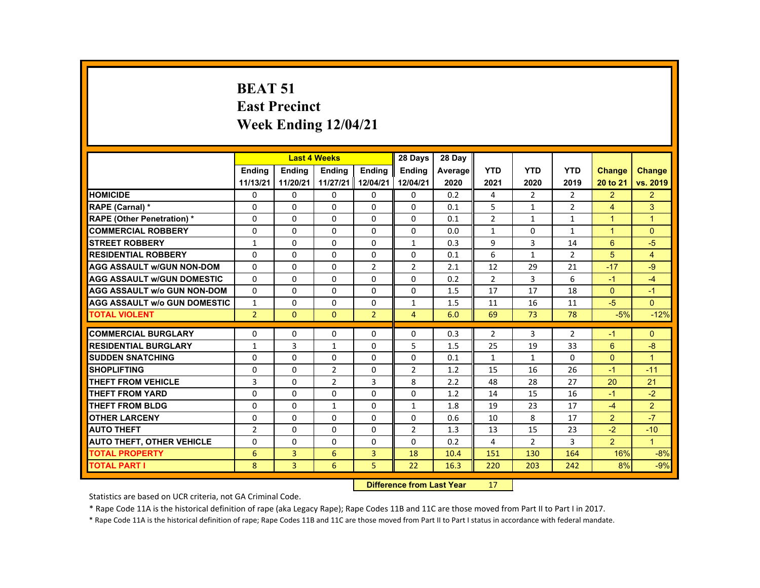# **BEAT 51 East Precinct Week Ending 12/04/21**

|                                     |                |               | <b>Last 4 Weeks</b> |                | 28 Days        | 28 Day  |                |                |                |                |                      |
|-------------------------------------|----------------|---------------|---------------------|----------------|----------------|---------|----------------|----------------|----------------|----------------|----------------------|
|                                     | <b>Endina</b>  | <b>Endina</b> | <b>Endina</b>       | <b>Endina</b>  | <b>Endina</b>  | Average | <b>YTD</b>     | <b>YTD</b>     | <b>YTD</b>     | <b>Change</b>  | <b>Change</b>        |
|                                     | 11/13/21       | 11/20/21      | 11/27/21 12/04/21   |                | 12/04/21       | 2020    | 2021           | 2020           | 2019           | 20 to 21       | vs. 2019             |
| <b>HOMICIDE</b>                     | 0              | $\mathbf{0}$  | 0                   | 0              | $\mathbf{0}$   | 0.2     | 4              | $\overline{2}$ | $\mathbf{2}$   | $\overline{2}$ | $\overline{2}$       |
| RAPE (Carnal) *                     | $\Omega$       | $\Omega$      | $\Omega$            | $\Omega$       | $\Omega$       | 0.1     | 5              | $\mathbf{1}$   | $\overline{2}$ | $\overline{4}$ | 3                    |
| <b>RAPE (Other Penetration) *</b>   | $\Omega$       | $\Omega$      | $\Omega$            | $\Omega$       | $\Omega$       | 0.1     | $\overline{2}$ | $\mathbf{1}$   | $\mathbf{1}$   | $\mathbf{1}$   | $\blacktriangleleft$ |
| <b>COMMERCIAL ROBBERY</b>           | $\Omega$       | $\Omega$      | $\Omega$            | $\Omega$       | $\Omega$       | 0.0     | $\mathbf{1}$   | $\Omega$       | $\mathbf{1}$   | $\mathbf{1}$   | $\Omega$             |
| <b>STREET ROBBERY</b>               | $\mathbf{1}$   | $\Omega$      | $\Omega$            | $\Omega$       | $\mathbf{1}$   | 0.3     | 9              | 3              | 14             | 6              | $-5$                 |
| <b>RESIDENTIAL ROBBERY</b>          | $\Omega$       | $\Omega$      | $\Omega$            | $\Omega$       | $\Omega$       | 0.1     | 6              | $\mathbf{1}$   | $\overline{2}$ | 5              | $\overline{4}$       |
| <b>AGG ASSAULT W/GUN NON-DOM</b>    | $\Omega$       | $\Omega$      | $\Omega$            | $\overline{2}$ | $\overline{2}$ | 2.1     | 12             | 29             | 21             | $-17$          | $-9$                 |
| <b>AGG ASSAULT w/GUN DOMESTIC</b>   | $\Omega$       | $\Omega$      | $\Omega$            | $\Omega$       | $\Omega$       | 0.2     | $\overline{2}$ | 3              | 6              | $-1$           | $-4$                 |
| <b>AGG ASSAULT w/o GUN NON-DOM</b>  | $\Omega$       | $\mathbf{0}$  | 0                   | 0              | $\mathbf{0}$   | 1.5     | 17             | 17             | 18             | $\mathbf{0}$   | $-1$                 |
| <b>AGG ASSAULT W/o GUN DOMESTIC</b> | $\mathbf{1}$   | $\Omega$      | $\Omega$            | $\Omega$       | $\mathbf{1}$   | 1.5     | 11             | 16             | 11             | $-5$           | $\Omega$             |
| <b>TOTAL VIOLENT</b>                | $\overline{2}$ | $\Omega$      | $\Omega$            | $\overline{2}$ | $\overline{4}$ | 6.0     | 69             | 73             | 78             | $-5%$          | $-12%$               |
|                                     |                |               |                     |                |                |         |                |                |                |                |                      |
| <b>COMMERCIAL BURGLARY</b>          | $\Omega$       | $\Omega$      | $\Omega$            | $\Omega$       | $\Omega$       | 0.3     | $\overline{2}$ | 3              | 2              | $-1$           | $\Omega$             |
| <b>RESIDENTIAL BURGLARY</b>         | $\mathbf{1}$   | 3             | $\mathbf{1}$        | 0              | 5              | 1.5     | 25             | 19             | 33             | 6              | $-8$                 |
| <b>SUDDEN SNATCHING</b>             | $\Omega$       | $\Omega$      | $\Omega$            | $\Omega$       | $\Omega$       | 0.1     | $\mathbf{1}$   | $\mathbf{1}$   | $\Omega$       | $\mathbf{0}$   | $\overline{1}$       |
| <b>SHOPLIFTING</b>                  | $\Omega$       | $\Omega$      | $\overline{2}$      | $\Omega$       | $\overline{2}$ | 1.2     | 15             | 16             | 26             | $-1$           | $-11$                |
| <b>THEFT FROM VEHICLE</b>           | 3              | $\mathbf{0}$  | $\overline{2}$      | 3              | 8              | 2.2     | 48             | 28             | 27             | 20             | 21                   |
| <b>THEFT FROM YARD</b>              | $\Omega$       | $\Omega$      | $\Omega$            | $\Omega$       | $\Omega$       | 1.2     | 14             | 15             | 16             | $-1$           | $-2$                 |
| <b>THEFT FROM BLDG</b>              | $\Omega$       | $\Omega$      | $\mathbf{1}$        | $\Omega$       | $\mathbf{1}$   | 1.8     | 19             | 23             | 17             | $-4$           | $\overline{2}$       |
| <b>OTHER LARCENY</b>                | 0              | $\Omega$      | $\Omega$            | $\Omega$       | $\Omega$       | 0.6     | 10             | 8              | 17             | $\overline{2}$ | $-7$                 |
| <b>AUTO THEFT</b>                   | $\overline{2}$ | $\Omega$      | $\Omega$            | $\Omega$       | $\overline{2}$ | 1.3     | 13             | 15             | 23             | $-2$           | $-10$                |
| <b>AUTO THEFT, OTHER VEHICLE</b>    | $\Omega$       | $\Omega$      | $\Omega$            | $\Omega$       | $\Omega$       | 0.2     | 4              | $\overline{2}$ | 3              | $\overline{2}$ | $\blacktriangleleft$ |
| <b>TOTAL PROPERTY</b>               | 6              | 3             | 6                   | $\overline{3}$ | 18             | 10.4    | 151            | 130            | 164            | 16%            | $-8%$                |
| <b>TOTAL PART I</b>                 | 8              | 3             | 6                   | 5              | 22             | 16.3    | 220            | 203            | 242            | 8%             | $-9%$                |
|                                     |                |               |                     |                |                |         |                |                |                |                |                      |

#### **Difference from Last Year**r 17

Statistics are based on UCR criteria, not GA Criminal Code.

\* Rape Code 11A is the historical definition of rape (aka Legacy Rape); Rape Codes 11B and 11C are those moved from Part II to Part I in 2017.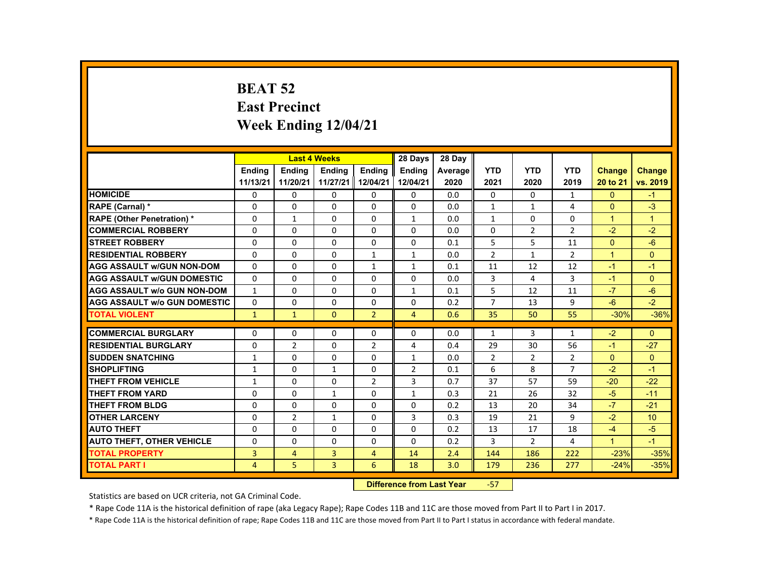# **BEAT 52 East Precinct Week Ending 12/04/21**

|                                     |                |                | <b>Last 4 Weeks</b> |                | 28 Days                  | 28 Day  |                |                |                |                      |                      |
|-------------------------------------|----------------|----------------|---------------------|----------------|--------------------------|---------|----------------|----------------|----------------|----------------------|----------------------|
|                                     | <b>Endina</b>  | <b>Endina</b>  | <b>Endina</b>       | <b>Endina</b>  | <b>Endina</b>            | Average | <b>YTD</b>     | <b>YTD</b>     | <b>YTD</b>     | <b>Change</b>        | <b>Change</b>        |
|                                     | 11/13/21       | 11/20/21       | 11/27/21 12/04/21   |                | 12/04/21                 | 2020    | 2021           | 2020           | 2019           | 20 to 21             | vs. 2019             |
| <b>HOMICIDE</b>                     | 0              | 0              | 0                   | 0              | 0                        | 0.0     | 0              | 0              | $\mathbf{1}$   | $\mathbf{0}$         | $-1$                 |
| <b>RAPE (Carnal) *</b>              | $\Omega$       | 0              | $\Omega$            | $\Omega$       | $\Omega$                 | 0.0     | $\mathbf{1}$   | $\mathbf{1}$   | 4              | $\mathbf{0}$         | $-3$                 |
| <b>RAPE (Other Penetration) *</b>   | $\Omega$       | $\mathbf{1}$   | $\Omega$            | $\Omega$       | $\mathbf{1}$             | 0.0     | $\mathbf{1}$   | $\Omega$       | $\Omega$       | $\blacktriangleleft$ | $\blacktriangleleft$ |
| <b>COMMERCIAL ROBBERY</b>           | 0              | 0              | 0                   | 0              | 0                        | 0.0     | 0              | $\overline{2}$ | $\overline{2}$ | $-2$                 | $-2$                 |
| <b>STREET ROBBERY</b>               | $\Omega$       | $\Omega$       | $\Omega$            | $\Omega$       | $\Omega$                 | 0.1     | 5              | 5              | 11             | $\Omega$             | $-6$                 |
| <b>RESIDENTIAL ROBBERY</b>          | $\Omega$       | $\Omega$       | $\Omega$            | $\mathbf{1}$   | $\mathbf{1}$             | 0.0     | $\overline{2}$ | $\mathbf{1}$   | $\overline{2}$ | $\overline{1}$       | $\Omega$             |
| <b>AGG ASSAULT W/GUN NON-DOM</b>    | $\Omega$       | $\Omega$       | $\Omega$            | $\mathbf{1}$   | $\mathbf{1}$             | 0.1     | 11             | 12             | 12             | $-1$                 | $-1$                 |
| <b>AGG ASSAULT w/GUN DOMESTIC</b>   | $\Omega$       | $\Omega$       | $\Omega$            | $\Omega$       | $\Omega$                 | 0.0     | 3              | 4              | 3              | $-1$                 | $\Omega$             |
| <b>AGG ASSAULT w/o GUN NON-DOM</b>  | $\mathbf{1}$   | $\Omega$       | $\Omega$            | $\Omega$       | $\mathbf{1}$             | 0.1     | 5              | 12             | 11             | $-7$                 | $-6$                 |
| <b>AGG ASSAULT w/o GUN DOMESTIC</b> | $\Omega$       | $\Omega$       | $\Omega$            | $\Omega$       | $\Omega$                 | 0.2     | $\overline{7}$ | 13             | 9              | $-6$                 | $-2$                 |
| <b>TOTAL VIOLENT</b>                | $\mathbf{1}$   | $\mathbf{1}$   | $\Omega$            | $\overline{2}$ | $\overline{4}$           | 0.6     | 35             | 50             | 55             | $-30%$               | $-36%$               |
|                                     |                |                |                     |                |                          |         |                |                |                |                      |                      |
| <b>COMMERCIAL BURGLARY</b>          | $\Omega$       | $\Omega$       | $\Omega$            | $\Omega$       | $\Omega$                 | 0.0     | $\mathbf{1}$   | 3              | $\mathbf{1}$   | $-2$                 | $\Omega$             |
| <b>RESIDENTIAL BURGLARY</b>         | $\Omega$       | $\overline{2}$ | $\Omega$            | $\overline{2}$ | 4                        | 0.4     | 29             | 30             | 56             | $-1$                 | $-27$                |
| <b>SUDDEN SNATCHING</b>             | 1              | $\Omega$       | $\Omega$            | $\Omega$       | 1                        | 0.0     | $\overline{2}$ | 2              | $\overline{2}$ | $\Omega$             | $\Omega$             |
| <b>SHOPLIFTING</b>                  | $\mathbf{1}$   | $\Omega$       | $\mathbf{1}$        | $\Omega$       | $\overline{\phantom{a}}$ | 0.1     | 6              | 8              | $\overline{7}$ | $-2$                 | $-1$                 |
| <b>THEFT FROM VEHICLE</b>           | $\mathbf{1}$   | $\Omega$       | $\Omega$            | $\overline{2}$ | 3                        | 0.7     | 37             | 57             | 59             | $-20$                | $-22$                |
| <b>THEFT FROM YARD</b>              | $\Omega$       | $\Omega$       | $\mathbf{1}$        | $\Omega$       | $\mathbf{1}$             | 0.3     | 21             | 26             | 32             | $-5$                 | $-11$                |
| <b>THEFT FROM BLDG</b>              | $\Omega$       | $\Omega$       | $\Omega$            | $\Omega$       | $\Omega$                 | 0.2     | 13             | 20             | 34             | $-7$                 | $-21$                |
| <b>OTHER LARCENY</b>                | $\Omega$       | $\overline{2}$ | $\mathbf{1}$        | $\Omega$       | 3                        | 0.3     | 19             | 21             | 9              | $-2$                 | 10                   |
| <b>AUTO THEFT</b>                   | $\Omega$       | $\Omega$       | $\Omega$            | $\Omega$       | $\Omega$                 | 0.2     | 13             | 17             | 18             | $-4$                 | $-5$                 |
| <b>AUTO THEFT, OTHER VEHICLE</b>    | $\Omega$       | $\Omega$       | $\Omega$            | $\Omega$       | $\Omega$                 | 0.2     | 3              | $\overline{2}$ | 4              | $\blacktriangleleft$ | $-1$                 |
| <b>TOTAL PROPERTY</b>               | 3              | $\overline{4}$ | 3                   | $\overline{4}$ | 14                       | 2.4     | 144            | 186            | 222            | $-23%$               | $-35%$               |
| <b>TOTAL PART I</b>                 | $\overline{4}$ | 5              | $\overline{3}$      | 6              | 18                       | 3.0     | 179            | 236            | 277            | $-24%$               | $-35%$               |
|                                     |                |                |                     |                |                          |         |                |                |                |                      |                      |

#### **Difference from Last Year**‐57

Statistics are based on UCR criteria, not GA Criminal Code.

\* Rape Code 11A is the historical definition of rape (aka Legacy Rape); Rape Codes 11B and 11C are those moved from Part II to Part I in 2017.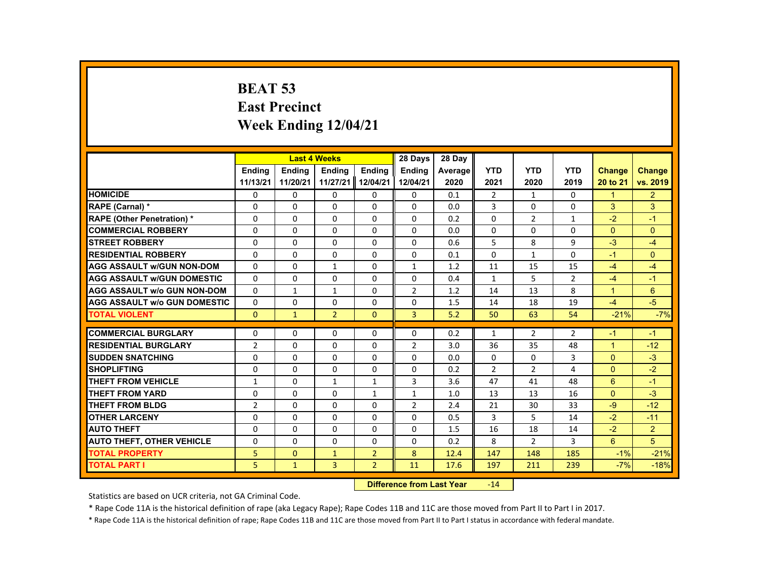# **BEAT 53 East Precinct Week Ending 12/04/21**

| <b>YTD</b><br><b>YTD</b><br><b>YTD</b><br><b>Endina</b><br><b>Endina</b><br><b>Endina</b><br><b>Endina</b><br><b>Endina</b><br><b>Change</b><br><b>Change</b><br>Average<br>11/13/21<br>11/20/21<br>11/27/21<br>12/04/21<br>12/04/21<br>2020<br>2021<br>2020<br>2019<br>20 to 21<br><b>HOMICIDE</b><br>$\overline{2}$<br>0<br>0<br>$\overline{2}$<br>0<br>0<br>0<br>0.1<br>0<br>1<br>$\mathbf{1}$<br>$\Omega$<br>$\Omega$<br>$\Omega$<br>3<br>$\Omega$<br>3<br>3<br>$\Omega$<br>$\Omega$<br>0.0<br>$\Omega$<br>RAPE (Carnal) *<br><b>RAPE (Other Penetration) *</b><br>$\Omega$<br>$-2$<br>$\Omega$<br>$\Omega$<br>$\Omega$<br>$\Omega$<br>$\Omega$<br>0.2<br>$\overline{2}$<br>$-1$<br>$\mathbf{1}$<br><b>COMMERCIAL ROBBERY</b><br>$\Omega$<br>0<br>0<br>0<br>0<br>0<br>0<br>0<br>0<br>$\Omega$<br>0.0<br>5<br>8<br>9<br><b>STREET ROBBERY</b><br>$\Omega$<br>$\Omega$<br>$\Omega$<br>$\Omega$<br>$\Omega$<br>$-3$<br>$-4$<br>0.6<br><b>RESIDENTIAL ROBBERY</b><br>$\Omega$<br>$\Omega$<br>$\Omega$<br>$\Omega$<br>$\Omega$<br>$\Omega$<br>$\Omega$<br>$\Omega$<br>$\mathbf{1}$<br>$-1$<br>0.1<br><b>AGG ASSAULT w/GUN NON-DOM</b><br>15<br>$\Omega$<br>$\Omega$<br>$\mathbf{1}$<br>$\Omega$<br>$\mathbf{1}$<br>11<br>15<br>$-4$<br>$-4$<br>1.2<br>$\Omega$<br>$\Omega$<br>$\Omega$<br>$\Omega$<br>$\Omega$<br>5<br>$\overline{2}$<br><b>AGG ASSAULT w/GUN DOMESTIC</b><br>0.4<br>$-4$<br>$-1$<br>$\mathbf{1}$<br>$\Omega$<br>$\Omega$<br>$\overline{2}$<br>8<br>6<br>$\mathbf{1}$<br>13<br>$\overline{1}$<br><b>AGG ASSAULT w/o GUN NON-DOM</b><br>$\mathbf{1}$<br>1.2<br>14<br>$-5$<br>$\Omega$<br><b>AGG ASSAULT w/o GUN DOMESTIC</b><br>$\Omega$<br>$\Omega$<br>$\Omega$<br>$\Omega$<br>14<br>18<br>19<br>$-4$<br>1.5<br>$\overline{2}$<br>$\overline{3}$<br>$-21%$<br>$\Omega$<br>$\Omega$<br>50<br>63<br>54<br><b>TOTAL VIOLENT</b><br>$\mathbf{1}$<br>5.2<br><b>COMMERCIAL BURGLARY</b><br>$\Omega$<br>$\Omega$<br>$\Omega$<br>$\overline{2}$<br>$\overline{2}$<br>$\Omega$<br>0<br>0.2<br>$\mathbf{1}$<br>$-1$<br>$-1$<br><b>RESIDENTIAL BURGLARY</b><br>$\overline{2}$<br>$\Omega$<br>$\Omega$<br>$\Omega$<br>$\overline{2}$<br>36<br>35<br>48<br>$-12$<br>3.0<br>$\blacktriangleleft$<br><b>SUDDEN SNATCHING</b><br>$\Omega$<br>$\Omega$<br>$\Omega$<br>$\Omega$<br>3<br>$\Omega$<br>$-3$<br>$\Omega$<br>0<br>$\Omega$<br>0.0<br>$\overline{2}$<br>$-2$<br><b>SHOPLIFTING</b><br>$\Omega$<br>$\Omega$<br>$\Omega$<br>$\Omega$<br>$\overline{2}$<br>$\Omega$<br>$\Omega$<br>0.2<br>4<br>3<br><b>THEFT FROM VEHICLE</b><br>$\Omega$<br>3.6<br>47<br>48<br>6<br>$\mathbf{1}$<br>$\mathbf{1}$<br>$\mathbf{1}$<br>$-1$<br>41<br>$\Omega$<br>$-3$<br><b>THEFT FROM YARD</b><br>$\Omega$<br>$\Omega$<br>$\Omega$<br>$\mathbf{1}$<br>$\mathbf{1}$<br>13<br>16<br>1.0<br>13<br>$\overline{2}$<br>$-12$<br><b>THEFT FROM BLDG</b><br>$\overline{2}$<br>$\Omega$<br>$\Omega$<br>$\Omega$<br>21<br>30<br>33<br>$-9$<br>2.4<br>3<br>5<br>$-2$<br><b>OTHER LARCENY</b><br>0<br>0<br>0<br>0<br>0<br>$-11$<br>0.5<br>14<br>$\overline{2}$<br><b>AUTO THEFT</b><br>$\Omega$<br>$\Omega$<br>$\Omega$<br>$\Omega$<br>$\Omega$<br>16<br>18<br>$-2$<br>1.5<br>14<br>6<br>5<br><b>AUTO THEFT, OTHER VEHICLE</b><br>$\Omega$<br>$\Omega$<br>$\Omega$<br>$\Omega$<br>$\Omega$<br>0.2<br>8<br>$\overline{2}$<br>3 |                       |   |          | <b>Last 4 Weeks</b> |                | 28 Days | 28 Day |     |     |     |       |          |
|------------------------------------------------------------------------------------------------------------------------------------------------------------------------------------------------------------------------------------------------------------------------------------------------------------------------------------------------------------------------------------------------------------------------------------------------------------------------------------------------------------------------------------------------------------------------------------------------------------------------------------------------------------------------------------------------------------------------------------------------------------------------------------------------------------------------------------------------------------------------------------------------------------------------------------------------------------------------------------------------------------------------------------------------------------------------------------------------------------------------------------------------------------------------------------------------------------------------------------------------------------------------------------------------------------------------------------------------------------------------------------------------------------------------------------------------------------------------------------------------------------------------------------------------------------------------------------------------------------------------------------------------------------------------------------------------------------------------------------------------------------------------------------------------------------------------------------------------------------------------------------------------------------------------------------------------------------------------------------------------------------------------------------------------------------------------------------------------------------------------------------------------------------------------------------------------------------------------------------------------------------------------------------------------------------------------------------------------------------------------------------------------------------------------------------------------------------------------------------------------------------------------------------------------------------------------------------------------------------------------------------------------------------------------------------------------------------------------------------------------------------------------------------------------------------------------------------------------------------------------------------------------------------------------------------------------------------------------------------------------------------------------------------------------------------------------------------------------------------------------------------------------------------------------------------------------------------------------------------------------------------------------------------------------------|-----------------------|---|----------|---------------------|----------------|---------|--------|-----|-----|-----|-------|----------|
|                                                                                                                                                                                                                                                                                                                                                                                                                                                                                                                                                                                                                                                                                                                                                                                                                                                                                                                                                                                                                                                                                                                                                                                                                                                                                                                                                                                                                                                                                                                                                                                                                                                                                                                                                                                                                                                                                                                                                                                                                                                                                                                                                                                                                                                                                                                                                                                                                                                                                                                                                                                                                                                                                                                                                                                                                                                                                                                                                                                                                                                                                                                                                                                                                                                                                                      |                       |   |          |                     |                |         |        |     |     |     |       |          |
|                                                                                                                                                                                                                                                                                                                                                                                                                                                                                                                                                                                                                                                                                                                                                                                                                                                                                                                                                                                                                                                                                                                                                                                                                                                                                                                                                                                                                                                                                                                                                                                                                                                                                                                                                                                                                                                                                                                                                                                                                                                                                                                                                                                                                                                                                                                                                                                                                                                                                                                                                                                                                                                                                                                                                                                                                                                                                                                                                                                                                                                                                                                                                                                                                                                                                                      |                       |   |          |                     |                |         |        |     |     |     |       | vs. 2019 |
|                                                                                                                                                                                                                                                                                                                                                                                                                                                                                                                                                                                                                                                                                                                                                                                                                                                                                                                                                                                                                                                                                                                                                                                                                                                                                                                                                                                                                                                                                                                                                                                                                                                                                                                                                                                                                                                                                                                                                                                                                                                                                                                                                                                                                                                                                                                                                                                                                                                                                                                                                                                                                                                                                                                                                                                                                                                                                                                                                                                                                                                                                                                                                                                                                                                                                                      |                       |   |          |                     |                |         |        |     |     |     |       |          |
|                                                                                                                                                                                                                                                                                                                                                                                                                                                                                                                                                                                                                                                                                                                                                                                                                                                                                                                                                                                                                                                                                                                                                                                                                                                                                                                                                                                                                                                                                                                                                                                                                                                                                                                                                                                                                                                                                                                                                                                                                                                                                                                                                                                                                                                                                                                                                                                                                                                                                                                                                                                                                                                                                                                                                                                                                                                                                                                                                                                                                                                                                                                                                                                                                                                                                                      |                       |   |          |                     |                |         |        |     |     |     |       |          |
|                                                                                                                                                                                                                                                                                                                                                                                                                                                                                                                                                                                                                                                                                                                                                                                                                                                                                                                                                                                                                                                                                                                                                                                                                                                                                                                                                                                                                                                                                                                                                                                                                                                                                                                                                                                                                                                                                                                                                                                                                                                                                                                                                                                                                                                                                                                                                                                                                                                                                                                                                                                                                                                                                                                                                                                                                                                                                                                                                                                                                                                                                                                                                                                                                                                                                                      |                       |   |          |                     |                |         |        |     |     |     |       |          |
|                                                                                                                                                                                                                                                                                                                                                                                                                                                                                                                                                                                                                                                                                                                                                                                                                                                                                                                                                                                                                                                                                                                                                                                                                                                                                                                                                                                                                                                                                                                                                                                                                                                                                                                                                                                                                                                                                                                                                                                                                                                                                                                                                                                                                                                                                                                                                                                                                                                                                                                                                                                                                                                                                                                                                                                                                                                                                                                                                                                                                                                                                                                                                                                                                                                                                                      |                       |   |          |                     |                |         |        |     |     |     |       |          |
|                                                                                                                                                                                                                                                                                                                                                                                                                                                                                                                                                                                                                                                                                                                                                                                                                                                                                                                                                                                                                                                                                                                                                                                                                                                                                                                                                                                                                                                                                                                                                                                                                                                                                                                                                                                                                                                                                                                                                                                                                                                                                                                                                                                                                                                                                                                                                                                                                                                                                                                                                                                                                                                                                                                                                                                                                                                                                                                                                                                                                                                                                                                                                                                                                                                                                                      |                       |   |          |                     |                |         |        |     |     |     |       |          |
|                                                                                                                                                                                                                                                                                                                                                                                                                                                                                                                                                                                                                                                                                                                                                                                                                                                                                                                                                                                                                                                                                                                                                                                                                                                                                                                                                                                                                                                                                                                                                                                                                                                                                                                                                                                                                                                                                                                                                                                                                                                                                                                                                                                                                                                                                                                                                                                                                                                                                                                                                                                                                                                                                                                                                                                                                                                                                                                                                                                                                                                                                                                                                                                                                                                                                                      |                       |   |          |                     |                |         |        |     |     |     |       |          |
|                                                                                                                                                                                                                                                                                                                                                                                                                                                                                                                                                                                                                                                                                                                                                                                                                                                                                                                                                                                                                                                                                                                                                                                                                                                                                                                                                                                                                                                                                                                                                                                                                                                                                                                                                                                                                                                                                                                                                                                                                                                                                                                                                                                                                                                                                                                                                                                                                                                                                                                                                                                                                                                                                                                                                                                                                                                                                                                                                                                                                                                                                                                                                                                                                                                                                                      |                       |   |          |                     |                |         |        |     |     |     |       |          |
|                                                                                                                                                                                                                                                                                                                                                                                                                                                                                                                                                                                                                                                                                                                                                                                                                                                                                                                                                                                                                                                                                                                                                                                                                                                                                                                                                                                                                                                                                                                                                                                                                                                                                                                                                                                                                                                                                                                                                                                                                                                                                                                                                                                                                                                                                                                                                                                                                                                                                                                                                                                                                                                                                                                                                                                                                                                                                                                                                                                                                                                                                                                                                                                                                                                                                                      |                       |   |          |                     |                |         |        |     |     |     |       |          |
|                                                                                                                                                                                                                                                                                                                                                                                                                                                                                                                                                                                                                                                                                                                                                                                                                                                                                                                                                                                                                                                                                                                                                                                                                                                                                                                                                                                                                                                                                                                                                                                                                                                                                                                                                                                                                                                                                                                                                                                                                                                                                                                                                                                                                                                                                                                                                                                                                                                                                                                                                                                                                                                                                                                                                                                                                                                                                                                                                                                                                                                                                                                                                                                                                                                                                                      |                       |   |          |                     |                |         |        |     |     |     |       |          |
|                                                                                                                                                                                                                                                                                                                                                                                                                                                                                                                                                                                                                                                                                                                                                                                                                                                                                                                                                                                                                                                                                                                                                                                                                                                                                                                                                                                                                                                                                                                                                                                                                                                                                                                                                                                                                                                                                                                                                                                                                                                                                                                                                                                                                                                                                                                                                                                                                                                                                                                                                                                                                                                                                                                                                                                                                                                                                                                                                                                                                                                                                                                                                                                                                                                                                                      |                       |   |          |                     |                |         |        |     |     |     |       |          |
|                                                                                                                                                                                                                                                                                                                                                                                                                                                                                                                                                                                                                                                                                                                                                                                                                                                                                                                                                                                                                                                                                                                                                                                                                                                                                                                                                                                                                                                                                                                                                                                                                                                                                                                                                                                                                                                                                                                                                                                                                                                                                                                                                                                                                                                                                                                                                                                                                                                                                                                                                                                                                                                                                                                                                                                                                                                                                                                                                                                                                                                                                                                                                                                                                                                                                                      |                       |   |          |                     |                |         |        |     |     |     |       | $-7%$    |
|                                                                                                                                                                                                                                                                                                                                                                                                                                                                                                                                                                                                                                                                                                                                                                                                                                                                                                                                                                                                                                                                                                                                                                                                                                                                                                                                                                                                                                                                                                                                                                                                                                                                                                                                                                                                                                                                                                                                                                                                                                                                                                                                                                                                                                                                                                                                                                                                                                                                                                                                                                                                                                                                                                                                                                                                                                                                                                                                                                                                                                                                                                                                                                                                                                                                                                      |                       |   |          |                     |                |         |        |     |     |     |       |          |
|                                                                                                                                                                                                                                                                                                                                                                                                                                                                                                                                                                                                                                                                                                                                                                                                                                                                                                                                                                                                                                                                                                                                                                                                                                                                                                                                                                                                                                                                                                                                                                                                                                                                                                                                                                                                                                                                                                                                                                                                                                                                                                                                                                                                                                                                                                                                                                                                                                                                                                                                                                                                                                                                                                                                                                                                                                                                                                                                                                                                                                                                                                                                                                                                                                                                                                      |                       |   |          |                     |                |         |        |     |     |     |       |          |
|                                                                                                                                                                                                                                                                                                                                                                                                                                                                                                                                                                                                                                                                                                                                                                                                                                                                                                                                                                                                                                                                                                                                                                                                                                                                                                                                                                                                                                                                                                                                                                                                                                                                                                                                                                                                                                                                                                                                                                                                                                                                                                                                                                                                                                                                                                                                                                                                                                                                                                                                                                                                                                                                                                                                                                                                                                                                                                                                                                                                                                                                                                                                                                                                                                                                                                      |                       |   |          |                     |                |         |        |     |     |     |       |          |
|                                                                                                                                                                                                                                                                                                                                                                                                                                                                                                                                                                                                                                                                                                                                                                                                                                                                                                                                                                                                                                                                                                                                                                                                                                                                                                                                                                                                                                                                                                                                                                                                                                                                                                                                                                                                                                                                                                                                                                                                                                                                                                                                                                                                                                                                                                                                                                                                                                                                                                                                                                                                                                                                                                                                                                                                                                                                                                                                                                                                                                                                                                                                                                                                                                                                                                      |                       |   |          |                     |                |         |        |     |     |     |       |          |
|                                                                                                                                                                                                                                                                                                                                                                                                                                                                                                                                                                                                                                                                                                                                                                                                                                                                                                                                                                                                                                                                                                                                                                                                                                                                                                                                                                                                                                                                                                                                                                                                                                                                                                                                                                                                                                                                                                                                                                                                                                                                                                                                                                                                                                                                                                                                                                                                                                                                                                                                                                                                                                                                                                                                                                                                                                                                                                                                                                                                                                                                                                                                                                                                                                                                                                      |                       |   |          |                     |                |         |        |     |     |     |       |          |
|                                                                                                                                                                                                                                                                                                                                                                                                                                                                                                                                                                                                                                                                                                                                                                                                                                                                                                                                                                                                                                                                                                                                                                                                                                                                                                                                                                                                                                                                                                                                                                                                                                                                                                                                                                                                                                                                                                                                                                                                                                                                                                                                                                                                                                                                                                                                                                                                                                                                                                                                                                                                                                                                                                                                                                                                                                                                                                                                                                                                                                                                                                                                                                                                                                                                                                      |                       |   |          |                     |                |         |        |     |     |     |       |          |
|                                                                                                                                                                                                                                                                                                                                                                                                                                                                                                                                                                                                                                                                                                                                                                                                                                                                                                                                                                                                                                                                                                                                                                                                                                                                                                                                                                                                                                                                                                                                                                                                                                                                                                                                                                                                                                                                                                                                                                                                                                                                                                                                                                                                                                                                                                                                                                                                                                                                                                                                                                                                                                                                                                                                                                                                                                                                                                                                                                                                                                                                                                                                                                                                                                                                                                      |                       |   |          |                     |                |         |        |     |     |     |       |          |
|                                                                                                                                                                                                                                                                                                                                                                                                                                                                                                                                                                                                                                                                                                                                                                                                                                                                                                                                                                                                                                                                                                                                                                                                                                                                                                                                                                                                                                                                                                                                                                                                                                                                                                                                                                                                                                                                                                                                                                                                                                                                                                                                                                                                                                                                                                                                                                                                                                                                                                                                                                                                                                                                                                                                                                                                                                                                                                                                                                                                                                                                                                                                                                                                                                                                                                      |                       |   |          |                     |                |         |        |     |     |     |       |          |
|                                                                                                                                                                                                                                                                                                                                                                                                                                                                                                                                                                                                                                                                                                                                                                                                                                                                                                                                                                                                                                                                                                                                                                                                                                                                                                                                                                                                                                                                                                                                                                                                                                                                                                                                                                                                                                                                                                                                                                                                                                                                                                                                                                                                                                                                                                                                                                                                                                                                                                                                                                                                                                                                                                                                                                                                                                                                                                                                                                                                                                                                                                                                                                                                                                                                                                      |                       |   |          |                     |                |         |        |     |     |     |       |          |
|                                                                                                                                                                                                                                                                                                                                                                                                                                                                                                                                                                                                                                                                                                                                                                                                                                                                                                                                                                                                                                                                                                                                                                                                                                                                                                                                                                                                                                                                                                                                                                                                                                                                                                                                                                                                                                                                                                                                                                                                                                                                                                                                                                                                                                                                                                                                                                                                                                                                                                                                                                                                                                                                                                                                                                                                                                                                                                                                                                                                                                                                                                                                                                                                                                                                                                      |                       |   |          |                     |                |         |        |     |     |     |       |          |
|                                                                                                                                                                                                                                                                                                                                                                                                                                                                                                                                                                                                                                                                                                                                                                                                                                                                                                                                                                                                                                                                                                                                                                                                                                                                                                                                                                                                                                                                                                                                                                                                                                                                                                                                                                                                                                                                                                                                                                                                                                                                                                                                                                                                                                                                                                                                                                                                                                                                                                                                                                                                                                                                                                                                                                                                                                                                                                                                                                                                                                                                                                                                                                                                                                                                                                      |                       |   |          |                     |                |         |        |     |     |     |       |          |
|                                                                                                                                                                                                                                                                                                                                                                                                                                                                                                                                                                                                                                                                                                                                                                                                                                                                                                                                                                                                                                                                                                                                                                                                                                                                                                                                                                                                                                                                                                                                                                                                                                                                                                                                                                                                                                                                                                                                                                                                                                                                                                                                                                                                                                                                                                                                                                                                                                                                                                                                                                                                                                                                                                                                                                                                                                                                                                                                                                                                                                                                                                                                                                                                                                                                                                      | <b>TOTAL PROPERTY</b> | 5 | $\Omega$ | $\mathbf{1}$        | $\overline{2}$ | 8       | 12.4   | 147 | 148 | 185 | $-1%$ | $-21%$   |
| 5.<br>$\overline{3}$<br>$\overline{2}$<br><b>TOTAL PART I</b><br>11<br>$\mathbf{1}$<br>17.6<br>197<br>211<br>239<br>$-7%$                                                                                                                                                                                                                                                                                                                                                                                                                                                                                                                                                                                                                                                                                                                                                                                                                                                                                                                                                                                                                                                                                                                                                                                                                                                                                                                                                                                                                                                                                                                                                                                                                                                                                                                                                                                                                                                                                                                                                                                                                                                                                                                                                                                                                                                                                                                                                                                                                                                                                                                                                                                                                                                                                                                                                                                                                                                                                                                                                                                                                                                                                                                                                                            |                       |   |          |                     |                |         |        |     |     |     |       | $-18%$   |

#### **Difference from Last Year**r -14

Statistics are based on UCR criteria, not GA Criminal Code.

\* Rape Code 11A is the historical definition of rape (aka Legacy Rape); Rape Codes 11B and 11C are those moved from Part II to Part I in 2017.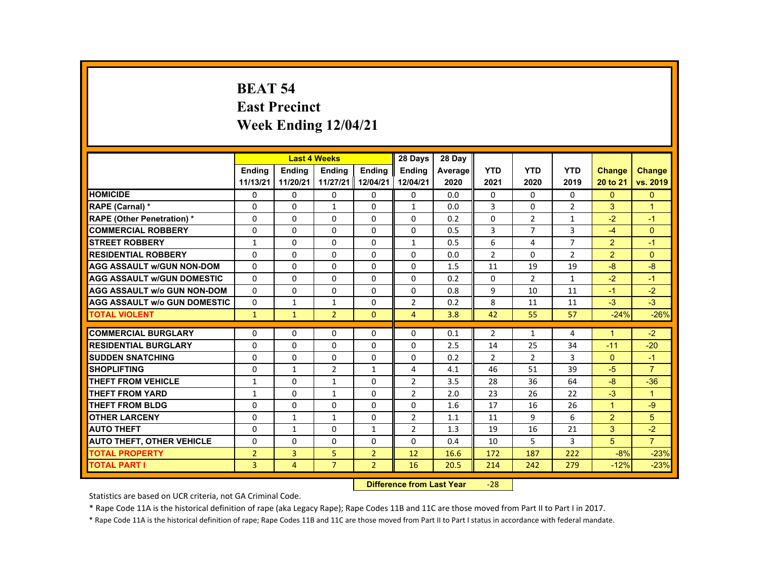# **BEAT 54 East Precinct Week Ending 12/04/21**

|                                     |                |                | <b>Last 4 Weeks</b> |                | 28 Days        | 28 Day  |                |                |                |                      |                      |
|-------------------------------------|----------------|----------------|---------------------|----------------|----------------|---------|----------------|----------------|----------------|----------------------|----------------------|
|                                     | <b>Endina</b>  | <b>Endina</b>  | <b>Endina</b>       | <b>Endina</b>  | <b>Endina</b>  | Average | <b>YTD</b>     | <b>YTD</b>     | <b>YTD</b>     | <b>Change</b>        | <b>Change</b>        |
|                                     | 11/13/21       | 11/20/21       | 11/27/21 II         | 12/04/21       | 12/04/21       | 2020    | 2021           | 2020           | 2019           | 20 to 21             | vs. 2019             |
| <b>HOMICIDE</b>                     | 0              | $\Omega$       | $\mathbf{0}$        | $\Omega$       | 0              | 0.0     | 0              | $\Omega$       | 0              | $\mathbf{0}$         | $\mathbf{0}$         |
| RAPE (Carnal) *                     | $\Omega$       | $\Omega$       | $\mathbf{1}$        | $\Omega$       | 1              | 0.0     | 3              | $\Omega$       | $\overline{2}$ | 3                    | $\blacktriangleleft$ |
| <b>RAPE (Other Penetration) *</b>   | $\Omega$       | $\Omega$       | $\Omega$            | $\Omega$       | $\Omega$       | 0.2     | $\Omega$       | $\overline{2}$ | $\mathbf{1}$   | $-2$                 | $-1$                 |
| <b>COMMERCIAL ROBBERY</b>           | $\Omega$       | $\Omega$       | $\Omega$            | $\Omega$       | $\Omega$       | 0.5     | 3              | $\overline{7}$ | $\overline{3}$ | $-4$                 | $\Omega$             |
| <b>STREET ROBBERY</b>               | $\mathbf{1}$   | $\Omega$       | $\Omega$            | $\Omega$       | $\mathbf{1}$   | 0.5     | 6              | 4              | $\overline{7}$ | 2                    | $-1$                 |
| <b>RESIDENTIAL ROBBERY</b>          | $\Omega$       | $\Omega$       | $\Omega$            | $\Omega$       | $\Omega$       | 0.0     | $\overline{2}$ | $\Omega$       | $\overline{2}$ | 2                    | $\Omega$             |
| <b>AGG ASSAULT W/GUN NON-DOM</b>    | $\Omega$       | $\Omega$       | $\Omega$            | $\Omega$       | $\Omega$       | 1.5     | 11             | 19             | 19             | $-8$                 | $-8$                 |
| <b>AGG ASSAULT WGUN DOMESTIC</b>    | $\Omega$       | $\Omega$       | $\Omega$            | $\Omega$       | $\Omega$       | 0.2     | $\Omega$       | $\overline{2}$ | $\mathbf{1}$   | $-2$                 | $-1$                 |
| <b>AGG ASSAULT W/o GUN NON-DOM</b>  | $\Omega$       | $\Omega$       | $\Omega$            | $\Omega$       | $\Omega$       | 0.8     | 9              | 10             | 11             | $-1$                 | $-2$                 |
| <b>AGG ASSAULT W/o GUN DOMESTIC</b> | $\Omega$       | $\mathbf{1}$   | $\mathbf{1}$        | $\Omega$       | $\overline{2}$ | 0.2     | 8              | 11             | 11             | $-3$                 | $-3$                 |
| <b>TOTAL VIOLENT</b>                | $\mathbf{1}$   | $\mathbf{1}$   | $\overline{2}$      | $\mathbf{0}$   | $\overline{4}$ | 3.8     | 42             | 55             | 57             | $-24%$               | $-26%$               |
|                                     |                |                |                     |                |                |         |                |                |                |                      |                      |
| <b>COMMERCIAL BURGLARY</b>          | $\Omega$       | $\Omega$       | $\Omega$            | $\Omega$       | $\Omega$       | 0.1     | $\overline{2}$ | 1              | 4              | $\blacktriangleleft$ | $-2$                 |
| <b>RESIDENTIAL BURGLARY</b>         | $\Omega$       | $\Omega$       | $\Omega$            | $\Omega$       | $\Omega$       | 2.5     | 14             | 25             | 34             | $-11$                | $-20$                |
| <b>SUDDEN SNATCHING</b>             | $\Omega$       | $\Omega$       | $\Omega$            | $\Omega$       | $\Omega$       | 0.2     | $\overline{2}$ | 2              | 3              | $\Omega$             | $-1$                 |
| <b>SHOPLIFTING</b>                  | $\Omega$       | $\mathbf{1}$   | $\overline{2}$      | $\mathbf{1}$   | 4              | 4.1     | 46             | 51             | 39             | $-5$                 | $\overline{7}$       |
| THEFT FROM VEHICLE                  | $\mathbf{1}$   | $\mathbf{0}$   | 1                   | $\mathbf{0}$   | 2              | 3.5     | 28             | 36             | 64             | -8                   | $-36$                |
| <b>THEFT FROM YARD</b>              | $\mathbf{1}$   | $\Omega$       | $\mathbf{1}$        | $\Omega$       | $\overline{2}$ | 2.0     | 23             | 26             | 22             | $-3$                 | $\blacktriangleleft$ |
| <b>THEFT FROM BLDG</b>              | $\Omega$       | $\Omega$       | $\Omega$            | $\Omega$       | $\Omega$       | 1.6     | 17             | 16             | 26             | $\blacktriangleleft$ | $-9$                 |
| <b>OTHER LARCENY</b>                | $\Omega$       | $\mathbf{1}$   | $\mathbf{1}$        | 0              | 2              | 1.1     | 11             | 9              | 6              | 2                    | 5                    |
| <b>AUTO THEFT</b>                   | $\Omega$       | $\mathbf{1}$   | $\Omega$            | $\mathbf{1}$   | $\overline{2}$ | 1.3     | 19             | 16             | 21             | 3                    | $-2$                 |
| <b>AUTO THEFT, OTHER VEHICLE</b>    | $\Omega$       | $\Omega$       | $\Omega$            | $\Omega$       | $\Omega$       | 0.4     | 10             | 5              | 3              | 5                    | $\overline{7}$       |
| <b>TOTAL PROPERTY</b>               | $\overline{2}$ | $\overline{3}$ | 5                   | $\overline{2}$ | 12             | 16.6    | 172            | 187            | 222            | $-8%$                | $-23%$               |
| <b>TOTAL PART I</b>                 | $\overline{3}$ | $\overline{4}$ | $\overline{7}$      | $\overline{2}$ | 16             | 20.5    | 214            | 242            | 279            | $-12%$               | $-23%$               |

#### **Difference from Last Year**‐28

Statistics are based on UCR criteria, not GA Criminal Code.

\* Rape Code 11A is the historical definition of rape (aka Legacy Rape); Rape Codes 11B and 11C are those moved from Part II to Part I in 2017.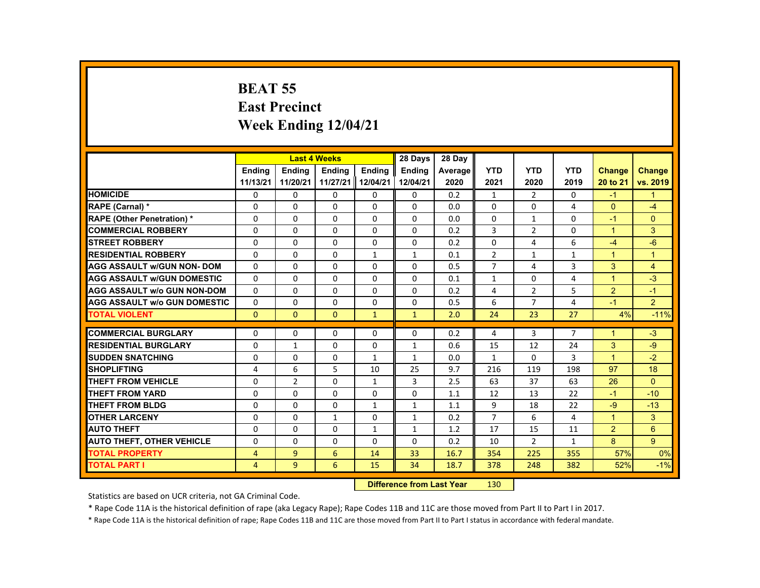# **BEAT 55 East Precinct Week Ending 12/04/21**

|                                     |                |                | <b>Last 4 Weeks</b> |               | 28 Days       | 28 Day  |                |                |                |                      |                |
|-------------------------------------|----------------|----------------|---------------------|---------------|---------------|---------|----------------|----------------|----------------|----------------------|----------------|
|                                     | <b>Endina</b>  | <b>Endina</b>  | <b>Endina</b>       | <b>Endina</b> | <b>Endina</b> | Average | <b>YTD</b>     | <b>YTD</b>     | <b>YTD</b>     | Change               | <b>Change</b>  |
|                                     | 11/13/21       | 11/20/21       | 11/27/21            | 12/04/21      | 12/04/21      | 2020    | 2021           | 2020           | 2019           | 20 to 21             | vs. 2019       |
| <b>HOMICIDE</b>                     | 0              | 0              | 0                   | 0             | 0             | 0.2     | $\mathbf{1}$   | 2              | 0              | $-1$                 | 1              |
| RAPE (Carnal) *                     | $\Omega$       | $\Omega$       | $\Omega$            | $\Omega$      | $\Omega$      | 0.0     | $\Omega$       | $\Omega$       | 4              | $\Omega$             | $-4$           |
| <b>RAPE (Other Penetration)*</b>    | $\Omega$       | $\Omega$       | $\Omega$            | $\Omega$      | $\Omega$      | 0.0     | $\Omega$       | $\mathbf{1}$   | $\Omega$       | $-1$                 | $\Omega$       |
| <b>COMMERCIAL ROBBERY</b>           | 0              | $\mathbf{0}$   | 0                   | 0             | 0             | 0.2     | 3              | 2              | 0              | $\mathbf{1}$         | 3              |
| <b>STREET ROBBERY</b>               | $\Omega$       | $\Omega$       | $\Omega$            | $\Omega$      | $\Omega$      | 0.2     | $\Omega$       | 4              | 6              | $-4$                 | $-6$           |
| <b>RESIDENTIAL ROBBERY</b>          | $\Omega$       | $\Omega$       | $\Omega$            | $\mathbf{1}$  | $\mathbf{1}$  | 0.1     | $\overline{2}$ | $\mathbf{1}$   | $\mathbf{1}$   | $\mathbf{1}$         | $\overline{1}$ |
| <b>AGG ASSAULT w/GUN NON-DOM</b>    | $\Omega$       | $\Omega$       | $\Omega$            | $\Omega$      | $\Omega$      | 0.5     | $\overline{7}$ | 4              | 3              | 3                    | 4              |
| <b>AGG ASSAULT W/GUN DOMESTIC</b>   | $\Omega$       | $\Omega$       | $\Omega$            | $\Omega$      | $\Omega$      | 0.1     | $\mathbf{1}$   | 0              | 4              | $\blacktriangleleft$ | $-3$           |
| <b>AGG ASSAULT w/o GUN NON-DOM</b>  | $\Omega$       | $\Omega$       | $\Omega$            | $\Omega$      | $\Omega$      | 0.2     | 4              | $\overline{2}$ | 5              | $\overline{2}$       | $-1$           |
| <b>AGG ASSAULT W/o GUN DOMESTIC</b> | $\Omega$       | $\Omega$       | $\Omega$            | $\Omega$      | $\Omega$      | 0.5     | 6              | $\overline{7}$ | 4              | $-1$                 | 2              |
| <b>TOTAL VIOLENT</b>                | $\Omega$       | $\Omega$       | $\Omega$            | $\mathbf{1}$  | $\mathbf{1}$  | 2.0     | 24             | 23             | 27             | 4%                   | $-11%$         |
|                                     |                |                |                     |               |               |         |                |                |                |                      |                |
| <b>COMMERCIAL BURGLARY</b>          | $\Omega$       | $\Omega$       | $\Omega$            | $\Omega$      | $\Omega$      | 0.2     | 4              | 3              | $\overline{7}$ | $\mathbf{1}$         | $-3$           |
| <b>RESIDENTIAL BURGLARY</b>         | $\Omega$       | $\mathbf{1}$   | $\Omega$            | $\Omega$      | $\mathbf{1}$  | 0.6     | 15             | 12             | 24             | 3                    | $-9$           |
| <b>SUDDEN SNATCHING</b>             | $\Omega$       | $\mathbf{0}$   | $\Omega$            | $\mathbf{1}$  | $\mathbf{1}$  | 0.0     | $\mathbf{1}$   | $\Omega$       | 3              | $\mathbf{1}$         | $-2$           |
| <b>SHOPLIFTING</b>                  | 4              | 6              | 5                   | 10            | 25            | 9.7     | 216            | 119            | 198            | 97                   | 18             |
| THEFT FROM VEHICLE                  | $\Omega$       | $\overline{2}$ | $\Omega$            | $\mathbf{1}$  | 3             | 2.5     | 63             | 37             | 63             | 26                   | $\Omega$       |
| THEFT FROM YARD                     | $\Omega$       | $\Omega$       | $\Omega$            | $\Omega$      | $\Omega$      | 1.1     | 12             | 13             | 22             | $-1$                 | $-10$          |
| <b>THEFT FROM BLDG</b>              | $\Omega$       | $\Omega$       | $\Omega$            | $\mathbf{1}$  | $\mathbf{1}$  | 1.1     | 9              | 18             | 22             | $-9$                 | $-13$          |
| <b>OTHER LARCENY</b>                | 0              | $\mathbf{0}$   | 1                   | 0             | $\mathbf{1}$  | 0.2     | $\overline{7}$ | 6              | 4              | $\mathbf{1}$         | 3              |
| <b>AUTO THEFT</b>                   | $\Omega$       | $\Omega$       | $\Omega$            | $\mathbf{1}$  | $\mathbf{1}$  | 1.2     | 17             | 15             | 11             | $\overline{2}$       | 6              |
| <b>AUTO THEFT, OTHER VEHICLE</b>    | $\Omega$       | $\Omega$       | $\Omega$            | $\Omega$      | $\Omega$      | 0.2     | 10             | $\overline{2}$ | $\mathbf{1}$   | 8                    | 9              |
| <b>TOTAL PROPERTY</b>               | $\overline{4}$ | $\overline{9}$ | 6                   | 14            | 33            | 16.7    | 354            | 225            | 355            | 57%                  | 0%             |
| <b>TOTAL PART I</b>                 | $\overline{4}$ | $\overline{9}$ | 6                   | 15            | 34            | 18.7    | 378            | 248            | 382            | 52%                  | $-1%$          |
|                                     |                |                |                     |               |               |         |                |                |                |                      |                |

#### **Difference from Last Year**r 130

Statistics are based on UCR criteria, not GA Criminal Code.

\* Rape Code 11A is the historical definition of rape (aka Legacy Rape); Rape Codes 11B and 11C are those moved from Part II to Part I in 2017.